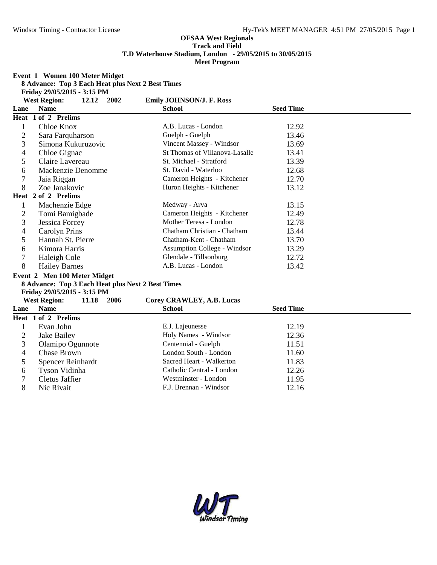**Event 1 Women 100 Meter Midget**

|                |                                    |       |      | 8 Advance: Top 3 Each Heat plus Next 2 Best Times |                  |  |
|----------------|------------------------------------|-------|------|---------------------------------------------------|------------------|--|
|                | Friday 29/05/2015 - 3:15 PM        |       |      |                                                   |                  |  |
| Lane           | <b>West Region:</b><br><b>Name</b> | 12.12 | 2002 | <b>Emily JOHNSON/J. F. Ross</b><br><b>School</b>  | <b>Seed Time</b> |  |
|                | Heat 1 of 2 Prelims                |       |      |                                                   |                  |  |
|                |                                    |       |      |                                                   |                  |  |
| 1              | Chloe Knox                         |       |      | A.B. Lucas - London                               | 12.92            |  |
| 2              | Sara Farquharson                   |       |      | Guelph - Guelph                                   | 13.46            |  |
| 3              | Simona Kukuruzovic                 |       |      | Vincent Massey - Windsor                          | 13.69            |  |
| 4              | Chloe Gignac                       |       |      | St Thomas of Villanova-Lasalle                    | 13.41            |  |
| 5              | Claire Lavereau                    |       |      | St. Michael - Stratford                           | 13.39            |  |
| 6              | Mackenzie Denomme                  |       |      | St. David - Waterloo                              | 12.68            |  |
| $\overline{7}$ | Jaia Riggan                        |       |      | Cameron Heights - Kitchener                       | 12.70            |  |
| 8              | Zoe Janakovic                      |       |      | Huron Heights - Kitchener                         | 13.12            |  |
|                | Heat 2 of 2 Prelims                |       |      |                                                   |                  |  |
| $\mathbf{1}$   | Machenzie Edge                     |       |      | Medway - Arva                                     | 13.15            |  |
| 2              | Tomi Bamigbade                     |       |      | Cameron Heights - Kitchener                       | 12.49            |  |
| 3              | <b>Jessica Forcey</b>              |       |      | Mother Teresa - London                            | 12.78            |  |
| 4              | <b>Carolyn Prins</b>               |       |      | Chatham Christian - Chatham                       | 13.44            |  |
| 5              | Hannah St. Pierre                  |       |      | Chatham-Kent - Chatham                            | 13.70            |  |
| 6              | Kimora Harris                      |       |      | <b>Assumption College - Windsor</b>               | 13.29            |  |
| 7              | Haleigh Cole                       |       |      | Glendale - Tillsonburg                            | 12.72            |  |
| 8              | <b>Hailey Barnes</b>               |       |      | A.B. Lucas - London                               | 13.42            |  |
|                | Event 2 Men 100 Meter Midget       |       |      |                                                   |                  |  |
|                |                                    |       |      | 8 Advance: Top 3 Each Heat plus Next 2 Best Times |                  |  |
|                | Friday 29/05/2015 - 3:15 PM        |       |      |                                                   |                  |  |
|                | <b>West Region:</b>                | 11.18 | 2006 | Corey CRAWLEY, A.B. Lucas                         |                  |  |
| Lane           | <b>Name</b>                        |       |      | <b>School</b>                                     | <b>Seed Time</b> |  |
|                | Heat 1 of 2 Prelims                |       |      |                                                   |                  |  |
| $\mathbf{1}$   | Evan John                          |       |      | E.J. Lajeunesse                                   | 12.19            |  |
| $\overline{c}$ | Jake Bailey                        |       |      | Holy Names - Windsor                              | 12.36            |  |
| 3              | Olamipo Ogunnote                   |       |      | Centennial - Guelph                               | 11.51            |  |
| 4              | Chase Brown                        |       |      | London South - London                             | 11.60            |  |
| 5              | <b>Spencer Reinhardt</b>           |       |      | Sacred Heart - Walkerton                          | 11.83            |  |
| 6              | Tyson Vidinha                      |       |      | Catholic Central - London                         | 12.26            |  |
| 7              | <b>Cletus Jaffier</b>              |       |      | Westminster - London                              | 11.95            |  |
| 8              | Nic Rivait                         |       |      | F.J. Brennan - Windsor                            | 12.16            |  |

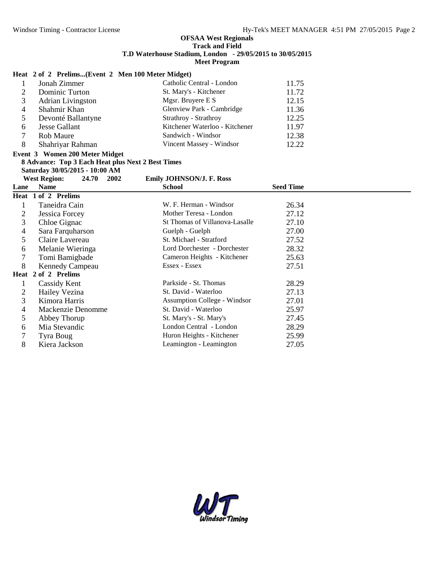### **Heat 2 of 2 Prelims...(Event 2 Men 100 Meter Midget)**

|   | Jonah Zimmer             | Catholic Central - London      | 11.75 |  |
|---|--------------------------|--------------------------------|-------|--|
| ◠ | Dominic Turton           | St. Mary's - Kitchener         | 11.72 |  |
| 3 | <b>Adrian Livingston</b> | Mgsr. Bruyere E S              | 12.15 |  |
|   | Shahmir Khan             | Glenview Park - Cambridge      | 11.36 |  |
|   | Devonté Ballantyne       | Strathroy - Strathroy          | 12.25 |  |
| 6 | Jesse Gallant            | Kitchener Waterloo - Kitchener | 11.97 |  |
|   | Rob Maure                | Sandwich - Windsor             | 12.38 |  |
| 8 | Shahriyar Rahman         | Vincent Massey - Windsor       | 12.22 |  |

# **Event 3 Women 200 Meter Midget**

**8 Advance: Top 3 Each Heat plus Next 2 Best Times**

**Saturday 30/05/2015 - 10:00 AM**

### **West Region: 24.70 2002 Emily JOHNSON/J. F. Ross**

| Lane | <b>Name</b>            | <b>School</b>                       | <b>Seed Time</b> |  |
|------|------------------------|-------------------------------------|------------------|--|
|      | Heat 1 of 2 Prelims    |                                     |                  |  |
|      | Taneidra Cain          | W. F. Herman - Windsor              | 26.34            |  |
| 2    | Jessica Forcey         | Mother Teresa - London              | 27.12            |  |
| 3    | Chloe Gignac           | St Thomas of Villanova-Lasalle      | 27.10            |  |
| 4    | Sara Farquharson       | Guelph - Guelph                     | 27.00            |  |
| 5.   | Claire Lavereau        | St. Michael - Stratford             | 27.52            |  |
| 6    | Melanie Wieringa       | Lord Dorchester - Dorchester        | 28.32            |  |
|      | Tomi Bamigbade         | Cameron Heights - Kitchener         | 25.63            |  |
| 8    | <b>Kennedy Campeau</b> | Essex - Essex                       | 27.51            |  |
|      | Heat 2 of 2 Prelims    |                                     |                  |  |
|      | Cassidy Kent           | Parkside - St. Thomas               | 28.29            |  |
| 2    | Hailey Vezina          | St. David - Waterloo                | 27.13            |  |
| 3    | Kimora Harris          | <b>Assumption College - Windsor</b> | 27.01            |  |
| 4    | Mackenzie Denomme      | St. David - Waterloo                | 25.97            |  |
| 5    | Abbey Thorup           | St. Mary's - St. Mary's             | 27.45            |  |
| 6    | Mia Stevandic          | London Central - London             | 28.29            |  |
|      | Tyra Boug              | Huron Heights - Kitchener           | 25.99            |  |
| 8    | Kiera Jackson          | Leamington - Leamington             | 27.05            |  |

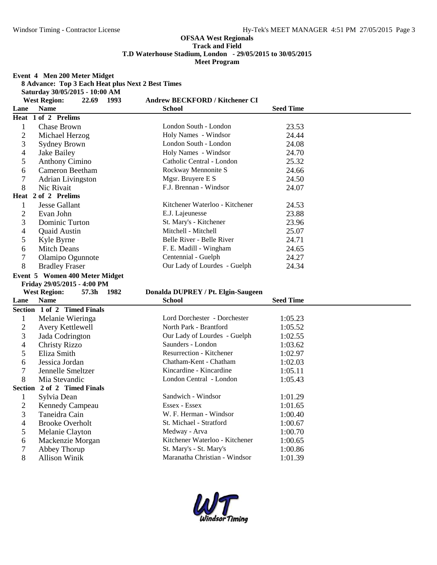**Event 4 Men 200 Meter Midget**

|                | $E$ vent $\rightarrow$ wien $200$ wieter winger   |                                    |                  |  |
|----------------|---------------------------------------------------|------------------------------------|------------------|--|
|                | 8 Advance: Top 3 Each Heat plus Next 2 Best Times |                                    |                  |  |
|                | Saturday 30/05/2015 - 10:00 AM                    |                                    |                  |  |
|                | <b>West Region:</b><br>22.69 1993                 | Andrew BECKFORD / Kitchener CI     |                  |  |
| Lane           | <b>Name</b>                                       | <b>School</b>                      | <b>Seed Time</b> |  |
|                | Heat 1 of 2 Prelims                               |                                    |                  |  |
| $\mathbf{1}$   | Chase Brown                                       | London South - London              | 23.53            |  |
| $\overline{c}$ | Michael Herzog                                    | Holy Names - Windsor               | 24.44            |  |
| 3              | <b>Sydney Brown</b>                               | London South - London              | 24.08            |  |
| 4              | Jake Bailey                                       | Holy Names - Windsor               | 24.70            |  |
| 5              | <b>Anthony Cimino</b>                             | Catholic Central - London          | 25.32            |  |
| 6              | <b>Cameron Beetham</b>                            | Rockway Mennonite S                | 24.66            |  |
| 7              | <b>Adrian Livingston</b>                          | Mgsr. Bruyere E S                  | 24.50            |  |
| 8              | Nic Rivait                                        | F.J. Brennan - Windsor             | 24.07            |  |
|                | Heat 2 of 2 Prelims                               |                                    |                  |  |
| $\mathbf{1}$   | <b>Jesse Gallant</b>                              | Kitchener Waterloo - Kitchener     | 24.53            |  |
| $\overline{c}$ | Evan John                                         | E.J. Lajeunesse                    | 23.88            |  |
| 3              | Dominic Turton                                    | St. Mary's - Kitchener             | 23.96            |  |
| 4              | <b>Quaid Austin</b>                               | Mitchell - Mitchell                | 25.07            |  |
| 5              | Kyle Byrne                                        | Belle River - Belle River          | 24.71            |  |
| 6              | <b>Mitch Deans</b>                                | F. E. Madill - Wingham             | 24.65            |  |
| 7              | Olamipo Ogunnote                                  | Centennial - Guelph                | 24.27            |  |
| 8              | <b>Bradley Fraser</b>                             | Our Lady of Lourdes - Guelph       | 24.34            |  |
|                | Event 5 Women 400 Meter Midget                    |                                    |                  |  |
|                | Friday 29/05/2015 - 4:00 PM                       |                                    |                  |  |
|                | <b>West Region:</b><br>57.3h 1982                 | Donalda DUPREY / Pt. Elgin-Saugeen |                  |  |
| Lane           | <b>Name</b>                                       | <b>School</b>                      | <b>Seed Time</b> |  |
|                | Section 1 of 2 Timed Finals                       |                                    |                  |  |
| $\mathbf{1}$   | Melanie Wieringa                                  | Lord Dorchester - Dorchester       | 1:05.23          |  |
| $\overline{2}$ | Avery Kettlewell                                  | North Park - Brantford             | 1:05.52          |  |
| 3              | Jada Codrington                                   | Our Lady of Lourdes - Guelph       | 1:02.55          |  |
| 4              | <b>Christy Rizzo</b>                              | Saunders - London                  | 1:03.62          |  |
| 5              | Eliza Smith                                       | <b>Resurrection - Kitchener</b>    | 1:02.97          |  |
| 6              | Jessica Jordan                                    | Chatham-Kent - Chatham             | 1:02.03          |  |
| 7              | Jennelle Smeltzer                                 | Kincardine - Kincardine            | 1:05.11          |  |
| 8              | Mia Stevandic                                     | London Central - London            | 1:05.43          |  |
|                | Section 2 of 2 Timed Finals                       |                                    |                  |  |
| $\mathbf{1}$   | Sylvia Dean                                       | Sandwich - Windsor                 | 1:01.29          |  |
| $\overline{2}$ | Kennedy Campeau                                   | Essex - Essex                      | 1:01.65          |  |
| 3              | Taneidra Cain                                     | W. F. Herman - Windsor             | 1:00.40          |  |
| 4              | <b>Brooke Overholt</b>                            | St. Michael - Stratford            | 1:00.67          |  |
| 5              | Melanie Clayton                                   | Medway - Arva                      | 1:00.70          |  |
| 6              | Mackenzie Morgan                                  | Kitchener Waterloo - Kitchener     | 1:00.65          |  |
| $\tau$         | Abbey Thorup                                      | St. Mary's - St. Mary's            | 1:00.86          |  |
|                |                                                   |                                    |                  |  |

Allison Winik Maranatha Christian - Windsor 1:01.39

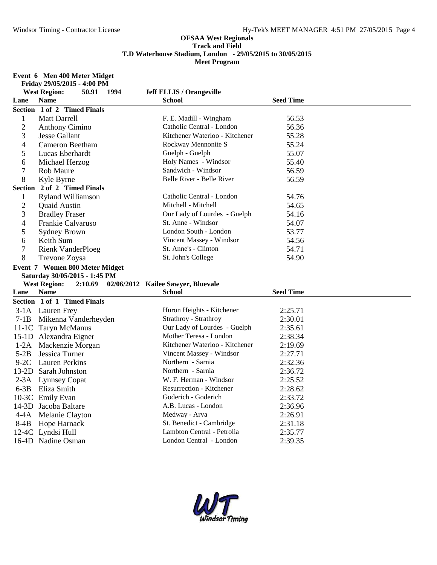#### **Event 6 Men 400 Meter Midget**

|              | Friday 29/05/2015 - 4:00 PM            |                                    |                  |  |
|--------------|----------------------------------------|------------------------------------|------------------|--|
|              | <b>West Region:</b><br>50.91<br>1994   | <b>Jeff ELLIS / Orangeville</b>    |                  |  |
| Lane         | <b>Name</b>                            | <b>School</b>                      | <b>Seed Time</b> |  |
|              | Section 1 of 2 Timed Finals            |                                    |                  |  |
| $\mathbf{1}$ | Matt Darrell                           | F. E. Madill - Wingham             | 56.53            |  |
| $\mathbf{2}$ | <b>Anthony Cimino</b>                  | Catholic Central - London          | 56.36            |  |
| 3            | <b>Jesse Gallant</b>                   | Kitchener Waterloo - Kitchener     | 55.28            |  |
| 4            | <b>Cameron Beetham</b>                 | Rockway Mennonite S                | 55.24            |  |
| 5            | Lucas Eberhardt                        | Guelph - Guelph                    | 55.07            |  |
| 6            | Michael Herzog                         | Holy Names - Windsor               | 55.40            |  |
| 7            | Rob Maure                              | Sandwich - Windsor                 | 56.59            |  |
| 8            | Kyle Byrne                             | Belle River - Belle River          | 56.59            |  |
|              | Section 2 of 2 Timed Finals            |                                    |                  |  |
| $\mathbf{1}$ | <b>Ryland Williamson</b>               | Catholic Central - London          | 54.76            |  |
| $\mathbf{2}$ | Quaid Austin                           | Mitchell - Mitchell                | 54.65            |  |
| 3            | <b>Bradley Fraser</b>                  | Our Lady of Lourdes - Guelph       | 54.16            |  |
| 4            | Frankie Calvaruso                      | St. Anne - Windsor                 | 54.07            |  |
| 5            | <b>Sydney Brown</b>                    | London South - London              | 53.77            |  |
| 6            | Keith Sum                              | Vincent Massey - Windsor           | 54.56            |  |
| $\tau$       | <b>Rienk VanderPloeg</b>               | St. Anne's - Clinton               | 54.71            |  |
| 8            | Trevone Zoysa                          | St. John's College                 | 54.90            |  |
|              | Event 7 Women 800 Meter Midget         |                                    |                  |  |
|              |                                        |                                    |                  |  |
|              | Saturday 30/05/2015 - 1:45 PM          |                                    |                  |  |
|              | <b>West Region:</b><br>2:10.69         | 02/06/2012 Kailee Sawyer, Bluevale |                  |  |
| Lane         | <b>Name</b>                            | <b>School</b>                      | <b>Seed Time</b> |  |
|              | Section 1 of 1 Timed Finals            |                                    |                  |  |
|              | 3-1A Lauren Frey                       | Huron Heights - Kitchener          | 2:25.71          |  |
|              | 7-1B Mikenna Vanderheyden              | Strathroy - Strathroy              | 2:30.01          |  |
|              | 11-1C Taryn McManus                    | Our Lady of Lourdes - Guelph       | 2:35.61          |  |
|              | 15-1D Alexandra Eigner                 | Mother Teresa - London             | 2:38.34          |  |
|              | 1-2A Mackenzie Morgan                  | Kitchener Waterloo - Kitchener     | 2:19.69          |  |
| $5-2B$       | Jessica Turner                         | Vincent Massey - Windsor           | 2:27.71          |  |
|              | 9-2C Lauren Perkins                    | Northern - Sarnia                  | 2:32.36          |  |
|              | 13-2D Sarah Johnston                   | Northern - Sarnia                  | 2:36.72          |  |
|              |                                        | W. F. Herman - Windsor             | 2:25.52          |  |
|              | 2-3A Lynnsey Copat<br>6-3B Eliza Smith | Resurrection - Kitchener           | 2:28.62          |  |
|              | 10-3C Emily Evan                       | Goderich - Goderich                | 2:33.72          |  |
|              | 14-3D Jacoba Baltare                   | A.B. Lucas - London                | 2:36.96          |  |
|              | 4-4A Melanie Clayton                   | Medway - Arva                      | 2:26.91          |  |
|              |                                        | St. Benedict - Cambridge           | 2:31.18          |  |
|              | 8-4B Hope Harnack<br>12-4C Lyndsi Hull | Lambton Central - Petrolia         | 2:35.77          |  |

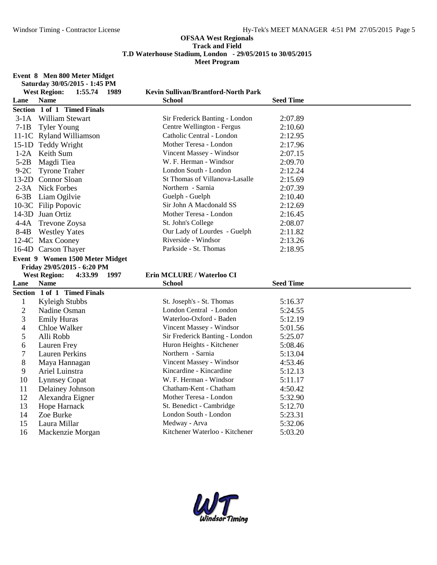#### **Event 8 Men 800 Meter Midget**

|                | Saturday 30/05/2015 - 1:45 PM          |                                     |                  |
|----------------|----------------------------------------|-------------------------------------|------------------|
|                | <b>West Region:</b><br>1:55.74<br>1989 | Kevin Sullivan/Brantford-North Park |                  |
| Lane           | <b>Name</b>                            | <b>School</b>                       | <b>Seed Time</b> |
|                | Section 1 of 1 Timed Finals            |                                     |                  |
|                | 3-1A William Stewart                   | Sir Frederick Banting - London      | 2:07.89          |
| $7-1B$         | <b>Tyler Young</b>                     | Centre Wellington - Fergus          | 2:10.60          |
|                | 11-1C Ryland Williamson                | Catholic Central - London           | 2:12.95          |
|                | 15-1D Teddy Wright                     | Mother Teresa - London              | 2:17.96          |
| $1-2A$         | Keith Sum                              | Vincent Massey - Windsor            | 2:07.15          |
| $5-2B$         | Magdi Tiea                             | W. F. Herman - Windsor              | 2:09.70          |
| $9-2C$         | <b>Tyrone Traher</b>                   | London South - London               | 2:12.24          |
|                | 13-2D Connor Sloan                     | St Thomas of Villanova-Lasalle      | 2:15.69          |
|                | 2-3A Nick Forbes                       | Northern - Sarnia                   | 2:07.39          |
|                | 6-3B Liam Ogilvie                      | Guelph - Guelph                     | 2:10.40          |
|                | 10-3C Filip Popovic                    | Sir John A Macdonald SS             | 2:12.69          |
|                | 14-3D Juan Ortiz                       | Mother Teresa - London              | 2:16.45          |
|                | 4-4A Trevone Zoysa                     | St. John's College                  | 2:08.07          |
| $8-4B$         | <b>Westley Yates</b>                   | Our Lady of Lourdes - Guelph        | 2:11.82          |
|                | 12-4C Max Cooney                       | Riverside - Windsor                 | 2:13.26          |
|                | 16-4D Carson Thayer                    | Parkside - St. Thomas               | 2:18.95          |
|                | Event 9 Women 1500 Meter Midget        |                                     |                  |
|                | Friday 29/05/2015 - 6:20 PM            |                                     |                  |
|                | <b>West Region:</b><br>1997<br>4:33.99 | Erin MCLURE / Waterloo CI           |                  |
| Lane           | <b>Name</b>                            | <b>School</b>                       | <b>Seed Time</b> |
|                | Section 1 of 1 Timed Finals            |                                     |                  |
| $\mathbf{1}$   | Kyleigh Stubbs                         | St. Joseph's - St. Thomas           | 5:16.37          |
| $\overline{2}$ | Nadine Osman                           | London Central - London             | 5:24.55          |
| 3              | <b>Emily Huras</b>                     | Waterloo-Oxford - Baden             | 5:12.19          |
| $\overline{4}$ | Chloe Walker                           | Vincent Massey - Windsor            | 5:01.56          |
| 5              | Alli Robb                              | Sir Frederick Banting - London      | 5:25.07          |
| 6              | Lauren Frey                            | Huron Heights - Kitchener           | 5:08.46          |
| $\overline{7}$ | <b>Lauren Perkins</b>                  | Northern - Sarnia                   | 5:13.04          |
| 8              | Maya Hannagan                          | Vincent Massey - Windsor            | 4:53.46          |
| 9              | Ariel Luinstra                         | Kincardine - Kincardine             | 5:12.13          |
| 10             | <b>Lynnsey Copat</b>                   | W. F. Herman - Windsor              | 5:11.17          |
| 11             | Delainey Johnson                       | Chatham-Kent - Chatham              | 4:50.42          |
| 12             | Alexandra Eigner                       | Mother Teresa - London              | 5:32.90          |
| 13             | Hope Harnack                           | St. Benedict - Cambridge            | 5:12.70          |
| 14             | Zoe Burke                              | London South - London               | 5:23.31          |
| 15             |                                        | Medway - Arva                       | 5:32.06          |
|                | Laura Millar                           |                                     |                  |

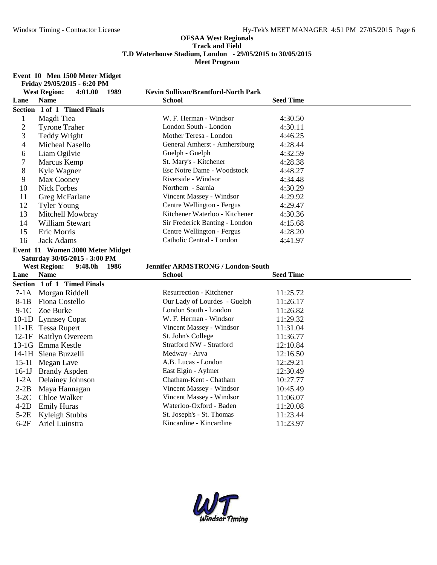#### **Event 10 Men 1500 Meter Midget**

|                | Friday 29/05/2015 - 6:20 PM            |                                                      |                  |
|----------------|----------------------------------------|------------------------------------------------------|------------------|
|                | <b>West Region:</b><br>4:01.00<br>1989 | <b>Kevin Sullivan/Brantford-North Park</b>           |                  |
| Lane           | <b>Name</b>                            | <b>School</b>                                        | <b>Seed Time</b> |
|                | Section 1 of 1 Timed Finals            |                                                      |                  |
| $\mathbf 1$    | Magdi Tiea                             | W. F. Herman - Windsor                               | 4:30.50          |
| $\overline{c}$ | <b>Tyrone Traher</b>                   | London South - London                                | 4:30.11          |
| 3              | <b>Teddy Wright</b>                    | Mother Teresa - London                               | 4:46.25          |
| 4              | Micheal Nasello                        | General Amherst - Amherstburg                        | 4:28.44          |
| 6              | Liam Ogilvie                           | Guelph - Guelph                                      | 4:32.59          |
| 7              | Marcus Kemp                            | St. Mary's - Kitchener                               | 4:28.38          |
| 8              | Kyle Wagner                            | Esc Notre Dame - Woodstock                           | 4:48.27          |
| 9              | Max Cooney                             | Riverside - Windsor                                  | 4:34.48          |
| 10             | <b>Nick Forbes</b>                     | Northern - Sarnia                                    | 4:30.29          |
| 11             | Greg McFarlane                         | Vincent Massey - Windsor                             | 4:29.92          |
| 12             | <b>Tyler Young</b>                     | Centre Wellington - Fergus                           | 4:29.47          |
| 13             | Mitchell Mowbray                       | Kitchener Waterloo - Kitchener                       | 4:30.36          |
| 14             | <b>William Stewart</b>                 | Sir Frederick Banting - London                       | 4:15.68          |
| 15             | Eric Morris                            | Centre Wellington - Fergus                           | 4:28.20          |
| 16             | <b>Jack Adams</b>                      | Catholic Central - London                            | 4:41.97          |
|                | Event 11 Women 3000 Meter Midget       |                                                      |                  |
|                |                                        |                                                      |                  |
|                | Saturday 30/05/2015 - 3:00 PM          |                                                      |                  |
|                | <b>West Region:</b><br>9:48.0h<br>1986 | <b>Jennifer ARMSTRONG / London-South</b>             |                  |
| Lane           | <b>Name</b>                            | School                                               | <b>Seed Time</b> |
|                | Section 1 of 1 Timed Finals            |                                                      |                  |
|                | 7-1A Morgan Riddell                    | <b>Resurrection - Kitchener</b>                      | 11:25.72         |
| $8-1B$         | Fiona Costello                         | Our Lady of Lourdes - Guelph                         | 11:26.17         |
| $9-1C$         | Zoe Burke                              | London South - London                                | 11:26.82         |
|                | 10-1D Lynnsey Copat                    | W. F. Herman - Windsor                               | 11:29.32         |
|                | 11-1E Tessa Rupert                     | Vincent Massey - Windsor                             | 11:31.04         |
|                | 12-1F Kaitlyn Overeem                  | St. John's College                                   | 11:36.77         |
|                | 13-1G Emma Kestle                      | Stratford NW - Stratford                             | 12:10.84         |
|                | 14-1H Siena Buzzelli                   | Medway - Arva                                        | 12:16.50         |
|                | 15-1I Megan Lave                       | A.B. Lucas - London                                  | 12:29.21         |
|                | 16-1J Brandy Aspden                    | East Elgin - Aylmer                                  | 12:30.49         |
|                | 1-2A Delainey Johnson                  | Chatham-Kent - Chatham                               | 10:27.77         |
| $2-2B$         | Maya Hannagan                          | Vincent Massey - Windsor                             | 10:45.49         |
| $3-2C$         | Chloe Walker                           | Vincent Massey - Windsor                             | 11:06.07         |
| $4-2D$         | <b>Emily Huras</b>                     | Waterloo-Oxford - Baden                              | 11:20.08         |
| $5-2E$         | Kyleigh Stubbs                         | St. Joseph's - St. Thomas<br>Kincardine - Kincardine | 11:23.44         |

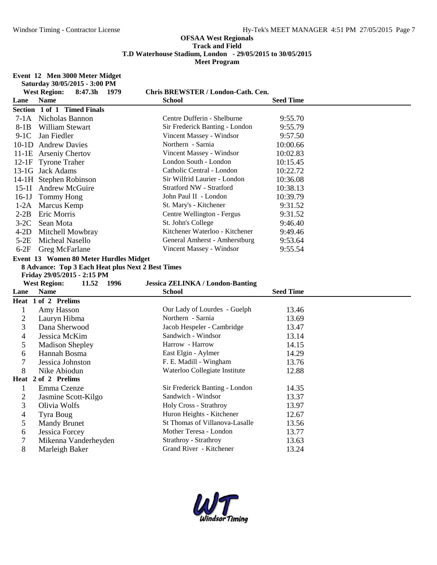### **Event 12 Men 3000 Meter Midget**

| <b>West Region:</b><br>Chris BREWSTER / London-Cath. Cen.<br>8:47.3h<br>1979<br><b>Name</b><br><b>Seed Time</b><br>Lane<br>School<br>Section 1 of 1 Timed Finals<br>7-1A Nicholas Bannon<br>Centre Dufferin - Shelburne<br>9:55.70<br>Sir Frederick Banting - London<br>8-1B<br>William Stewart<br>9:55.79<br>Jan Fiedler<br>Vincent Massey - Windsor<br>$9-1C$<br>9:57.50<br>Northern - Sarnia<br>10-1D Andrew Davies<br>10:00.66<br>Vincent Massey - Windsor<br>10:02.83<br>11-1E Arseniy Chertov<br>London South - London<br>12-1F Tyrone Traher<br>10:15.45<br>Catholic Central - London<br>13-1G Jack Adams<br>10:22.72<br>14-1H Stephen Robinson<br>Sir Wilfrid Laurier - London<br>10:36.08<br><b>Stratford NW - Stratford</b><br>15-1I Andrew McGuire<br>10:38.13<br>John Paul II - London<br>16-1J Tommy Hong<br>10:39.79<br>St. Mary's - Kitchener<br>1-2A Marcus Kemp<br>9:31.52<br>$2-2B$<br>Centre Wellington - Fergus<br><b>Eric Morris</b><br>9:31.52<br>St. John's College<br>$3-2C$<br>Sean Mota<br>9:46.40<br>Kitchener Waterloo - Kitchener<br>$4-2D$<br>Mitchell Mowbray<br>9:49.46<br>General Amherst - Amherstburg<br>$5-2E$<br><b>Micheal Nasello</b><br>9:53.64<br>6-2F Greg McFarlane<br>Vincent Massey - Windsor<br>9:55.54<br>Event 13 Women 80 Meter Hurdles Midget<br>8 Advance: Top 3 Each Heat plus Next 2 Best Times<br>Friday 29/05/2015 - 2:15 PM<br><b>West Region:</b><br>11.52<br>1996<br><b>Jessica ZELINKA / London-Banting</b><br><b>Name</b><br><b>Seed Time</b><br>Lane<br><b>School</b><br>Heat 1 of 2 Prelims<br>Our Lady of Lourdes - Guelph<br>$\mathbf{1}$<br>Amy Hasson<br>13.46<br>$\sqrt{2}$<br>Northern - Sarnia<br>Lauryn Hibma<br>13.69<br>3<br>Dana Sherwood<br>Jacob Hespeler - Cambridge<br>13.47<br>Sandwich - Windsor<br>$\overline{4}$<br>Jessica McKim<br>13.14<br>5<br>Harrow - Harrow<br>14.15<br><b>Madison Shepley</b><br>6<br>Hannah Bosma<br>East Elgin - Aylmer<br>14.29<br>$\tau$<br>F. E. Madill - Wingham<br>13.76<br>Jessica Johnston<br>8<br>Waterloo Collegiate Institute<br>Nike Abiodun<br>12.88<br>Heat 2 of 2 Prelims<br>Sir Frederick Banting - London<br>$\mathbf{1}$<br>Emma Czenze<br>14.35<br>$\overline{2}$<br>Sandwich - Windsor<br>Jasmine Scott-Kilgo<br>13.37 |             | Saturday 30/05/2015 - 3:00 PM          |                                                 |                |
|------------------------------------------------------------------------------------------------------------------------------------------------------------------------------------------------------------------------------------------------------------------------------------------------------------------------------------------------------------------------------------------------------------------------------------------------------------------------------------------------------------------------------------------------------------------------------------------------------------------------------------------------------------------------------------------------------------------------------------------------------------------------------------------------------------------------------------------------------------------------------------------------------------------------------------------------------------------------------------------------------------------------------------------------------------------------------------------------------------------------------------------------------------------------------------------------------------------------------------------------------------------------------------------------------------------------------------------------------------------------------------------------------------------------------------------------------------------------------------------------------------------------------------------------------------------------------------------------------------------------------------------------------------------------------------------------------------------------------------------------------------------------------------------------------------------------------------------------------------------------------------------------------------------------------------------------------------------------------------------------------------------------------------------------------------------------------------------------------------------------------------------------------------------------------------------------------------------------------------------------------|-------------|----------------------------------------|-------------------------------------------------|----------------|
|                                                                                                                                                                                                                                                                                                                                                                                                                                                                                                                                                                                                                                                                                                                                                                                                                                                                                                                                                                                                                                                                                                                                                                                                                                                                                                                                                                                                                                                                                                                                                                                                                                                                                                                                                                                                                                                                                                                                                                                                                                                                                                                                                                                                                                                      |             |                                        |                                                 |                |
|                                                                                                                                                                                                                                                                                                                                                                                                                                                                                                                                                                                                                                                                                                                                                                                                                                                                                                                                                                                                                                                                                                                                                                                                                                                                                                                                                                                                                                                                                                                                                                                                                                                                                                                                                                                                                                                                                                                                                                                                                                                                                                                                                                                                                                                      |             |                                        |                                                 |                |
|                                                                                                                                                                                                                                                                                                                                                                                                                                                                                                                                                                                                                                                                                                                                                                                                                                                                                                                                                                                                                                                                                                                                                                                                                                                                                                                                                                                                                                                                                                                                                                                                                                                                                                                                                                                                                                                                                                                                                                                                                                                                                                                                                                                                                                                      |             |                                        |                                                 |                |
|                                                                                                                                                                                                                                                                                                                                                                                                                                                                                                                                                                                                                                                                                                                                                                                                                                                                                                                                                                                                                                                                                                                                                                                                                                                                                                                                                                                                                                                                                                                                                                                                                                                                                                                                                                                                                                                                                                                                                                                                                                                                                                                                                                                                                                                      |             |                                        |                                                 |                |
|                                                                                                                                                                                                                                                                                                                                                                                                                                                                                                                                                                                                                                                                                                                                                                                                                                                                                                                                                                                                                                                                                                                                                                                                                                                                                                                                                                                                                                                                                                                                                                                                                                                                                                                                                                                                                                                                                                                                                                                                                                                                                                                                                                                                                                                      |             |                                        |                                                 |                |
|                                                                                                                                                                                                                                                                                                                                                                                                                                                                                                                                                                                                                                                                                                                                                                                                                                                                                                                                                                                                                                                                                                                                                                                                                                                                                                                                                                                                                                                                                                                                                                                                                                                                                                                                                                                                                                                                                                                                                                                                                                                                                                                                                                                                                                                      |             |                                        |                                                 |                |
|                                                                                                                                                                                                                                                                                                                                                                                                                                                                                                                                                                                                                                                                                                                                                                                                                                                                                                                                                                                                                                                                                                                                                                                                                                                                                                                                                                                                                                                                                                                                                                                                                                                                                                                                                                                                                                                                                                                                                                                                                                                                                                                                                                                                                                                      |             |                                        |                                                 |                |
|                                                                                                                                                                                                                                                                                                                                                                                                                                                                                                                                                                                                                                                                                                                                                                                                                                                                                                                                                                                                                                                                                                                                                                                                                                                                                                                                                                                                                                                                                                                                                                                                                                                                                                                                                                                                                                                                                                                                                                                                                                                                                                                                                                                                                                                      |             |                                        |                                                 |                |
|                                                                                                                                                                                                                                                                                                                                                                                                                                                                                                                                                                                                                                                                                                                                                                                                                                                                                                                                                                                                                                                                                                                                                                                                                                                                                                                                                                                                                                                                                                                                                                                                                                                                                                                                                                                                                                                                                                                                                                                                                                                                                                                                                                                                                                                      |             |                                        |                                                 |                |
|                                                                                                                                                                                                                                                                                                                                                                                                                                                                                                                                                                                                                                                                                                                                                                                                                                                                                                                                                                                                                                                                                                                                                                                                                                                                                                                                                                                                                                                                                                                                                                                                                                                                                                                                                                                                                                                                                                                                                                                                                                                                                                                                                                                                                                                      |             |                                        |                                                 |                |
|                                                                                                                                                                                                                                                                                                                                                                                                                                                                                                                                                                                                                                                                                                                                                                                                                                                                                                                                                                                                                                                                                                                                                                                                                                                                                                                                                                                                                                                                                                                                                                                                                                                                                                                                                                                                                                                                                                                                                                                                                                                                                                                                                                                                                                                      |             |                                        |                                                 |                |
|                                                                                                                                                                                                                                                                                                                                                                                                                                                                                                                                                                                                                                                                                                                                                                                                                                                                                                                                                                                                                                                                                                                                                                                                                                                                                                                                                                                                                                                                                                                                                                                                                                                                                                                                                                                                                                                                                                                                                                                                                                                                                                                                                                                                                                                      |             |                                        |                                                 |                |
|                                                                                                                                                                                                                                                                                                                                                                                                                                                                                                                                                                                                                                                                                                                                                                                                                                                                                                                                                                                                                                                                                                                                                                                                                                                                                                                                                                                                                                                                                                                                                                                                                                                                                                                                                                                                                                                                                                                                                                                                                                                                                                                                                                                                                                                      |             |                                        |                                                 |                |
|                                                                                                                                                                                                                                                                                                                                                                                                                                                                                                                                                                                                                                                                                                                                                                                                                                                                                                                                                                                                                                                                                                                                                                                                                                                                                                                                                                                                                                                                                                                                                                                                                                                                                                                                                                                                                                                                                                                                                                                                                                                                                                                                                                                                                                                      |             |                                        |                                                 |                |
|                                                                                                                                                                                                                                                                                                                                                                                                                                                                                                                                                                                                                                                                                                                                                                                                                                                                                                                                                                                                                                                                                                                                                                                                                                                                                                                                                                                                                                                                                                                                                                                                                                                                                                                                                                                                                                                                                                                                                                                                                                                                                                                                                                                                                                                      |             |                                        |                                                 |                |
|                                                                                                                                                                                                                                                                                                                                                                                                                                                                                                                                                                                                                                                                                                                                                                                                                                                                                                                                                                                                                                                                                                                                                                                                                                                                                                                                                                                                                                                                                                                                                                                                                                                                                                                                                                                                                                                                                                                                                                                                                                                                                                                                                                                                                                                      |             |                                        |                                                 |                |
|                                                                                                                                                                                                                                                                                                                                                                                                                                                                                                                                                                                                                                                                                                                                                                                                                                                                                                                                                                                                                                                                                                                                                                                                                                                                                                                                                                                                                                                                                                                                                                                                                                                                                                                                                                                                                                                                                                                                                                                                                                                                                                                                                                                                                                                      |             |                                        |                                                 |                |
|                                                                                                                                                                                                                                                                                                                                                                                                                                                                                                                                                                                                                                                                                                                                                                                                                                                                                                                                                                                                                                                                                                                                                                                                                                                                                                                                                                                                                                                                                                                                                                                                                                                                                                                                                                                                                                                                                                                                                                                                                                                                                                                                                                                                                                                      |             |                                        |                                                 |                |
|                                                                                                                                                                                                                                                                                                                                                                                                                                                                                                                                                                                                                                                                                                                                                                                                                                                                                                                                                                                                                                                                                                                                                                                                                                                                                                                                                                                                                                                                                                                                                                                                                                                                                                                                                                                                                                                                                                                                                                                                                                                                                                                                                                                                                                                      |             |                                        |                                                 |                |
|                                                                                                                                                                                                                                                                                                                                                                                                                                                                                                                                                                                                                                                                                                                                                                                                                                                                                                                                                                                                                                                                                                                                                                                                                                                                                                                                                                                                                                                                                                                                                                                                                                                                                                                                                                                                                                                                                                                                                                                                                                                                                                                                                                                                                                                      |             |                                        |                                                 |                |
|                                                                                                                                                                                                                                                                                                                                                                                                                                                                                                                                                                                                                                                                                                                                                                                                                                                                                                                                                                                                                                                                                                                                                                                                                                                                                                                                                                                                                                                                                                                                                                                                                                                                                                                                                                                                                                                                                                                                                                                                                                                                                                                                                                                                                                                      |             |                                        |                                                 |                |
|                                                                                                                                                                                                                                                                                                                                                                                                                                                                                                                                                                                                                                                                                                                                                                                                                                                                                                                                                                                                                                                                                                                                                                                                                                                                                                                                                                                                                                                                                                                                                                                                                                                                                                                                                                                                                                                                                                                                                                                                                                                                                                                                                                                                                                                      |             |                                        |                                                 |                |
|                                                                                                                                                                                                                                                                                                                                                                                                                                                                                                                                                                                                                                                                                                                                                                                                                                                                                                                                                                                                                                                                                                                                                                                                                                                                                                                                                                                                                                                                                                                                                                                                                                                                                                                                                                                                                                                                                                                                                                                                                                                                                                                                                                                                                                                      |             |                                        |                                                 |                |
|                                                                                                                                                                                                                                                                                                                                                                                                                                                                                                                                                                                                                                                                                                                                                                                                                                                                                                                                                                                                                                                                                                                                                                                                                                                                                                                                                                                                                                                                                                                                                                                                                                                                                                                                                                                                                                                                                                                                                                                                                                                                                                                                                                                                                                                      |             |                                        |                                                 |                |
|                                                                                                                                                                                                                                                                                                                                                                                                                                                                                                                                                                                                                                                                                                                                                                                                                                                                                                                                                                                                                                                                                                                                                                                                                                                                                                                                                                                                                                                                                                                                                                                                                                                                                                                                                                                                                                                                                                                                                                                                                                                                                                                                                                                                                                                      |             |                                        |                                                 |                |
|                                                                                                                                                                                                                                                                                                                                                                                                                                                                                                                                                                                                                                                                                                                                                                                                                                                                                                                                                                                                                                                                                                                                                                                                                                                                                                                                                                                                                                                                                                                                                                                                                                                                                                                                                                                                                                                                                                                                                                                                                                                                                                                                                                                                                                                      |             |                                        |                                                 |                |
|                                                                                                                                                                                                                                                                                                                                                                                                                                                                                                                                                                                                                                                                                                                                                                                                                                                                                                                                                                                                                                                                                                                                                                                                                                                                                                                                                                                                                                                                                                                                                                                                                                                                                                                                                                                                                                                                                                                                                                                                                                                                                                                                                                                                                                                      |             |                                        |                                                 |                |
|                                                                                                                                                                                                                                                                                                                                                                                                                                                                                                                                                                                                                                                                                                                                                                                                                                                                                                                                                                                                                                                                                                                                                                                                                                                                                                                                                                                                                                                                                                                                                                                                                                                                                                                                                                                                                                                                                                                                                                                                                                                                                                                                                                                                                                                      |             |                                        |                                                 |                |
|                                                                                                                                                                                                                                                                                                                                                                                                                                                                                                                                                                                                                                                                                                                                                                                                                                                                                                                                                                                                                                                                                                                                                                                                                                                                                                                                                                                                                                                                                                                                                                                                                                                                                                                                                                                                                                                                                                                                                                                                                                                                                                                                                                                                                                                      |             |                                        |                                                 |                |
|                                                                                                                                                                                                                                                                                                                                                                                                                                                                                                                                                                                                                                                                                                                                                                                                                                                                                                                                                                                                                                                                                                                                                                                                                                                                                                                                                                                                                                                                                                                                                                                                                                                                                                                                                                                                                                                                                                                                                                                                                                                                                                                                                                                                                                                      |             |                                        |                                                 |                |
|                                                                                                                                                                                                                                                                                                                                                                                                                                                                                                                                                                                                                                                                                                                                                                                                                                                                                                                                                                                                                                                                                                                                                                                                                                                                                                                                                                                                                                                                                                                                                                                                                                                                                                                                                                                                                                                                                                                                                                                                                                                                                                                                                                                                                                                      |             |                                        |                                                 |                |
|                                                                                                                                                                                                                                                                                                                                                                                                                                                                                                                                                                                                                                                                                                                                                                                                                                                                                                                                                                                                                                                                                                                                                                                                                                                                                                                                                                                                                                                                                                                                                                                                                                                                                                                                                                                                                                                                                                                                                                                                                                                                                                                                                                                                                                                      |             |                                        |                                                 |                |
|                                                                                                                                                                                                                                                                                                                                                                                                                                                                                                                                                                                                                                                                                                                                                                                                                                                                                                                                                                                                                                                                                                                                                                                                                                                                                                                                                                                                                                                                                                                                                                                                                                                                                                                                                                                                                                                                                                                                                                                                                                                                                                                                                                                                                                                      |             |                                        |                                                 |                |
|                                                                                                                                                                                                                                                                                                                                                                                                                                                                                                                                                                                                                                                                                                                                                                                                                                                                                                                                                                                                                                                                                                                                                                                                                                                                                                                                                                                                                                                                                                                                                                                                                                                                                                                                                                                                                                                                                                                                                                                                                                                                                                                                                                                                                                                      |             |                                        |                                                 |                |
|                                                                                                                                                                                                                                                                                                                                                                                                                                                                                                                                                                                                                                                                                                                                                                                                                                                                                                                                                                                                                                                                                                                                                                                                                                                                                                                                                                                                                                                                                                                                                                                                                                                                                                                                                                                                                                                                                                                                                                                                                                                                                                                                                                                                                                                      |             |                                        |                                                 |                |
|                                                                                                                                                                                                                                                                                                                                                                                                                                                                                                                                                                                                                                                                                                                                                                                                                                                                                                                                                                                                                                                                                                                                                                                                                                                                                                                                                                                                                                                                                                                                                                                                                                                                                                                                                                                                                                                                                                                                                                                                                                                                                                                                                                                                                                                      |             |                                        |                                                 |                |
| 3<br>Holy Cross - Strathroy<br>13.97<br>Olivia Wolfs                                                                                                                                                                                                                                                                                                                                                                                                                                                                                                                                                                                                                                                                                                                                                                                                                                                                                                                                                                                                                                                                                                                                                                                                                                                                                                                                                                                                                                                                                                                                                                                                                                                                                                                                                                                                                                                                                                                                                                                                                                                                                                                                                                                                 |             |                                        |                                                 |                |
| $\overline{4}$<br>Huron Heights - Kitchener<br>12.67<br><b>Tyra Boug</b>                                                                                                                                                                                                                                                                                                                                                                                                                                                                                                                                                                                                                                                                                                                                                                                                                                                                                                                                                                                                                                                                                                                                                                                                                                                                                                                                                                                                                                                                                                                                                                                                                                                                                                                                                                                                                                                                                                                                                                                                                                                                                                                                                                             |             |                                        |                                                 |                |
|                                                                                                                                                                                                                                                                                                                                                                                                                                                                                                                                                                                                                                                                                                                                                                                                                                                                                                                                                                                                                                                                                                                                                                                                                                                                                                                                                                                                                                                                                                                                                                                                                                                                                                                                                                                                                                                                                                                                                                                                                                                                                                                                                                                                                                                      |             |                                        |                                                 |                |
|                                                                                                                                                                                                                                                                                                                                                                                                                                                                                                                                                                                                                                                                                                                                                                                                                                                                                                                                                                                                                                                                                                                                                                                                                                                                                                                                                                                                                                                                                                                                                                                                                                                                                                                                                                                                                                                                                                                                                                                                                                                                                                                                                                                                                                                      |             |                                        |                                                 |                |
|                                                                                                                                                                                                                                                                                                                                                                                                                                                                                                                                                                                                                                                                                                                                                                                                                                                                                                                                                                                                                                                                                                                                                                                                                                                                                                                                                                                                                                                                                                                                                                                                                                                                                                                                                                                                                                                                                                                                                                                                                                                                                                                                                                                                                                                      | 5           | <b>Mandy Brunet</b>                    | St Thomas of Villanova-Lasalle                  | 13.56          |
| 8<br>Grand River - Kitchener<br>13.24<br>Marleigh Baker                                                                                                                                                                                                                                                                                                                                                                                                                                                                                                                                                                                                                                                                                                                                                                                                                                                                                                                                                                                                                                                                                                                                                                                                                                                                                                                                                                                                                                                                                                                                                                                                                                                                                                                                                                                                                                                                                                                                                                                                                                                                                                                                                                                              | 6<br>$\tau$ | Jessica Forcey<br>Mikenna Vanderheyden | Mother Teresa - London<br>Strathroy - Strathroy | 13.77<br>13.63 |

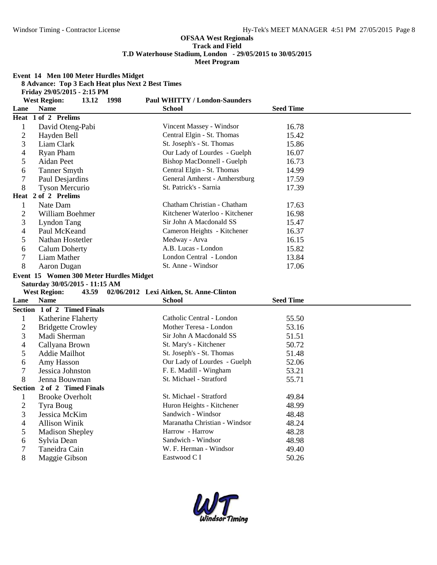**Event 14 Men 100 Meter Hurdles Midget 8 Advance: Top 3 Each Heat plus Next 2 Best Times Friday 29/05/2015 - 2:15 PM West Region: 13.12 1998 Paul WHITTY / London-Saunders Lane Name School Seed Time Heat 1 of 2 Prelims** 1 David Oteng-Pabi Vincent Massey - Windsor 16.78<br>2 Havden Bell Central Elgin - St. Thomas 15.42 2 Hayden Bell Central Elgin - St. Thomas 15.42 3 Liam Clark St. Joseph's - St. Thomas 15.86 4 Ryan Pham 0ur Lady of Lourdes - Guelph 16.07<br>5 Aidan Peet Bishop MacDonnell - Guelph 16.73 Aidan Peet Bishop MacDonnell - Guelph 16.73 6 Tanner Smyth Central Elgin - St. Thomas 14.99 7 Paul Desjardins General Amherst - Amherstburg 17.59<br>
8 Tyson Mercurio St. Patrick's - Sarnia 17.39 8 Tyson Mercurio St. Patrick's - Sarnia 17.39 **Heat 2 of 2 Prelims** 1 Nate Dam Chatham Christian - Chatham 17.63<br>2 William Boehmer Kitchener Waterloo - Kitchener 16.98 2 William Boehmer Kitchener Waterloo - Kitchener 16.98 3 Lyndon Tang Sir John A Macdonald SS 15.47<br>4 Paul McKeand Cameron Heights - Kitchener 16.37 4 Paul McKeand Cameron Heights - Kitchener 16.37<br>5 Nathan Hostetler Medway - Arva 16.15 Nathan Hostetler Medway - Arva 16.15 6 Calum Doherty A.B. Lucas - London 15.82 7 Liam Mather London Central - London 13.84 8 Aaron Dugan St. Anne - Windsor 17.06 **Event 15 Women 300 Meter Hurdles Midget Saturday 30/05/2015 - 11:15 AM West Region: 43.59 02/06/2012 Lexi Aitken, St. Anne-Clinton Lane Name School Seed Time Section 1 of 2 Timed Finals**

| Section 1 of 2 Timed Finals |                               |       |
|-----------------------------|-------------------------------|-------|
| <b>Katherine Flaherty</b>   | Catholic Central - London     | 55.50 |
| <b>Bridgette Crowley</b>    | Mother Teresa - London        | 53.16 |
| Madi Sherman                | Sir John A Macdonald SS       | 51.51 |
| Callyana Brown              | St. Mary's - Kitchener        | 50.72 |
| Addie Mailhot               | St. Joseph's - St. Thomas     | 51.48 |
| Amy Hasson                  | Our Lady of Lourdes - Guelph  | 52.06 |
| Jessica Johnston            | F. E. Madill - Wingham        | 53.21 |
| Jenna Bouwman               | St. Michael - Stratford       | 55.71 |
|                             |                               |       |
| <b>Brooke Overholt</b>      | St. Michael - Stratford       | 49.84 |
| Tyra Boug                   | Huron Heights - Kitchener     | 48.99 |
|                             |                               |       |
| Jessica McKim               | Sandwich - Windsor            | 48.48 |
| <b>Allison Winik</b>        | Maranatha Christian - Windsor | 48.24 |
| <b>Madison Shepley</b>      | Harrow - Harrow               | 48.28 |
| Sylvia Dean                 | Sandwich - Windsor            | 48.98 |
| Taneidra Cain               | W. F. Herman - Windsor        | 49.40 |
|                             | Section 2 of 2 Timed Finals   |       |

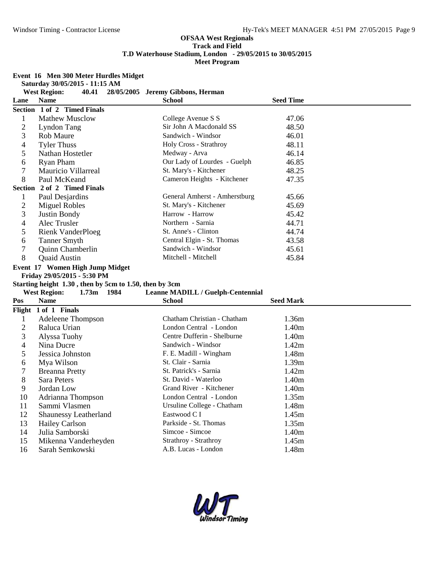### **Event 16 Men 300 Meter Hurdles Midget**

**Saturday 30/05/2015 - 11:15 AM West Region: 40.41 28/05/2005 Jeremy Gibbons, Herman**

| Lane                     | <b>Name</b>                                            | <b>School</b>                     | <b>Seed Time</b> |
|--------------------------|--------------------------------------------------------|-----------------------------------|------------------|
|                          | Section 1 of 2 Timed Finals                            |                                   |                  |
| $\mathbf{1}$             | <b>Mathew Musclow</b>                                  | College Avenue S S                | 47.06            |
| $\overline{2}$           | Lyndon Tang                                            | Sir John A Macdonald SS           | 48.50            |
| 3                        | <b>Rob Maure</b>                                       | Sandwich - Windsor                | 46.01            |
| $\overline{4}$           | <b>Tyler Thuss</b>                                     | Holy Cross - Strathroy            | 48.11            |
| 5                        | Nathan Hostetler                                       | Medway - Arva                     | 46.14            |
| 6                        | Ryan Pham                                              | Our Lady of Lourdes - Guelph      | 46.85            |
| 7                        | Mauricio Villarreal                                    | St. Mary's - Kitchener            | 48.25            |
| 8                        | Paul McKeand                                           | Cameron Heights - Kitchener       | 47.35            |
|                          | Section 2 of 2 Timed Finals                            |                                   |                  |
| $\mathbf{1}$             | Paul Desjardins                                        | General Amherst - Amherstburg     | 45.66            |
| $\overline{c}$           | <b>Miguel Robles</b>                                   | St. Mary's - Kitchener            | 45.69            |
| 3                        | Justin Bondy                                           | Harrow - Harrow                   | 45.42            |
| 4                        | Alec Trusler                                           | Northern - Sarnia                 | 44.71            |
| 5                        | <b>Rienk VanderPloeg</b>                               | St. Anne's - Clinton              | 44.74            |
| 6                        | <b>Tanner Smyth</b>                                    | Central Elgin - St. Thomas        | 43.58            |
| 7                        | Quinn Chamberlin                                       | Sandwich - Windsor                | 45.61            |
| 8                        | Quaid Austin                                           | Mitchell - Mitchell               | 45.84            |
|                          | Event 17 Women High Jump Midget                        |                                   |                  |
|                          | Friday 29/05/2015 - 5:30 PM                            |                                   |                  |
|                          | Starting height 1.30, then by 5cm to 1.50, then by 3cm |                                   |                  |
|                          | <b>West Region:</b><br>1.73m 1984                      | Leanne MADILL / Guelph-Centennial |                  |
| Pos                      | <b>Name</b>                                            | School                            | <b>Seed Mark</b> |
|                          | Flight $1$ of $1$ Finals                               |                                   |                  |
| $\mathbf{1}$             | Adeleene Thompson                                      | Chatham Christian - Chatham       | 1.36m            |
| $\overline{2}$           | Raluca Urian                                           | London Central - London           | 1.40m            |
| 3                        | Alyssa Tuohy                                           | Centre Dufferin - Shelburne       | 1.40m            |
| $\overline{\mathcal{A}}$ | Nina Ducre                                             | Sandwich - Windsor                | 1.42m            |
| 5                        | Jessica Johnston                                       | F. E. Madill - Wingham            | 1.48m            |
| 6                        | Mya Wilson                                             | St. Clair - Sarnia                | 1.39m            |
| 7                        | <b>Breanna Pretty</b>                                  | St. Patrick's - Sarnia            | 1.42m            |
| 8                        | <b>Sara Peters</b>                                     | St. David - Waterloo              | 1.40m            |
| 9                        | Jordan Low                                             | Grand River - Kitchener           | 1.40m            |
| 10                       | Adrianna Thompson                                      | London Central - London           | 1.35m            |
| 11                       | Sammi Vlasmen                                          | Ursuline College - Chatham        | 1.48m            |
| 12                       | Shaunessy Leatherland                                  | Eastwood C I                      | 1.45m            |
| 13                       | <b>Hailey Carlson</b>                                  | Parkside - St. Thomas             | 1.35m            |
| 14                       | Julia Samborski                                        | Simcoe - Simcoe                   | 1.40m            |
| 15                       | Mikenna Vanderheyden                                   | Strathroy - Strathroy             | 1.45m            |
| 16                       | Sarah Semkowski                                        | A.B. Lucas - London               | 1.48m            |

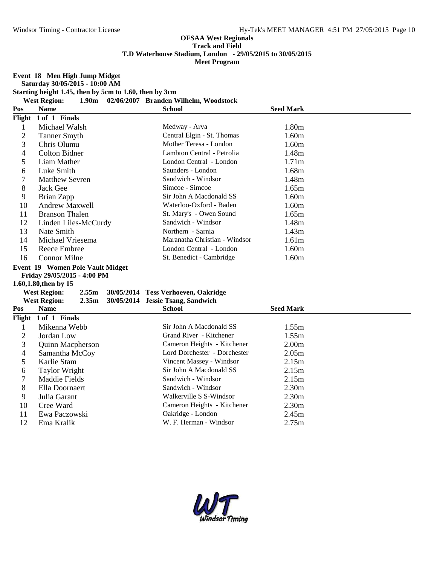**Event 18 Men High Jump Midget**

**Saturday 30/05/2015 - 10:00 AM**

**Starting height 1.45, then by 5cm to 1.60, then by 3cm**

**West Region: 1.90m 02/06/2007 Branden Wilhelm, Woodstock**

| Pos            | <b>Name</b>                              | <b>School</b>                       | <b>Seed Mark</b>  |  |
|----------------|------------------------------------------|-------------------------------------|-------------------|--|
| Flight         | 1 of 1 Finals                            |                                     |                   |  |
| 1              | Michael Walsh                            | Medway - Arva                       | 1.80m             |  |
| $\mathbf{2}$   | <b>Tanner Smyth</b>                      | Central Elgin - St. Thomas          | 1.60m             |  |
| 3              | Chris Olumu                              | Mother Teresa - London              | 1.60m             |  |
| $\overline{4}$ | <b>Colton Bidner</b>                     | Lambton Central - Petrolia          | 1.48m             |  |
| 5              | Liam Mather                              | London Central - London             | 1.71 <sub>m</sub> |  |
| 6              | Luke Smith                               | Saunders - London                   | 1.68m             |  |
| 7              | <b>Matthew Sevren</b>                    | Sandwich - Windsor                  | 1.48m             |  |
| 8              | Jack Gee                                 | Simcoe - Simcoe                     | 1.65m             |  |
| 9              | Brian Zapp                               | Sir John A Macdonald SS             | 1.60m             |  |
| 10             | <b>Andrew Maxwell</b>                    | Waterloo-Oxford - Baden             | 1.60m             |  |
| 11             | <b>Branson Thalen</b>                    | St. Mary's - Owen Sound             | 1.65m             |  |
| 12             | Linden Liles-McCurdy                     | Sandwich - Windsor                  | 1.48m             |  |
| 13             | Nate Smith                               | Northern - Sarnia                   | 1.43m             |  |
| 14             | Michael Vriesema                         | Maranatha Christian - Windsor       | 1.61m             |  |
| 15             | <b>Reece Embree</b>                      | London Central - London             | 1.60m             |  |
| 16             | <b>Connor Milne</b>                      | St. Benedict - Cambridge            | 1.60m             |  |
|                | Event 19 Women Pole Vault Midget         |                                     |                   |  |
|                | Friday 29/05/2015 - 4:00 PM              |                                     |                   |  |
|                | 1.60,1.80, then by 15                    |                                     |                   |  |
|                | <b>West Region:</b><br>2.55m             | 30/05/2014 Tess Verhoeven, Oakridge |                   |  |
|                | <b>West Region:</b><br>2.35 <sub>m</sub> | 30/05/2014 Jessie Tsang, Sandwich   |                   |  |
| Pos            | <b>Name</b>                              | <b>School</b>                       | <b>Seed Mark</b>  |  |
|                | Flight 1 of 1 Finals                     |                                     |                   |  |
| $\mathbf{1}$   | Mikenna Webb                             | Sir John A Macdonald SS             | 1.55m             |  |
| $\overline{c}$ | Jordan Low                               | Grand River - Kitchener             | 1.55m             |  |
| 3              | Quinn Macpherson                         | Cameron Heights - Kitchener         | 2.00 <sub>m</sub> |  |
| 4              | Samantha McCoy                           | Lord Dorchester - Dorchester        | 2.05m             |  |
| 5              | Karlie Stam                              | Vincent Massey - Windsor            | 2.15m             |  |
| 6              | <b>Taylor Wright</b>                     | Sir John A Macdonald SS             | 2.15m             |  |
| 7              | <b>Maddie Fields</b>                     | Sandwich - Windsor                  | 2.15m             |  |
| 8              | Ella Doornaert                           | Sandwich - Windsor                  | 2.30 <sub>m</sub> |  |
| 9              | Julia Garant                             | Walkerville S S-Windsor             | 2.30 <sub>m</sub> |  |
| 10             |                                          |                                     |                   |  |
|                | Cree Ward                                | Cameron Heights - Kitchener         | 2.30 <sub>m</sub> |  |
| 11<br>12       | Ewa Paczowski                            | Oakridge - London                   | 2.45m<br>2.75m    |  |

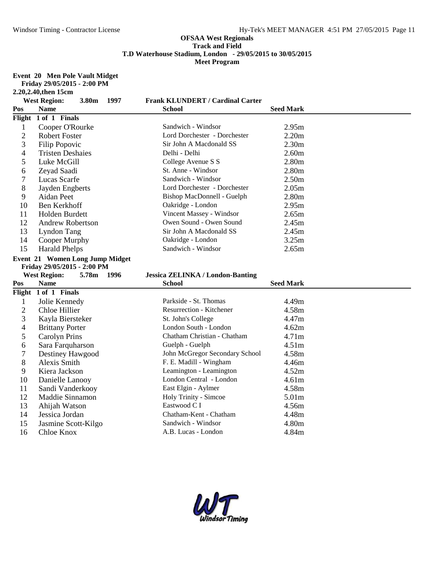**Event 20 Men Pole Vault Midget**

|                | Friday 29/05/2015 - 2:00 PM     |      |                                         |                   |  |
|----------------|---------------------------------|------|-----------------------------------------|-------------------|--|
|                | 2.20,2.40, then 15cm            |      |                                         |                   |  |
|                | <b>West Region:</b><br>3.80m    | 1997 | <b>Frank KLUNDERT / Cardinal Carter</b> |                   |  |
| Pos            | <b>Name</b>                     |      | <b>School</b>                           | <b>Seed Mark</b>  |  |
|                | Flight 1 of 1 Finals            |      |                                         |                   |  |
| $\mathbf{1}$   | Cooper O'Rourke                 |      | Sandwich - Windsor                      | 2.95m             |  |
| $\overline{2}$ | <b>Robert Foster</b>            |      | Lord Dorchester - Dorchester            | 2.20m             |  |
| 3              | Filip Popovic                   |      | Sir John A Macdonald SS                 | 2.30 <sub>m</sub> |  |
| $\overline{4}$ | <b>Tristen Deshaies</b>         |      | Delhi - Delhi                           | 2.60m             |  |
| 5              | Luke McGill                     |      | College Avenue S S                      | 2.80 <sub>m</sub> |  |
| 6              | Zeyad Saadi                     |      | St. Anne - Windsor                      | 2.80 <sub>m</sub> |  |
| 7              | Lucas Scarfe                    |      | Sandwich - Windsor                      | 2.50 <sub>m</sub> |  |
| 8              | Jayden Engberts                 |      | Lord Dorchester - Dorchester            | 2.05m             |  |
| 9              | Aidan Peet                      |      | Bishop MacDonnell - Guelph              | 2.80 <sub>m</sub> |  |
| 10             | Ben Kerkhoff                    |      | Oakridge - London                       | 2.95m             |  |
| 11             | Holden Burdett                  |      | Vincent Massey - Windsor                | 2.65m             |  |
| 12             | <b>Andrew Robertson</b>         |      | Owen Sound - Owen Sound                 | 2.45m             |  |
| 13             | Lyndon Tang                     |      | Sir John A Macdonald SS                 | 2.45m             |  |
| 14             | Cooper Murphy                   |      | Oakridge - London                       | 3.25m             |  |
| 15             | <b>Harald Phelps</b>            |      | Sandwich - Windsor                      | 2.65m             |  |
|                | Event 21 Women Long Jump Midget |      |                                         |                   |  |
|                |                                 |      |                                         |                   |  |
|                | Friday 29/05/2015 - 2:00 PM     |      |                                         |                   |  |
|                | <b>West Region:</b><br>5.78m    | 1996 | <b>Jessica ZELINKA / London-Banting</b> |                   |  |
| Pos            | <b>Name</b>                     |      | <b>School</b>                           | <b>Seed Mark</b>  |  |
|                | Flight 1 of 1 Finals            |      |                                         |                   |  |
| $\mathbf{1}$   | Jolie Kennedy                   |      | Parkside - St. Thomas                   | 4.49m             |  |
| $\mathbf{2}$   | Chloe Hillier                   |      | Resurrection - Kitchener                | 4.58m             |  |
| 3              | Kayla Biersteker                |      | St. John's College                      | 4.47m             |  |
| 4              | <b>Brittany Porter</b>          |      | London South - London                   | 4.62m             |  |
| 5              | <b>Carolyn Prins</b>            |      | Chatham Christian - Chatham             | 4.71m             |  |
| 6              | Sara Farquharson                |      | Guelph - Guelph                         | 4.51m             |  |
| 7              | Destiney Hawgood                |      | John McGregor Secondary School          | 4.58m             |  |
| 8              | <b>Alexis Smith</b>             |      | F. E. Madill - Wingham                  | 4.46m             |  |
| 9              | Kiera Jackson                   |      | Leamington - Leamington                 | 4.52m             |  |
| 10             | Danielle Lanooy                 |      | London Central - London                 | 4.61m             |  |
| 11             | Sandi Vanderkooy                |      | East Elgin - Aylmer                     | 4.58m             |  |
| 12             | Maddie Sinnamon                 |      | Holy Trinity - Simcoe                   | 5.01m             |  |
| 13             | Ahijah Watson                   |      | Eastwood C I                            | 4.56m             |  |
| 14             | Jessica Jordan                  |      | Chatham-Kent - Chatham                  | 4.48m             |  |
| 15             | Jasmine Scott-Kilgo             |      | Sandwich - Windsor                      | 4.80m             |  |

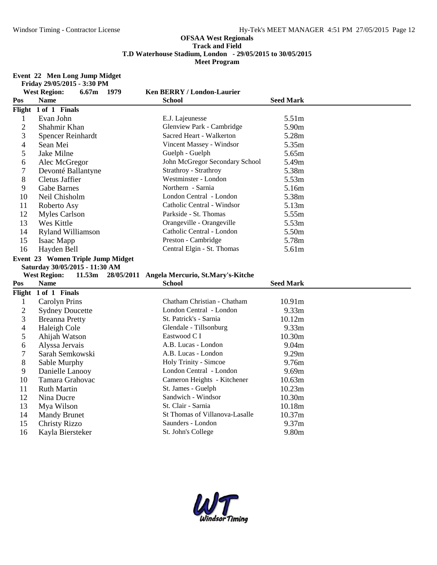#### **Event 22 Men Long Jump Midget Friday 29/05/2015 - 3:30 PM**

|                | <b>West Region:</b><br>$6.67m$ 1979      | <b>Ken BERRY / London-Laurier</b>            |                   |  |
|----------------|------------------------------------------|----------------------------------------------|-------------------|--|
| Pos            | Name                                     | <b>School</b>                                | <b>Seed Mark</b>  |  |
|                | Flight 1 of 1 Finals                     |                                              |                   |  |
| $\mathbf{1}$   | Evan John                                | E.J. Lajeunesse                              | 5.51m             |  |
| $\overline{2}$ | Shahmir Khan                             | Glenview Park - Cambridge                    | 5.90m             |  |
| 3              | Spencer Reinhardt                        | Sacred Heart - Walkerton                     | 5.28m             |  |
| 4              | Sean Mei                                 | Vincent Massey - Windsor                     | 5.35m             |  |
| 5              | Jake Milne                               | Guelph - Guelph                              | 5.65m             |  |
| 6              | Alec McGregor                            | John McGregor Secondary School               | 5.49m             |  |
| 7              | Devonté Ballantyne                       | Strathroy - Strathroy                        | 5.38m             |  |
| 8              | Cletus Jaffier                           | Westminster - London                         | 5.53m             |  |
| 9              | <b>Gabe Barnes</b>                       | Northern - Sarnia                            | 5.16m             |  |
| 10             | Neil Chisholm                            | London Central - London                      | 5.38m             |  |
| 11             | Roberto Asy                              | Catholic Central - Windsor                   | 5.13m             |  |
| 12             | <b>Myles Carlson</b>                     | Parkside - St. Thomas                        | 5.55m             |  |
| 13             | Wes Kittle                               | Orangeville - Orangeville                    | 5.53m             |  |
| 14             | <b>Ryland Williamson</b>                 | Catholic Central - London                    | 5.50m             |  |
| 15             | Isaac Mapp                               | Preston - Cambridge                          | 5.78m             |  |
| 16             | Hayden Bell                              | Central Elgin - St. Thomas                   | 5.61m             |  |
|                | Event 23 Women Triple Jump Midget        |                                              |                   |  |
|                |                                          |                                              |                   |  |
|                | Saturday 30/05/2015 - 11:30 AM           |                                              |                   |  |
|                | <b>West Region:</b><br>11.53m            | 28/05/2011 Angela Mercurio, St.Mary's-Kitche |                   |  |
| Pos            | <b>Name</b>                              | <b>School</b>                                | <b>Seed Mark</b>  |  |
|                | Flight 1 of 1 Finals                     |                                              |                   |  |
| $\mathbf{1}$   | <b>Carolyn Prins</b>                     | Chatham Christian - Chatham                  | 10.91m            |  |
| $\overline{c}$ | <b>Sydney Doucette</b>                   | London Central - London                      | 9.33m             |  |
| 3              | <b>Breanna Pretty</b>                    | St. Patrick's - Sarnia                       | 10.12m            |  |
| 4              | Haleigh Cole                             | Glendale - Tillsonburg                       | 9.33m             |  |
| 5              | Ahijah Watson                            | Eastwood C I                                 | 10.30m            |  |
| 6              | Alyssa Jervais                           | A.B. Lucas - London                          | 9.04 <sub>m</sub> |  |
| 7              | Sarah Semkowski                          | A.B. Lucas - London                          | 9.29m             |  |
| 8              | Sable Murphy                             | Holy Trinity - Simcoe                        | 9.76m             |  |
| 9              | Danielle Lanooy                          | London Central - London                      | 9.69m             |  |
| 10             | Tamara Grahovac                          | Cameron Heights - Kitchener                  | 10.63m            |  |
| 11             | <b>Ruth Martin</b>                       | St. James - Guelph                           | 10.23m            |  |
| 12             | Nina Ducre                               | Sandwich - Windsor                           | 10.30m            |  |
| 13             | Mya Wilson                               | St. Clair - Sarnia                           | 10.18m            |  |
| 14             | <b>Mandy Brunet</b>                      | St Thomas of Villanova-Lasalle               | 10.37m            |  |
| 15<br>16       | <b>Christy Rizzo</b><br>Kayla Biersteker | Saunders - London<br>St. John's College      | 9.37m<br>9.80m    |  |

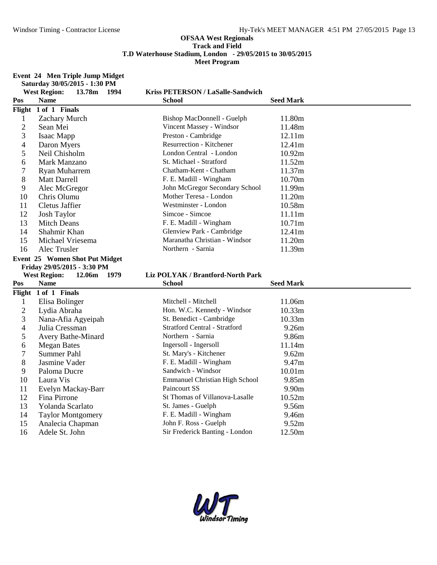#### **Event 24 Men Triple Jump Midget Saturday 30/05/2015 - 1:30 PM**

|                | <b>West Region:</b><br>13.78m<br>1994 | Kriss PETERSON / LaSalle-Sandwich                       |                    |
|----------------|---------------------------------------|---------------------------------------------------------|--------------------|
| Pos            | <b>Name</b>                           | <b>School</b>                                           | <b>Seed Mark</b>   |
|                | Flight 1 of 1 Finals                  |                                                         |                    |
| $\mathbf{1}$   | Zachary Murch                         | Bishop MacDonnell - Guelph                              | 11.80m             |
| $\overline{2}$ | Sean Mei                              | Vincent Massey - Windsor                                | 11.48m             |
| 3              | Isaac Mapp                            | Preston - Cambridge                                     | 12.11m             |
| 4              | Daron Myers                           | Resurrection - Kitchener                                | 12.41m             |
| 5              | Neil Chisholm                         | London Central - London                                 | 10.92m             |
| 6              | Mark Manzano                          | St. Michael - Stratford                                 | 11.52m             |
| 7              | <b>Ryan Muharrem</b>                  | Chatham-Kent - Chatham                                  | 11.37m             |
| 8              | <b>Matt Darrell</b>                   | F. E. Madill - Wingham                                  | 10.70m             |
| 9              | Alec McGregor                         | John McGregor Secondary School                          | 11.99m             |
| 10             | Chris Olumu                           | Mother Teresa - London                                  | 11.20m             |
| 11             | <b>Cletus Jaffier</b>                 | Westminster - London                                    | 10.58m             |
| 12             | <b>Josh Taylor</b>                    | Simcoe - Simcoe                                         | 11.11m             |
| 13             | <b>Mitch Deans</b>                    | F. E. Madill - Wingham                                  | 10.71m             |
| 14             | Shahmir Khan                          | Glenview Park - Cambridge                               | 12.41m             |
| 15             | Michael Vriesema                      | Maranatha Christian - Windsor                           | 11.20m             |
| 16             | Alec Trusler                          | Northern - Sarnia                                       | 11.39m             |
|                | Event 25 Women Shot Put Midget        |                                                         |                    |
|                |                                       |                                                         |                    |
|                | Friday 29/05/2015 - 3:30 PM           |                                                         |                    |
|                | <b>West Region:</b><br>12.06m<br>1979 | Liz POLYAK / Brantford-North Park                       |                    |
| Pos            | <b>Name</b>                           | <b>School</b>                                           | <b>Seed Mark</b>   |
|                | Flight 1 of 1 Finals                  |                                                         |                    |
| $\mathbf{1}$   | Elisa Bolinger                        | Mitchell - Mitchell                                     | 11.06m             |
| $\overline{c}$ | Lydia Abraha                          | Hon. W.C. Kennedy - Windsor                             | 10.33m             |
| 3              | Nana-Afia Agyeipah                    | St. Benedict - Cambridge                                | 10.33m             |
| 4              | Julia Cressman                        | <b>Stratford Central - Stratford</b>                    | 9.26m              |
| 5              | Avery Bathe-Minard                    | Northern - Sarnia                                       | 9.86m              |
| 6              | <b>Megan Bates</b>                    | Ingersoll - Ingersoll                                   | 11.14m             |
| 7              | <b>Summer Pahl</b>                    | St. Mary's - Kitchener                                  | 9.62m              |
| 8              | Jasmine Vader                         | F. E. Madill - Wingham                                  | 9.47m              |
| 9              | Paloma Ducre                          | Sandwich - Windsor                                      | 10.01 <sub>m</sub> |
| 10             | Laura Vis                             | <b>Emmanuel Christian High School</b>                   | 9.85m              |
| 11             | Evelyn Mackay-Barr                    | Paincourt SS                                            | 9.90m              |
| 12             | Fina Pirrone                          | St Thomas of Villanova-Lasalle                          | 10.52m             |
| 13             | Yolanda Scarlato                      | St. James - Guelph                                      | 9.56m              |
| 14             | <b>Taylor Montgomery</b>              | F. E. Madill - Wingham                                  | 9.46m              |
| 15<br>16       | Analecia Chapman<br>Adele St. John    | John F. Ross - Guelph<br>Sir Frederick Banting - London | 9.52m<br>12.50m    |

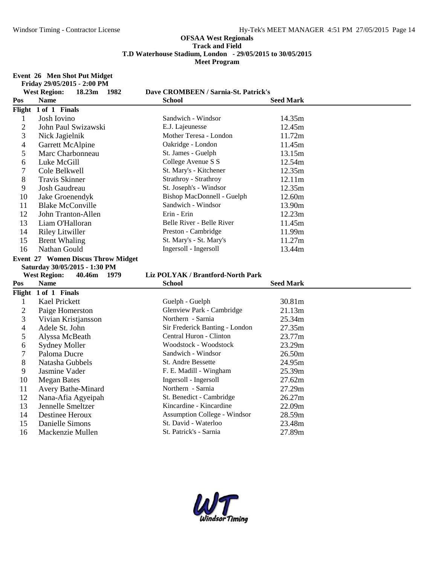#### **Event 26 Men Shot Put Midget Friday 29/05/2015 - 2:00 PM**

|                | <b>West Region:</b><br>18.23m      | 1982 | Dave CROMBEEN / Sarnia-St. Patrick's |                  |  |
|----------------|------------------------------------|------|--------------------------------------|------------------|--|
| Pos            | <b>Name</b>                        |      | <b>School</b>                        | <b>Seed Mark</b> |  |
|                | Flight 1 of 1 Finals               |      |                                      |                  |  |
| $\mathbf{1}$   | Josh Iovino                        |      | Sandwich - Windsor                   | 14.35m           |  |
| $\overline{2}$ | John Paul Swizawski                |      | E.J. Lajeunesse                      | 12.45m           |  |
| 3              | Nick Jagielnik                     |      | Mother Teresa - London               | 11.72m           |  |
| 4              | Garrett McAlpine                   |      | Oakridge - London                    | 11.45m           |  |
| 5              | Marc Charbonneau                   |      | St. James - Guelph                   | 13.15m           |  |
| 6              | Luke McGill                        |      | College Avenue S S                   | 12.54m           |  |
| 7              | Cole Belkwell                      |      | St. Mary's - Kitchener               | 12.35m           |  |
| 8              | <b>Travis Skinner</b>              |      | Strathroy - Strathroy                | 12.11m           |  |
| 9              | Josh Gaudreau                      |      | St. Joseph's - Windsor               | 12.35m           |  |
| 10             | Jake Groenendyk                    |      | Bishop MacDonnell - Guelph           | 12.60m           |  |
| 11             | <b>Blake McConville</b>            |      | Sandwich - Windsor                   | 13.90m           |  |
| 12             | John Tranton-Allen                 |      | Erin - Erin                          | 12.23m           |  |
| 13             | Liam O'Halloran                    |      | Belle River - Belle River            | 11.45m           |  |
| 14             | <b>Riley Litwiller</b>             |      | Preston - Cambridge                  | 11.99m           |  |
| 15             | <b>Brent Whaling</b>               |      | St. Mary's - St. Mary's              | 11.27m           |  |
| 16             | Nathan Gould                       |      | Ingersoll - Ingersoll                | 13.44m           |  |
|                | Event 27 Women Discus Throw Midget |      |                                      |                  |  |
|                |                                    |      |                                      |                  |  |
|                | Saturday 30/05/2015 - 1:30 PM      |      |                                      |                  |  |
|                | <b>West Region:</b><br>40.46m      | 1979 | Liz POLYAK / Brantford-North Park    |                  |  |
| Pos            | <b>Name</b>                        |      | <b>School</b>                        | <b>Seed Mark</b> |  |
|                | Flight 1 of 1 Finals               |      |                                      |                  |  |
| 1              | Kael Prickett                      |      | Guelph - Guelph                      | 30.81m           |  |
| $\overline{2}$ | Paige Homerston                    |      | Glenview Park - Cambridge            | 21.13m           |  |
| 3              | Vivian Kristjansson                |      | Northern - Sarnia                    | 25.34m           |  |
| 4              | Adele St. John                     |      | Sir Frederick Banting - London       | 27.35m           |  |
| 5              | Alyssa McBeath                     |      | Central Huron - Clinton              | 23.77m           |  |
| 6              | <b>Sydney Moller</b>               |      | Woodstock - Woodstock                | 23.29m           |  |
| 7              | Paloma Ducre                       |      | Sandwich - Windsor                   | 26.50m           |  |
| 8              | Natasha Gubbels                    |      | St. Andre Bessette                   | 24.95m           |  |
| 9              | Jasmine Vader                      |      | F. E. Madill - Wingham               | 25.39m           |  |
| 10             | <b>Megan Bates</b>                 |      | Ingersoll - Ingersoll                | 27.62m           |  |
| 11             | Avery Bathe-Minard                 |      | Northern - Sarnia                    | 27.29m           |  |
| 12             | Nana-Afia Agyeipah                 |      | St. Benedict - Cambridge             | 26.27m           |  |
| 13             | Jennelle Smeltzer                  |      | Kincardine - Kincardine              | 22.09m           |  |
| 14             | Destinee Heroux                    |      | <b>Assumption College - Windsor</b>  | 28.59m           |  |
| 15             | Danielle Simons                    |      | St. David - Waterloo                 | 23.48m           |  |

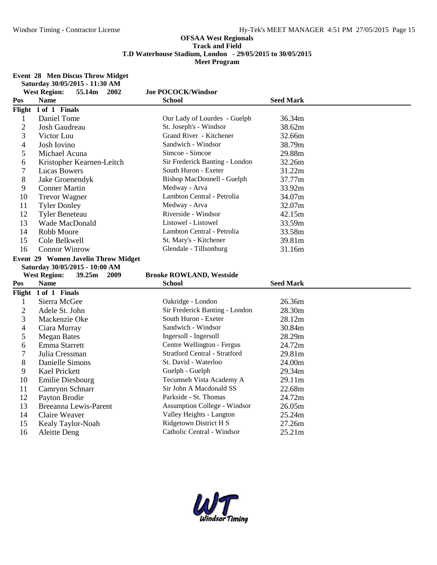#### **Event 28 Men Discus Throw Midget**

|                | Saturday 30/05/2015 - 11:30 AM        |                                      |                  |  |
|----------------|---------------------------------------|--------------------------------------|------------------|--|
|                | <b>West Region:</b><br>55.14m<br>2002 | <b>Joe POCOCK/Windsor</b>            |                  |  |
| Pos            | <b>Name</b>                           | <b>School</b>                        | <b>Seed Mark</b> |  |
|                | Flight 1 of 1 Finals                  |                                      |                  |  |
| $\mathbf{1}$   | Daniel Tome                           | Our Lady of Lourdes - Guelph         | 36.34m           |  |
| $\overline{2}$ | Josh Gaudreau                         | St. Joseph's - Windsor               | 38.62m           |  |
| 3              | Victor Luu                            | Grand River - Kitchener              | 32.66m           |  |
| 4              | Josh Iovino                           | Sandwich - Windsor                   | 38.79m           |  |
| 5              | Michael Acuna                         | Simcoe - Simcoe                      | 29.88m           |  |
| 6              | Kristopher Kearnen-Leitch             | Sir Frederick Banting - London       | 32.26m           |  |
| 7              | <b>Lucas Bowers</b>                   | South Huron - Exeter                 | 31.22m           |  |
| 8              | Jake Groenendyk                       | Bishop MacDonnell - Guelph           | 37.77m           |  |
| 9              | <b>Conner Martin</b>                  | Medway - Arva                        | 33.92m           |  |
| 10             | <b>Trevor Wagner</b>                  | Lambton Central - Petrolia           | 34.07m           |  |
| 11             | <b>Tyler Donley</b>                   | Medway - Arva                        | 32.07m           |  |
| 12             | <b>Tyler Beneteau</b>                 | Riverside - Windsor                  | 42.15m           |  |
| 13             | Wade MacDonald                        | Listowel - Listowel                  | 33.59m           |  |
| 14             | Robb Moore                            | Lambton Central - Petrolia           | 33.58m           |  |
| 15             | Cole Belkwell                         | St. Mary's - Kitchener               | 39.81m           |  |
| 16             | <b>Connor Winrow</b>                  | Glendale - Tillsonburg               | 31.16m           |  |
|                | Event 29 Women Javelin Throw Midget   |                                      |                  |  |
|                | Saturday 30/05/2015 - 10:00 AM        |                                      |                  |  |
|                |                                       |                                      |                  |  |
|                | 39.25m<br><b>West Region:</b><br>2009 | <b>Brooke ROWLAND, Westside</b>      |                  |  |
| Pos            | <b>Name</b>                           | <b>School</b>                        | <b>Seed Mark</b> |  |
|                | Flight 1 of 1 Finals                  |                                      |                  |  |
| 1              | Sierra McGee                          | Oakridge - London                    | 26.36m           |  |
| $\overline{2}$ | Adele St. John                        | Sir Frederick Banting - London       | 28.30m           |  |
| 3              | Mackenzie Oke                         | South Huron - Exeter                 | 28.12m           |  |
| 4              | Ciara Murray                          | Sandwich - Windsor                   | 30.84m           |  |
| 5              | <b>Megan Bates</b>                    | Ingersoll - Ingersoll                | 28.29m           |  |
| 6              | Emma Starrett                         | Centre Wellington - Fergus           | 24.72m           |  |
| 7              | Julia Cressman                        | <b>Stratford Central - Stratford</b> | 29.81m           |  |
| 8              | Danielle Simons                       | St. David - Waterloo                 | 24.00m           |  |
| 9              | Kael Prickett                         | Guelph - Guelph                      | 29.34m           |  |
| 10             | <b>Emilie Diesbourg</b>               | Tecumseh Vista Academy A             | 29.11m           |  |
| 11             | Camrynn Schnarr                       | Sir John A Macdonald SS              | 22.68m           |  |
| 12             | Payton Brodie                         | Parkside - St. Thomas                | 24.72m           |  |
| 13             | Breeanna Lewis-Parent                 | <b>Assumption College - Windsor</b>  | 26.05m           |  |
| 14             | Claire Weaver                         | Valley Heights - Langton             | 25.24m           |  |
| 15<br>16       | Kealy Taylor-Noah                     | Ridgetown District H S               | 27.26m<br>25.21m |  |

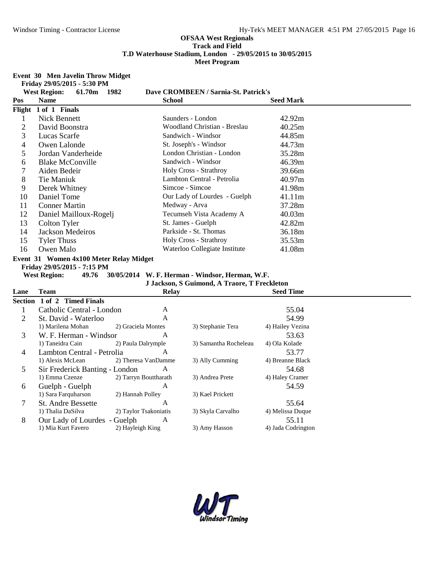### **Event 30 Men Javelin Throw Midget**

**Friday 29/05/2015 - 5:30 PM**

|     | $1.108$ $2700$ $12010 - 0.001101$<br><b>West Region:</b><br>61.70m<br>1982                    | Dave CROMBEEN / Sarnia-St. Patrick's                  |                  |
|-----|-----------------------------------------------------------------------------------------------|-------------------------------------------------------|------------------|
| Pos | <b>Name</b>                                                                                   | <b>School</b>                                         | <b>Seed Mark</b> |
|     | Flight 1 of 1 Finals                                                                          |                                                       |                  |
|     | <b>Nick Bennett</b>                                                                           | Saunders - London                                     | 42.92m           |
| 2   | David Boonstra                                                                                | Woodland Christian - Breslau                          | 40.25m           |
| 3   | Lucas Scarfe                                                                                  | Sandwich - Windsor                                    | 44.85m           |
| 4   | Owen Lalonde                                                                                  | St. Joseph's - Windsor                                | 44.73m           |
| 5   | Jordan Vanderheide                                                                            | London Christian - London                             | 35.28m           |
| 6   | <b>Blake McConville</b>                                                                       | Sandwich - Windsor                                    | 46.39m           |
| 7   | Aiden Bedeir                                                                                  | Holy Cross - Strathroy                                | 39.66m           |
| 8   | Tie Maniuk                                                                                    | Lambton Central - Petrolia                            | 40.97m           |
| 9   | Derek Whitney                                                                                 | Simcoe - Simcoe                                       | 41.98m           |
| 10  | Daniel Tome                                                                                   | Our Lady of Lourdes - Guelph                          | 41.11m           |
| 11  | <b>Conner Martin</b>                                                                          | Medway - Arva                                         | 37.28m           |
| 12  | Daniel Mailloux-Rogelj                                                                        | Tecumseh Vista Academy A                              | 40.03m           |
| 13  | Colton Tyler                                                                                  | St. James - Guelph                                    | 42.82m           |
| 14  | Jackson Medeiros                                                                              | Parkside - St. Thomas                                 | 36.18m           |
| 15  | <b>Tyler Thuss</b>                                                                            | Holy Cross - Strathroy                                | 35.53m           |
| 16  | Owen Malo                                                                                     | Waterloo Collegiate Institute                         | 41.08m           |
|     | Event 31 Women 4x100 Meter Relay Midget<br>Friday 29/05/2015 - 7:15 PM<br><b>West Region:</b> | 49.76 30/05/2014 W. F. Herman - Windsor, Herman, W.F. |                  |

**J Jackson, S Guimond, A Traore, T Freckleton**

| Lane | Team                           | <b>Relay</b>          |                       | <b>Seed Time</b>   |  |
|------|--------------------------------|-----------------------|-----------------------|--------------------|--|
|      | Section 1 of 2 Timed Finals    |                       |                       |                    |  |
|      | Catholic Central - London      | A                     |                       | 55.04              |  |
| 2    | St. David - Waterloo           | A                     |                       | 54.99              |  |
|      | 1) Marilena Mohan              | 2) Graciela Montes    | 3) Stephanie Tera     | 4) Hailey Vezina   |  |
| 3    | W. F. Herman - Windsor         | A                     |                       | 53.63              |  |
|      | 1) Taneidra Cain               | 2) Paula Dalrymple    | 3) Samantha Rocheleau | 4) Ola Kolade      |  |
| 4    | Lambton Central - Petrolia     | A                     |                       | 53.77              |  |
|      | 1) Alexis McLean               | 2) Theresa VanDamme   | 3) Ally Cumming       | 4) Breanne Black   |  |
| 5    | Sir Frederick Banting - London | A                     |                       | 54.68              |  |
|      | 1) Emma Czenze                 | 2) Tarryn Bouttharath | 3) Andrea Prete       | 4) Haley Cramer    |  |
| 6    | Guelph - Guelph                | A                     |                       | 54.59              |  |
|      | 1) Sara Farquharson            | 2) Hannah Polley      | 3) Kael Prickett      |                    |  |
| 7    | <b>St. Andre Bessette</b>      | A                     |                       | 55.64              |  |
|      | 1) Thalia DaSilva              | 2) Taylor Tsakoniatis | 3) Skyla Carvalho     | 4) Melissa Duque   |  |
| 8    | Our Lady of Lourdes - Guelph   | A                     |                       | 55.11              |  |
|      | 1) Mia Kurt Favero             | 2) Hayleigh King      | 3) Amy Hasson         | 4) Jada Codrington |  |

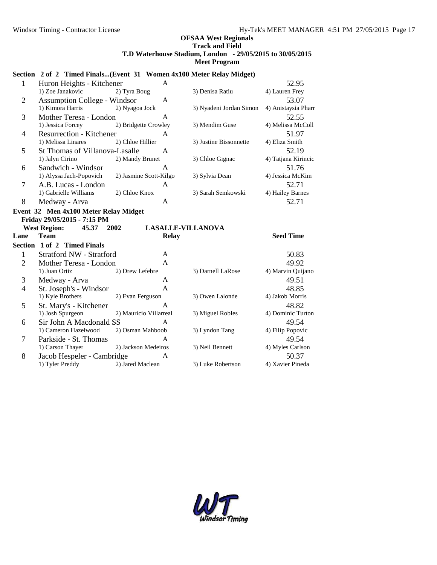# Section 2 of 2 Timed Finals...(Event 31 Women 4x100 Meter Relay Midget)

| $\mathbf{1}$   | Huron Heights - Kitchener                                   | A                      |                          | 52.95               |  |
|----------------|-------------------------------------------------------------|------------------------|--------------------------|---------------------|--|
|                | 1) Zoe Janakovic                                            | 2) Tyra Boug           | 3) Denisa Ratiu          | 4) Lauren Frey      |  |
| $\mathfrak{2}$ | <b>Assumption College - Windsor</b>                         | A                      |                          | 53.07               |  |
|                | 1) Kimora Harris                                            | 2) Nyagoa Jock         | 3) Nyadeni Jordan Simon  | 4) Anistaysia Pharr |  |
| 3              | Mother Teresa - London                                      | $\mathbf{A}$           |                          | 52.55               |  |
|                | 1) Jessica Forcey                                           | 2) Bridgette Crowley   | 3) Mendim Guse           | 4) Melissa McColl   |  |
| 4              | <b>Resurrection - Kitchener</b>                             | A                      |                          | 51.97               |  |
|                | 1) Melissa Linares                                          | 2) Chloe Hillier       | 3) Justine Bissonnette   | 4) Eliza Smith      |  |
| 5              | St Thomas of Villanova-Lasalle                              | A                      |                          | 52.19               |  |
|                | 1) Jalyn Cirino                                             | 2) Mandy Brunet        | 3) Chloe Gignac          | 4) Tatjana Kirincic |  |
| 6              | Sandwich - Windsor                                          | A                      |                          | 51.76               |  |
|                | 1) Alyssa Jach-Popovich                                     | 2) Jasmine Scott-Kilgo | 3) Sylvia Dean           | 4) Jessica McKim    |  |
| $\tau$         | A.B. Lucas - London                                         | A                      |                          | 52.71               |  |
|                | 1) Gabrielle Williams                                       | 2) Chloe Knox          | 3) Sarah Semkowski       | 4) Hailey Barnes    |  |
| 8              | Medway - Arva                                               | A                      |                          | 52.71               |  |
|                | Event 32 Men 4x100 Meter Relay Midget                       |                        |                          |                     |  |
|                |                                                             |                        |                          |                     |  |
|                |                                                             |                        |                          |                     |  |
|                | Friday 29/05/2015 - 7:15 PM<br><b>West Region:</b><br>45.37 | 2002                   | <b>LASALLE-VILLANOVA</b> |                     |  |
| Lane           | <b>Team</b>                                                 | <b>Relay</b>           |                          | <b>Seed Time</b>    |  |
|                | Section 1 of 2 Timed Finals                                 |                        |                          |                     |  |
| 1              | <b>Stratford NW - Stratford</b>                             | A                      |                          | 50.83               |  |
| $\overline{2}$ | Mother Teresa - London                                      | A                      |                          | 49.92               |  |
|                | 1) Juan Ortiz                                               | 2) Drew Lefebre        | 3) Darnell LaRose        | 4) Marvin Quijano   |  |
| 3              | Medway - Arva                                               | A                      |                          | 49.51               |  |
| $\overline{4}$ |                                                             | A                      |                          | 48.85               |  |
|                | St. Joseph's - Windsor<br>1) Kyle Brothers                  | 2) Evan Ferguson       | 3) Owen Lalonde          | 4) Jakob Morris     |  |
| 5              |                                                             | A                      |                          | 48.82               |  |
|                | St. Mary's - Kitchener<br>1) Josh Spurgeon                  | 2) Mauricio Villarreal | 3) Miguel Robles         | 4) Dominic Turton   |  |
| 6              | Sir John A Macdonald SS                                     | A                      |                          | 49.54               |  |
|                | 1) Cameron Hazelwood                                        | 2) Osman Mahboob       | 3) Lyndon Tang           | 4) Filip Popovic    |  |
| 7              | Parkside - St. Thomas                                       | A                      |                          | 49.54               |  |
|                | 1) Carson Thayer                                            | 2) Jackson Medeiros    | 3) Neil Bennett          | 4) Myles Carlson    |  |

1) Tyler Preddy 2) Jared Maclean 3) Luke Robertson 4) Xavier Pineda

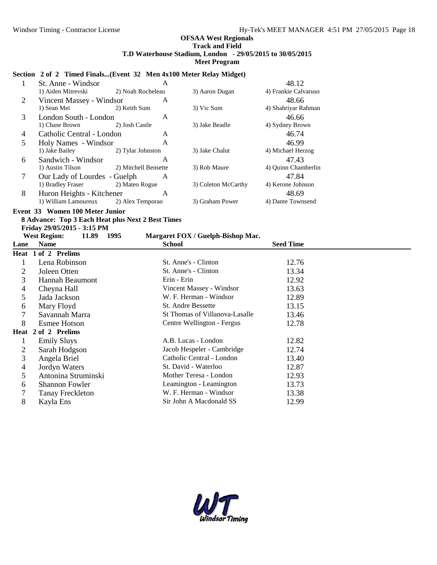### **Section 2 of 2 Timed Finals...(Event 32 Men 4x100 Meter Relay Midget)**

|   | St. Anne - Windsor           | A                    |                     | 48.12                |  |
|---|------------------------------|----------------------|---------------------|----------------------|--|
|   | 1) Aiden Mitrevski           | 2) Noah Rocheleau    | 3) Aaron Dugan      | 4) Frankie Calvaruso |  |
| 2 | Vincent Massey - Windsor     | A                    |                     | 48.66                |  |
|   | 1) Sean Mei                  | 2) Keith Sum         | 3) Vic Sum          | 4) Shahriyar Rahman  |  |
| 3 | London South - London        | A                    |                     | 46.66                |  |
|   | 1) Chase Brown               | 2) Josh Castle       | 3) Jake Beadle      | 4) Sydney Brown      |  |
| 4 | Catholic Central - London    | A                    |                     | 46.74                |  |
| 5 | Holy Names - Windsor         | A                    |                     | 46.99                |  |
|   | 1) Jake Bailey               | 2) Tylar Johnston    | 3) Jake Chalut      | 4) Michael Herzog    |  |
| 6 | Sandwich - Windsor           | A                    |                     | 47.43                |  |
|   | 1) Austin Tilson             | 2) Mitchell Bensette | 3) Rob Maure        | 4) Quinn Chamberlin  |  |
| 7 | Our Lady of Lourdes - Guelph | A                    |                     | 47.84                |  |
|   | 1) Bradley Fraser            | 2) Mateo Rogue       | 3) Coleton McCarthy | 4) Kerone Johnson    |  |
| 8 | Huron Heights - Kitchener    | A                    |                     | 48.69                |  |
|   | 1) William Lamoureux         | 2) Alex Temporao     | 3) Graham Power     | 4) Dante Townsend    |  |

### **Event 33 Women 100 Meter Junior**

# **8 Advance: Top 3 Each Heat plus Next 2 Best Times**

**Friday 29/05/2015 - 3:15 PM**

# **West Region: 11.89 1995 Margaret FOX / Guelph-Bishop Mac.**

| Lane | <b>Name</b>           | <b>School</b>                  | <b>Seed Time</b> |  |
|------|-----------------------|--------------------------------|------------------|--|
|      | Heat 1 of 2 Prelims   |                                |                  |  |
|      | Lena Robinson         | St. Anne's - Clinton           | 12.76            |  |
| 2    | Joleen Otten          | St. Anne's - Clinton           | 13.34            |  |
| 3    | Hannah Beaumont       | Erin - Erin                    | 12.92            |  |
| 4    | Cheyna Hall           | Vincent Massey - Windsor       | 13.63            |  |
| 5    | Jada Jackson          | W. F. Herman - Windsor         | 12.89            |  |
| 6    | Mary Floyd            | <b>St. Andre Bessette</b>      | 13.15            |  |
|      | Savannah Marra        | St Thomas of Villanova-Lasalle | 13.46            |  |
| 8    | <b>Esmee Hotson</b>   | Centre Wellington - Fergus     | 12.78            |  |
|      | Heat 2 of 2 Prelims   |                                |                  |  |
|      | <b>Emily Sluys</b>    | A.B. Lucas - London            | 12.82            |  |
| 2    | Sarah Hodgson         | Jacob Hespeler - Cambridge     | 12.74            |  |
| 3    | Angela Briel          | Catholic Central - London      | 13.40            |  |
| 4    | Jordyn Waters         | St. David - Waterloo           | 12.87            |  |
| 5.   | Antonina Struminski   | Mother Teresa - London         | 12.93            |  |
| 6    | <b>Shannon Fowler</b> | Leamington - Leamington        | 13.73            |  |
|      | Tanay Freckleton      | W. F. Herman - Windsor         | 13.38            |  |
| 8    | Kayla Ens             | Sir John A Macdonald SS        | 12.99            |  |

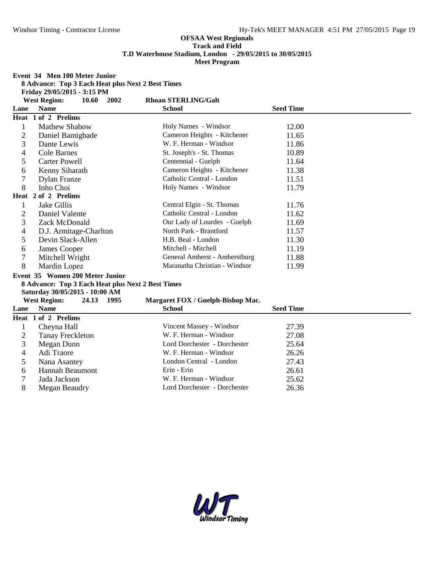**Event 34 Men 100 Meter Junior**

|  | 8 Advance: Top 3 Each Heat plus Next 2 Best Times |
|--|---------------------------------------------------|
|  |                                                   |

**Friday 29/05/2015 - 3:15 PM**

**West Region: 10.60 2002 Rhoan STERLING/Galt**

| Lane | west Region:<br>10.00<br>ZUUZ<br><b>Name</b>      | RIIVAII STEREINU/VAIL<br><b>School</b> | <b>Seed Time</b> |
|------|---------------------------------------------------|----------------------------------------|------------------|
|      | Heat 1 of 2 Prelims                               |                                        |                  |
|      |                                                   |                                        |                  |
| 1    | <b>Mathew Shabow</b>                              | Holy Names - Windsor                   | 12.00            |
| 2    | Daniel Bamigbade                                  | Cameron Heights - Kitchener            | 11.65            |
| 3    | Dante Lewis                                       | W. F. Herman - Windsor                 | 11.86            |
| 4    | <b>Cole Barnes</b>                                | St. Joseph's - St. Thomas              | 10.89            |
| 5    | <b>Carter Powell</b>                              | Centennial - Guelph                    | 11.64            |
| 6    | Kenny Siharath                                    | Cameron Heights - Kitchener            | 11.38            |
| 7    | <b>Dylan Franze</b>                               | Catholic Central - London              | 11.51            |
| 8    | Inho Choi                                         | Holy Names - Windsor                   | 11.79            |
|      | Heat 2 of 2 Prelims                               |                                        |                  |
| 1    | Jake Gillis                                       | Central Elgin - St. Thomas             | 11.76            |
| 2    | Daniel Valente                                    | Catholic Central - London              | 11.62            |
| 3    | Zack McDonald                                     | Our Lady of Lourdes - Guelph           | 11.69            |
| 4    | D.J. Armitage-Charlton                            | North Park - Brantford                 | 11.57            |
| 5    | Devin Slack-Allen                                 | H.B. Beal - London                     | 11.30            |
| 6    | James Cooper                                      | Mitchell - Mitchell                    | 11.19            |
| 7    | Mitchell Wright                                   | General Amherst - Amherstburg          | 11.88            |
| 8    | Mardin Lopez                                      | Maranatha Christian - Windsor          | 11.99            |
|      | Event 35 Women 200 Meter Junior                   |                                        |                  |
|      | 8 Advance: Top 3 Each Heat plus Next 2 Best Times |                                        |                  |
|      | Saturday 30/05/2015 - 10:00 AM                    |                                        |                  |
|      | <b>West Region:</b><br>24.13 1995                 | Margaret FOX / Guelph-Bishop Mac.      |                  |
| Lane | <b>Name</b>                                       | <b>School</b>                          | <b>Seed Time</b> |
|      | Heat 1 of 2 Prelims                               |                                        |                  |
| 1    | Cheyna Hall                                       | Vincent Massey - Windsor               | 27.39            |
| 2    | <b>Tanay Freckleton</b>                           | W. F. Herman - Windsor                 | 27.08            |
| 3    | Megan Dunn                                        | Lord Dorchester - Dorchester           | 25.64            |
| 4    | Adi Traore                                        | W. F. Herman - Windsor                 | 26.26            |
| 5    | Nana Asantey                                      | London Central - London                | 27.43            |
| 6    | Hannah Beaumont                                   | Erin - Erin                            | 26.61            |
| 7    | Jada Jackson                                      | W. F. Herman - Windsor                 | 25.62            |
| 8    | Megan Beaudry                                     | Lord Dorchester - Dorchester           | 26.36            |

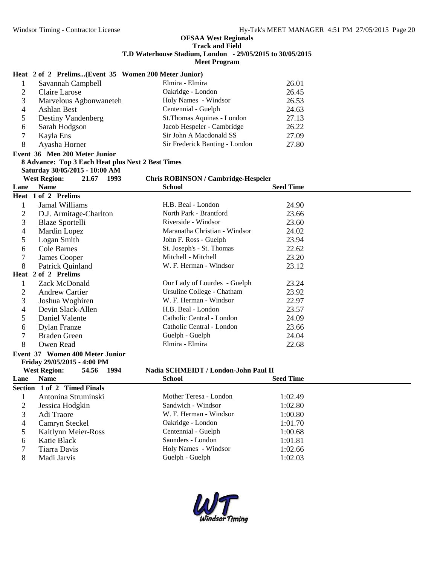# **Heat 2 of 2 Prelims...(Event 35 Women 200 Meter Junior)**

|              | Savannah Campbell      | Elmira - Elmira                | 26.01 |  |
|--------------|------------------------|--------------------------------|-------|--|
|              | Claire Larose          | Oakridge - London              | 26.45 |  |
|              | Marvelous Agbonwaneteh | Holy Names - Windsor           | 26.53 |  |
|              | Ashlan Best            | Centennial - Guelph            | 24.63 |  |
|              | Destiny Vandenberg     | St.Thomas Aquinas - London     | 27.13 |  |
| <sub>0</sub> | Sarah Hodgson          | Jacob Hespeler - Cambridge     | 26.22 |  |
|              | Kayla Ens              | Sir John A Macdonald SS        | 27.09 |  |
|              | Ayasha Horner          | Sir Frederick Banting - London | 27.80 |  |

#### **Event 36 Men 200 Meter Junior 8 Advance: Top 3 Each Heat plus Next 2 Best Times**

**Saturday 30/05/2015 - 10:00 AM**

#### **West Region: 21.67 1993 Chris ROBINSON / Cambridge-Hespeler**

| Lane           | <b>Name</b>                            | <b>School</b>                        | <b>Seed Time</b> |  |  |  |  |
|----------------|----------------------------------------|--------------------------------------|------------------|--|--|--|--|
|                | Heat 1 of 2 Prelims                    |                                      |                  |  |  |  |  |
| 1              | Jamal Williams                         | H.B. Beal - London                   | 24.90            |  |  |  |  |
| $\overline{2}$ | D.J. Armitage-Charlton                 | North Park - Brantford               | 23.66            |  |  |  |  |
| 3              | <b>Blaze Sportelli</b>                 | Riverside - Windsor                  | 23.60            |  |  |  |  |
| 4              | Mardin Lopez                           | Maranatha Christian - Windsor        | 24.02            |  |  |  |  |
| 5              | Logan Smith                            | John F. Ross - Guelph                | 23.94            |  |  |  |  |
| 6              | Cole Barnes                            | St. Joseph's - St. Thomas            | 22.62            |  |  |  |  |
| 7              | <b>James Cooper</b>                    | Mitchell - Mitchell                  | 23.20            |  |  |  |  |
| 8              | Patrick Quinland                       | W. F. Herman - Windsor               | 23.12            |  |  |  |  |
| Heat           | 2 of 2 Prelims                         |                                      |                  |  |  |  |  |
| 1              | Zack McDonald                          | Our Lady of Lourdes - Guelph         | 23.24            |  |  |  |  |
| $\overline{2}$ | <b>Andrew Cartier</b>                  | Ursuline College - Chatham           | 23.92            |  |  |  |  |
| 3              | Joshua Woghiren                        | W. F. Herman - Windsor               | 22.97            |  |  |  |  |
| 4              | Devin Slack-Allen                      | H.B. Beal - London                   | 23.57            |  |  |  |  |
| 5              | Daniel Valente                         | Catholic Central - London            | 24.09            |  |  |  |  |
| 6              | <b>Dylan Franze</b>                    | Catholic Central - London            | 23.66            |  |  |  |  |
| 7              | <b>Braden Green</b>                    | Guelph - Guelph                      | 24.04            |  |  |  |  |
| 8              | Owen Read                              | Elmira - Elmira                      | 22.68            |  |  |  |  |
|                | Event 37 Women 400 Meter Junior        |                                      |                  |  |  |  |  |
|                | Friday 29/05/2015 - 4:00 PM            |                                      |                  |  |  |  |  |
|                | <b>West Region:</b><br>54.56<br>- 1994 | Nadia SCHMEIDT / London-John Paul II |                  |  |  |  |  |
| Lane           | <b>Name</b>                            | <b>School</b>                        | <b>Seed Time</b> |  |  |  |  |
|                | Section 1 of 2 Timed Finals            |                                      |                  |  |  |  |  |
| 1              | Antonina Struminski                    | Mother Teresa - London               | 1:02.49          |  |  |  |  |
| $\overline{2}$ | Jessica Hodgkin                        | Sandwich - Windsor                   | 1:02.80          |  |  |  |  |
| 3              | Adi Traore                             | W. F. Herman - Windsor               | 1:00.80          |  |  |  |  |
| 4              | Camryn Steckel                         | Oakridge - London                    | 1:01.70          |  |  |  |  |
| 5              | Kaitlynn Meier-Ross                    | Centennial - Guelph                  | 1:00.68          |  |  |  |  |
| 6              | Katie Black                            | Saunders - London                    | 1:01.81          |  |  |  |  |
| 7              | <b>Tiarra Davis</b>                    | Holy Names - Windsor                 | 1:02.66          |  |  |  |  |
| 8              | Madi Jarvis                            | Guelph - Guelph                      | 1:02.03          |  |  |  |  |

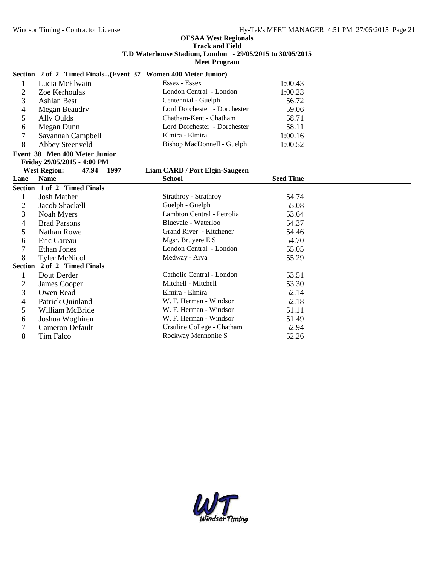### **Section 2 of 2 Timed Finals...(Event 37 Women 400 Meter Junior)**

|   | Lucia McElwain    | Essex - Essex                | 1:00.43 |  |
|---|-------------------|------------------------------|---------|--|
|   | Zoe Kerhoulas     | London Central - London      | 1:00.23 |  |
|   | Ashlan Best       | Centennial - Guelph          | 56.72   |  |
| 4 | Megan Beaudry     | Lord Dorchester - Dorchester | 59.06   |  |
|   | Ally Oulds        | Chatham-Kent - Chatham       | 58.71   |  |
| b | Megan Dunn        | Lord Dorchester - Dorchester | 58.11   |  |
|   | Savannah Campbell | Elmira - Elmira              | 1:00.16 |  |
| 8 | Abbey Steenveld   | Bishop MacDonnell - Guelph   | 1:00.52 |  |

# **Event 38 Men 400 Meter Junior Friday 29/05/2015 - 4:00 PM**

*Liam CARD / Port Elgin-Saugeen* 

| Lane           | <b>Name</b>                 | <b>School</b>              | <b>Seed Time</b> |
|----------------|-----------------------------|----------------------------|------------------|
|                | Section 1 of 2 Timed Finals |                            |                  |
|                | <b>Josh Mather</b>          | Strathroy - Strathroy      | 54.74            |
| 2              | Jacob Shackell              | Guelph - Guelph            | 55.08            |
| 3              | Noah Myers                  | Lambton Central - Petrolia | 53.64            |
| 4              | <b>Brad Parsons</b>         | Bluevale - Waterloo        | 54.37            |
| 5              | <b>Nathan Rowe</b>          | Grand River - Kitchener    | 54.46            |
| 6              | Eric Gareau                 | Mgsr. Bruyere E S          | 54.70            |
|                | Ethan Jones                 | London Central - London    | 55.05            |
| 8              | <b>Tyler McNicol</b>        | Medway - Arva              | 55.29            |
| <b>Section</b> | 2 of 2 Timed Finals         |                            |                  |
|                | Dout Derder                 | Catholic Central - London  | 53.51            |
| 2              | James Cooper                | Mitchell - Mitchell        | 53.30            |
| 3              | Owen Read                   | Elmira - Elmira            | 52.14            |
| 4              | Patrick Quinland            | W. F. Herman - Windsor     | 52.18            |
| 5              | William McBride             | W. F. Herman - Windsor     | 51.11            |
| 6              | Joshua Woghiren             | W. F. Herman - Windsor     | 51.49            |
|                | Cameron Default             | Ursuline College - Chatham | 52.94            |
| 8              | Tim Falco                   | Rockway Mennonite S        | 52.26            |

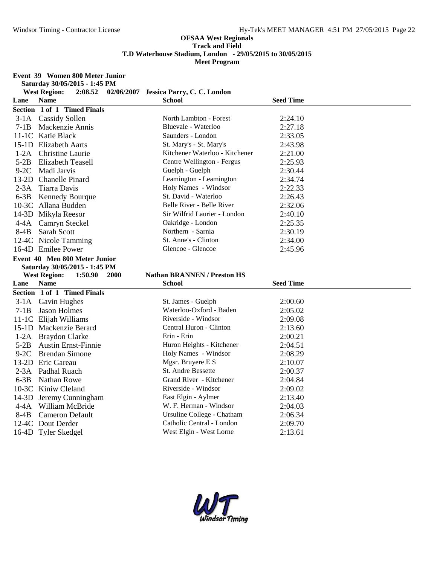#### **Event 39 Women 800 Meter Junior**

**Saturday 30/05/2015 - 1:45 PM**

| <b>West Region:</b><br>2:08.52<br>02/06/2007 Jessica Parry, C. C. London<br><b>Name</b><br>Lane<br><b>School</b><br><b>Seed Time</b><br>Section 1 of 1 Timed Finals<br>3-1A Cassidy Sollen<br>North Lambton - Forest<br>2:24.10<br>Bluevale - Waterloo<br>2:27.18<br>$7-1B$<br>Mackenzie Annis<br>Saunders - London<br>11-1C Katie Black<br>2:33.05<br>St. Mary's - St. Mary's<br>2:43.98<br>15-1D Elizabeth Aarts<br>Kitchener Waterloo - Kitchener<br><b>Christine Laurie</b><br>2:21.00<br>$1-2A$<br>Centre Wellington - Fergus<br>$5-2B$<br><b>Elizabeth Teasell</b><br>2:25.93<br>$9-2C$<br>Guelph - Guelph<br>2:30.44<br>Madi Jarvis<br>13-2D Chanelle Pinard<br>Leamington - Leamington<br>2:34.74<br>Tiarra Davis<br>Holy Names - Windsor<br>2:22.33<br>$2-3A$<br>St. David - Waterloo<br>$6-3B$<br>2:26.43<br><b>Kennedy Bourque</b><br>Belle River - Belle River<br>2:32.06<br>10-3C Allana Budden |  |
|--------------------------------------------------------------------------------------------------------------------------------------------------------------------------------------------------------------------------------------------------------------------------------------------------------------------------------------------------------------------------------------------------------------------------------------------------------------------------------------------------------------------------------------------------------------------------------------------------------------------------------------------------------------------------------------------------------------------------------------------------------------------------------------------------------------------------------------------------------------------------------------------------------------|--|
|                                                                                                                                                                                                                                                                                                                                                                                                                                                                                                                                                                                                                                                                                                                                                                                                                                                                                                              |  |
|                                                                                                                                                                                                                                                                                                                                                                                                                                                                                                                                                                                                                                                                                                                                                                                                                                                                                                              |  |
|                                                                                                                                                                                                                                                                                                                                                                                                                                                                                                                                                                                                                                                                                                                                                                                                                                                                                                              |  |
|                                                                                                                                                                                                                                                                                                                                                                                                                                                                                                                                                                                                                                                                                                                                                                                                                                                                                                              |  |
|                                                                                                                                                                                                                                                                                                                                                                                                                                                                                                                                                                                                                                                                                                                                                                                                                                                                                                              |  |
|                                                                                                                                                                                                                                                                                                                                                                                                                                                                                                                                                                                                                                                                                                                                                                                                                                                                                                              |  |
|                                                                                                                                                                                                                                                                                                                                                                                                                                                                                                                                                                                                                                                                                                                                                                                                                                                                                                              |  |
|                                                                                                                                                                                                                                                                                                                                                                                                                                                                                                                                                                                                                                                                                                                                                                                                                                                                                                              |  |
|                                                                                                                                                                                                                                                                                                                                                                                                                                                                                                                                                                                                                                                                                                                                                                                                                                                                                                              |  |
|                                                                                                                                                                                                                                                                                                                                                                                                                                                                                                                                                                                                                                                                                                                                                                                                                                                                                                              |  |
|                                                                                                                                                                                                                                                                                                                                                                                                                                                                                                                                                                                                                                                                                                                                                                                                                                                                                                              |  |
|                                                                                                                                                                                                                                                                                                                                                                                                                                                                                                                                                                                                                                                                                                                                                                                                                                                                                                              |  |
|                                                                                                                                                                                                                                                                                                                                                                                                                                                                                                                                                                                                                                                                                                                                                                                                                                                                                                              |  |
|                                                                                                                                                                                                                                                                                                                                                                                                                                                                                                                                                                                                                                                                                                                                                                                                                                                                                                              |  |
| Sir Wilfrid Laurier - London<br>14-3D Mikyla Reesor<br>2:40.10                                                                                                                                                                                                                                                                                                                                                                                                                                                                                                                                                                                                                                                                                                                                                                                                                                               |  |
| Oakridge - London<br>2:25.35<br>4-4A Camryn Steckel                                                                                                                                                                                                                                                                                                                                                                                                                                                                                                                                                                                                                                                                                                                                                                                                                                                          |  |
| Northern - Sarnia<br>$8-4B$<br>Sarah Scott<br>2:30.19                                                                                                                                                                                                                                                                                                                                                                                                                                                                                                                                                                                                                                                                                                                                                                                                                                                        |  |
| St. Anne's - Clinton<br>12-4C Nicole Tamming<br>2:34.00                                                                                                                                                                                                                                                                                                                                                                                                                                                                                                                                                                                                                                                                                                                                                                                                                                                      |  |
| Glencoe - Glencoe<br>16-4D Emilee Power<br>2:45.96                                                                                                                                                                                                                                                                                                                                                                                                                                                                                                                                                                                                                                                                                                                                                                                                                                                           |  |
| Event 40 Men 800 Meter Junior                                                                                                                                                                                                                                                                                                                                                                                                                                                                                                                                                                                                                                                                                                                                                                                                                                                                                |  |
| Saturday 30/05/2015 - 1:45 PM                                                                                                                                                                                                                                                                                                                                                                                                                                                                                                                                                                                                                                                                                                                                                                                                                                                                                |  |
| <b>Nathan BRANNEN / Preston HS</b><br><b>West Region:</b><br>1:50.90<br><b>2000</b>                                                                                                                                                                                                                                                                                                                                                                                                                                                                                                                                                                                                                                                                                                                                                                                                                          |  |
| <b>Name</b><br><b>Seed Time</b><br>Lane<br><b>School</b>                                                                                                                                                                                                                                                                                                                                                                                                                                                                                                                                                                                                                                                                                                                                                                                                                                                     |  |
| Section 1 of 1 Timed Finals                                                                                                                                                                                                                                                                                                                                                                                                                                                                                                                                                                                                                                                                                                                                                                                                                                                                                  |  |
| St. James - Guelph<br>2:00.60<br>3-1A Gavin Hughes                                                                                                                                                                                                                                                                                                                                                                                                                                                                                                                                                                                                                                                                                                                                                                                                                                                           |  |
| Waterloo-Oxford - Baden<br><b>Jason Holmes</b><br>2:05.02<br>$7-1B$                                                                                                                                                                                                                                                                                                                                                                                                                                                                                                                                                                                                                                                                                                                                                                                                                                          |  |
| Riverside - Windsor<br>11-1C Elijah Williams<br>2:09.08                                                                                                                                                                                                                                                                                                                                                                                                                                                                                                                                                                                                                                                                                                                                                                                                                                                      |  |
| Central Huron - Clinton<br>15-1D Mackenzie Berard<br>2:13.60                                                                                                                                                                                                                                                                                                                                                                                                                                                                                                                                                                                                                                                                                                                                                                                                                                                 |  |
| Erin - Erin<br>1-2A Braydon Clarke<br>2:00.21                                                                                                                                                                                                                                                                                                                                                                                                                                                                                                                                                                                                                                                                                                                                                                                                                                                                |  |
| $5-2B$<br><b>Austin Ernst-Finnie</b><br>Huron Heights - Kitchener<br>2:04.51                                                                                                                                                                                                                                                                                                                                                                                                                                                                                                                                                                                                                                                                                                                                                                                                                                 |  |
| Holy Names - Windsor<br>$9-2C$<br><b>Brendan Simone</b><br>2:08.29                                                                                                                                                                                                                                                                                                                                                                                                                                                                                                                                                                                                                                                                                                                                                                                                                                           |  |
| 13-2D Eric Gareau<br>Mgsr. Bruyere E S<br>2:10.07                                                                                                                                                                                                                                                                                                                                                                                                                                                                                                                                                                                                                                                                                                                                                                                                                                                            |  |
| St. Andre Bessette<br>$2-3A$<br>Padhal Ruach<br>2:00.37                                                                                                                                                                                                                                                                                                                                                                                                                                                                                                                                                                                                                                                                                                                                                                                                                                                      |  |
| Grand River - Kitchener<br>$6-3B$<br><b>Nathan Rowe</b><br>2:04.84                                                                                                                                                                                                                                                                                                                                                                                                                                                                                                                                                                                                                                                                                                                                                                                                                                           |  |
| Riverside - Windsor<br>10-3C Kiniw Cleland<br>2:09.02                                                                                                                                                                                                                                                                                                                                                                                                                                                                                                                                                                                                                                                                                                                                                                                                                                                        |  |
| 14-3D Jeremy Cunningham<br>East Elgin - Aylmer<br>2:13.40                                                                                                                                                                                                                                                                                                                                                                                                                                                                                                                                                                                                                                                                                                                                                                                                                                                    |  |
| W. F. Herman - Windsor<br>4-4A William McBride<br>2:04.03                                                                                                                                                                                                                                                                                                                                                                                                                                                                                                                                                                                                                                                                                                                                                                                                                                                    |  |
| Ursuline College - Chatham<br>$8-4B$<br><b>Cameron Default</b><br>2:06.34                                                                                                                                                                                                                                                                                                                                                                                                                                                                                                                                                                                                                                                                                                                                                                                                                                    |  |
| Catholic Central - London<br>12-4C Dout Derder<br>2:09.70                                                                                                                                                                                                                                                                                                                                                                                                                                                                                                                                                                                                                                                                                                                                                                                                                                                    |  |
| West Elgin - West Lorne<br>2:13.61<br>16-4D Tyler Skedgel                                                                                                                                                                                                                                                                                                                                                                                                                                                                                                                                                                                                                                                                                                                                                                                                                                                    |  |

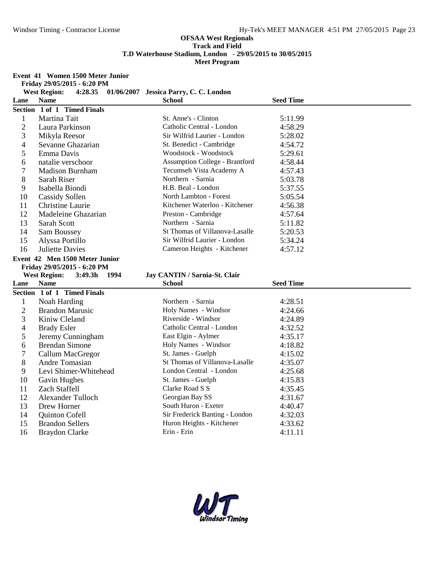#### **Event 41 Women 1500 Meter Junior**

**Friday 29/05/2015 - 6:20 PM**

|                | <b>West Region:</b>                      | 4:28.35 01/06/2007 Jessica Parry, C. C. London |                  |  |
|----------------|------------------------------------------|------------------------------------------------|------------------|--|
| Lane           | <b>Name</b>                              | <b>School</b>                                  | <b>Seed Time</b> |  |
|                | Section 1 of 1 Timed Finals              |                                                |                  |  |
| $\mathbf{1}$   | Martina Tait                             | St. Anne's - Clinton                           | 5:11.99          |  |
| $\overline{2}$ | Laura Parkinson                          | Catholic Central - London                      | 4:58.29          |  |
| 3              | Mikyla Reesor                            | Sir Wilfrid Laurier - London                   | 5:28.02          |  |
| 4              | Sevanne Ghazarian                        | St. Benedict - Cambridge                       | 4:54.72          |  |
| 5              | Emma Davis                               | Woodstock - Woodstock                          | 5:29.61          |  |
| 6              | natalie verschoor                        | <b>Assumption College - Brantford</b>          | 4:58.44          |  |
| 7              | <b>Madison Burnham</b>                   | Tecumseh Vista Academy A                       | 4:57.43          |  |
| 8              | Sarah Riser                              | Northern - Sarnia                              | 5:03.78          |  |
| 9              | Isabella Biondi                          | H.B. Beal - London                             | 5:37.55          |  |
| 10             | <b>Cassidy Sollen</b>                    | North Lambton - Forest                         | 5:05.54          |  |
| 11             | Christine Laurie                         | Kitchener Waterloo - Kitchener                 | 4:56.38          |  |
| 12             | Madeleine Ghazarian                      | Preston - Cambridge                            | 4:57.64          |  |
| 13             | <b>Sarah Scott</b>                       | Northern - Sarnia                              | 5:11.82          |  |
| 14             | Sam Boussey                              | St Thomas of Villanova-Lasalle                 | 5:20.53          |  |
| 15             | Alyssa Portillo                          | Sir Wilfrid Laurier - London                   | 5:34.24          |  |
| 16             | <b>Juliette Davies</b>                   | Cameron Heights - Kitchener                    | 4:57.12          |  |
|                | Event 42 Men 1500 Meter Junior           |                                                |                  |  |
|                |                                          |                                                |                  |  |
|                | Friday 29/05/2015 - 6:20 PM              |                                                |                  |  |
|                | <b>West Region:</b><br>3:49.3h<br>- 1994 | Jay CANTIN / Sarnia-St. Clair                  |                  |  |
| Lane           | <b>Name</b>                              | <b>School</b>                                  | <b>Seed Time</b> |  |
|                | Section 1 of 1 Timed Finals              |                                                |                  |  |
| $\mathbf{1}$   | Noah Harding                             | Northern - Sarnia                              | 4:28.51          |  |
| $\overline{c}$ | <b>Brandon Marusic</b>                   | Holy Names - Windsor                           | 4:24.66          |  |
| 3              | Kiniw Cleland                            | Riverside - Windsor                            | 4:24.89          |  |
| 4              | <b>Brady Esler</b>                       | Catholic Central - London                      | 4:32.52          |  |
| 5              | Jeremy Cunningham                        | East Elgin - Aylmer                            | 4:35.17          |  |
| 6              | <b>Brendan Simone</b>                    | Holy Names - Windsor                           | 4:18.82          |  |
| 7              | Callum MacGregor                         | St. James - Guelph                             | 4:15.02          |  |
| 8              | Andre Tomasian                           | St Thomas of Villanova-Lasalle                 | 4:35.07          |  |
| 9              | Levi Shimer-Whitehead                    | London Central - London                        | 4:25.68          |  |
| 10             | Gavin Hughes                             | St. James - Guelph                             | 4:15.83          |  |
| 11             | Zach Staffell                            | Clarke Road S S                                | 4:35.45          |  |
| 12             | Alexander Tulloch                        | Georgian Bay SS                                | 4:31.67          |  |
| 13             | Drew Horner                              | South Huron - Exeter                           | 4:40.47          |  |
| 14             | Quinton Cofell                           | Sir Frederick Banting - London                 | 4:32.03          |  |
| 15             | <b>Brandon Sellers</b>                   | Huron Heights - Kitchener                      | 4:33.62          |  |

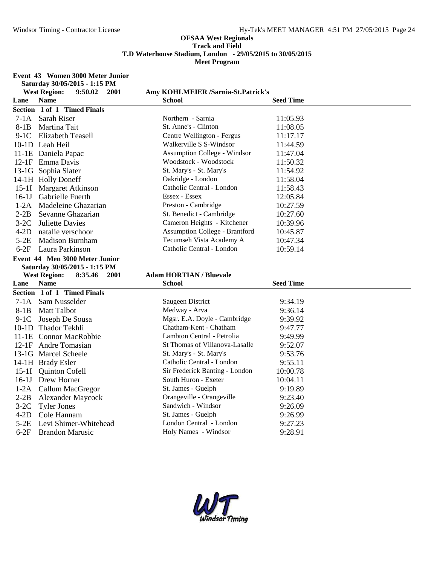#### **Event 43 Women 3000 Meter Junior Saturday 30/05/2015 - 1:15 PM**

|                  | $D$ aturuay $DQ/DQ/DQ + DQ - 1$ . 1. 1. 1. 1<br><b>West Region:</b><br>9:50.02<br>2001 | Amy KOHLMEIER /Sarnia-St.Patrick's              |                    |
|------------------|----------------------------------------------------------------------------------------|-------------------------------------------------|--------------------|
| Lane             | <b>Name</b>                                                                            | <b>School</b>                                   | <b>Seed Time</b>   |
|                  | Section 1 of 1 Timed Finals                                                            |                                                 |                    |
|                  | 7-1A Sarah Riser                                                                       | Northern - Sarnia                               | 11:05.93           |
| $8-1B$           | Martina Tait                                                                           | St. Anne's - Clinton                            | 11:08.05           |
| $9-1C$           | Elizabeth Teasell                                                                      | Centre Wellington - Fergus                      | 11:17.17           |
|                  | 10-1D Leah Heil                                                                        | Walkerville S S-Windsor                         | 11:44.59           |
|                  | 11-1E Daniela Papac                                                                    | Assumption College - Windsor                    | 11:47.04           |
|                  | 12-1F Emma Davis                                                                       | Woodstock - Woodstock                           | 11:50.32           |
|                  | 13-1G Sophia Slater                                                                    | St. Mary's - St. Mary's                         | 11:54.92           |
|                  | 14-1H Holly Doneff                                                                     | Oakridge - London                               | 11:58.04           |
|                  | 15-1I Margaret Atkinson                                                                | Catholic Central - London                       | 11:58.43           |
|                  | 16-1J Gabrielle Fuerth                                                                 | Essex - Essex                                   | 12:05.84           |
| $1-2A$           | Madeleine Ghazarian                                                                    | Preston - Cambridge                             | 10:27.59           |
| $2-2B$           | Sevanne Ghazarian                                                                      | St. Benedict - Cambridge                        | 10:27.60           |
| $3-2C$           | <b>Juliette Davies</b>                                                                 | Cameron Heights - Kitchener                     | 10:39.96           |
| $4-2D$           | natalie verschoor                                                                      | <b>Assumption College - Brantford</b>           | 10:45.87           |
| $5-2E$           | <b>Madison Burnham</b>                                                                 | Tecumseh Vista Academy A                        | 10:47.34           |
| $6-2F$           | Laura Parkinson                                                                        | Catholic Central - London                       | 10:59.14           |
|                  | Event 44 Men 3000 Meter Junior                                                         |                                                 |                    |
|                  | Saturday 30/05/2015 - 1:15 PM                                                          |                                                 |                    |
|                  |                                                                                        |                                                 |                    |
|                  | <b>West Region:</b><br>8:35.46<br><b>2001</b>                                          | <b>Adam HORTIAN / Bluevale</b>                  |                    |
| Lane             | <b>Name</b>                                                                            | School                                          | <b>Seed Time</b>   |
|                  | Section 1 of 1 Timed Finals                                                            |                                                 |                    |
| $7-1A$           | Sam Nusselder                                                                          | Saugeen District                                | 9:34.19            |
| 8-1B             | <b>Matt Talbot</b>                                                                     | Medway - Arva                                   | 9:36.14            |
|                  | 9-1C Joseph De Sousa                                                                   | Mgsr. E.A. Doyle - Cambridge                    | 9:39.92            |
|                  | 10-1D Thador Tekhli                                                                    | Chatham-Kent - Chatham                          | 9:47.77            |
|                  | 11-1E Connor MacRobbie                                                                 | Lambton Central - Petrolia                      | 9:49.99            |
|                  | 12-1F Andre Tomasian                                                                   | St Thomas of Villanova-Lasalle                  | 9:52.07            |
|                  | 13-1G Marcel Scheele                                                                   | St. Mary's - St. Mary's                         | 9:53.76            |
|                  | 14-1H Brady Esler                                                                      | Catholic Central - London                       | 9:55.11            |
|                  | 15-1I Quinton Cofell                                                                   | Sir Frederick Banting - London                  | 10:00.78           |
|                  | 16-1J Drew Horner                                                                      | South Huron - Exeter                            | 10:04.11           |
|                  | 1-2A Callum MacGregor                                                                  | St. James - Guelph                              | 9:19.89            |
| $2-2B$           | <b>Alexander Maycock</b>                                                               | Orangeville - Orangeville                       | 9:23.40            |
| $3-2C$           | <b>Tyler Jones</b>                                                                     | Sandwich - Windsor                              | 9:26.09            |
| $4-2D$           | Cole Hannam                                                                            | St. James - Guelph                              | 9:26.99            |
| $5-2E$<br>$6-2F$ | Levi Shimer-Whitehead<br><b>Brandon Marusic</b>                                        | London Central - London<br>Holy Names - Windsor | 9:27.23<br>9:28.91 |

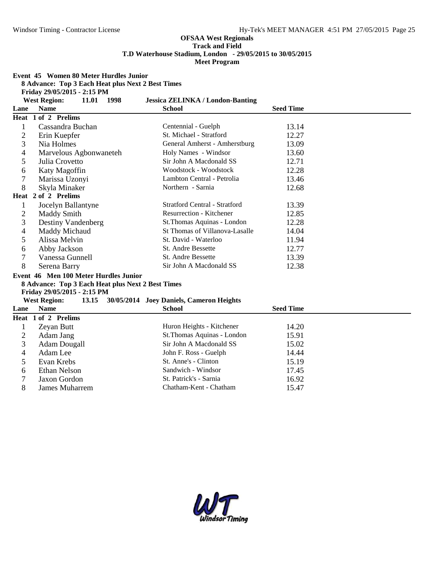**Meet Program**

**Event 45 Women 80 Meter Hurdles Junior**

**8 Advance: Top 3 Each Heat plus Next 2 Best Times**

**Friday 29/05/2015 - 2:15 PM**

| <b>Jessica ZELINKA / London-Banting</b><br><b>West Region:</b><br>11.01<br>1998 |                                                                                                                                                                                                                                                                        |                                                                                                                                                                                                                                                                                                                                                                        |                                                                                                     |  |
|---------------------------------------------------------------------------------|------------------------------------------------------------------------------------------------------------------------------------------------------------------------------------------------------------------------------------------------------------------------|------------------------------------------------------------------------------------------------------------------------------------------------------------------------------------------------------------------------------------------------------------------------------------------------------------------------------------------------------------------------|-----------------------------------------------------------------------------------------------------|--|
| <b>Name</b>                                                                     | <b>School</b>                                                                                                                                                                                                                                                          |                                                                                                                                                                                                                                                                                                                                                                        |                                                                                                     |  |
|                                                                                 |                                                                                                                                                                                                                                                                        |                                                                                                                                                                                                                                                                                                                                                                        |                                                                                                     |  |
| Cassandra Buchan                                                                | Centennial - Guelph                                                                                                                                                                                                                                                    | 13.14                                                                                                                                                                                                                                                                                                                                                                  |                                                                                                     |  |
| Erin Kuepfer                                                                    | St. Michael - Stratford                                                                                                                                                                                                                                                | 12.27                                                                                                                                                                                                                                                                                                                                                                  |                                                                                                     |  |
| Nia Holmes                                                                      | General Amherst - Amherstburg                                                                                                                                                                                                                                          | 13.09                                                                                                                                                                                                                                                                                                                                                                  |                                                                                                     |  |
| Marvelous Agbonwaneteh                                                          | Holy Names - Windsor                                                                                                                                                                                                                                                   | 13.60                                                                                                                                                                                                                                                                                                                                                                  |                                                                                                     |  |
| Julia Crovetto                                                                  | Sir John A Macdonald SS                                                                                                                                                                                                                                                | 12.71                                                                                                                                                                                                                                                                                                                                                                  |                                                                                                     |  |
| Katy Magoffin                                                                   | Woodstock - Woodstock                                                                                                                                                                                                                                                  | 12.28                                                                                                                                                                                                                                                                                                                                                                  |                                                                                                     |  |
| Marissa Uzonyi                                                                  | Lambton Central - Petrolia                                                                                                                                                                                                                                             | 13.46                                                                                                                                                                                                                                                                                                                                                                  |                                                                                                     |  |
| Skyla Minaker                                                                   | Northern - Sarnia                                                                                                                                                                                                                                                      | 12.68                                                                                                                                                                                                                                                                                                                                                                  |                                                                                                     |  |
|                                                                                 |                                                                                                                                                                                                                                                                        |                                                                                                                                                                                                                                                                                                                                                                        |                                                                                                     |  |
| Jocelyn Ballantyne                                                              | <b>Stratford Central - Stratford</b>                                                                                                                                                                                                                                   | 13.39                                                                                                                                                                                                                                                                                                                                                                  |                                                                                                     |  |
| <b>Maddy Smith</b>                                                              | Resurrection - Kitchener                                                                                                                                                                                                                                               | 12.85                                                                                                                                                                                                                                                                                                                                                                  |                                                                                                     |  |
| <b>Destiny Vandenberg</b>                                                       | St. Thomas Aquinas - London                                                                                                                                                                                                                                            | 12.28                                                                                                                                                                                                                                                                                                                                                                  |                                                                                                     |  |
| Maddy Michaud                                                                   | St Thomas of Villanova-Lasalle                                                                                                                                                                                                                                         | 14.04                                                                                                                                                                                                                                                                                                                                                                  |                                                                                                     |  |
| Alissa Melvin                                                                   |                                                                                                                                                                                                                                                                        | 11.94                                                                                                                                                                                                                                                                                                                                                                  |                                                                                                     |  |
| Abby Jackson                                                                    | <b>St. Andre Bessette</b>                                                                                                                                                                                                                                              |                                                                                                                                                                                                                                                                                                                                                                        |                                                                                                     |  |
| Vanessa Gunnell                                                                 | <b>St. Andre Bessette</b>                                                                                                                                                                                                                                              | 13.39                                                                                                                                                                                                                                                                                                                                                                  |                                                                                                     |  |
| Serena Barry                                                                    | Sir John A Macdonald SS                                                                                                                                                                                                                                                | 12.38                                                                                                                                                                                                                                                                                                                                                                  |                                                                                                     |  |
|                                                                                 |                                                                                                                                                                                                                                                                        |                                                                                                                                                                                                                                                                                                                                                                        |                                                                                                     |  |
|                                                                                 |                                                                                                                                                                                                                                                                        |                                                                                                                                                                                                                                                                                                                                                                        |                                                                                                     |  |
|                                                                                 |                                                                                                                                                                                                                                                                        |                                                                                                                                                                                                                                                                                                                                                                        |                                                                                                     |  |
|                                                                                 |                                                                                                                                                                                                                                                                        |                                                                                                                                                                                                                                                                                                                                                                        |                                                                                                     |  |
|                                                                                 |                                                                                                                                                                                                                                                                        |                                                                                                                                                                                                                                                                                                                                                                        |                                                                                                     |  |
|                                                                                 |                                                                                                                                                                                                                                                                        |                                                                                                                                                                                                                                                                                                                                                                        |                                                                                                     |  |
|                                                                                 |                                                                                                                                                                                                                                                                        |                                                                                                                                                                                                                                                                                                                                                                        |                                                                                                     |  |
|                                                                                 |                                                                                                                                                                                                                                                                        |                                                                                                                                                                                                                                                                                                                                                                        |                                                                                                     |  |
|                                                                                 |                                                                                                                                                                                                                                                                        |                                                                                                                                                                                                                                                                                                                                                                        |                                                                                                     |  |
|                                                                                 |                                                                                                                                                                                                                                                                        |                                                                                                                                                                                                                                                                                                                                                                        |                                                                                                     |  |
|                                                                                 |                                                                                                                                                                                                                                                                        | 15.19                                                                                                                                                                                                                                                                                                                                                                  |                                                                                                     |  |
|                                                                                 |                                                                                                                                                                                                                                                                        |                                                                                                                                                                                                                                                                                                                                                                        |                                                                                                     |  |
| Jaxon Gordon                                                                    | St. Patrick's - Sarnia                                                                                                                                                                                                                                                 | 16.92                                                                                                                                                                                                                                                                                                                                                                  |                                                                                                     |  |
|                                                                                 |                                                                                                                                                                                                                                                                        |                                                                                                                                                                                                                                                                                                                                                                        |                                                                                                     |  |
|                                                                                 | 1 of 2 Prelims<br>Heat 2 of 2 Prelims<br>Friday 29/05/2015 - 2:15 PM<br>13.15<br><b>West Region:</b><br><b>Name</b><br>Heat 1 of 2 Prelims<br>Zeyan Butt<br>Adam Jang<br><b>Adam Dougall</b><br>Adam Lee<br>Evan Krebs<br><b>Ethan Nelson</b><br><b>James Muharrem</b> | St. David - Waterloo<br>Event 46 Men 100 Meter Hurdles Junior<br>8 Advance: Top 3 Each Heat plus Next 2 Best Times<br>30/05/2014 Joey Daniels, Cameron Heights<br><b>School</b><br>Huron Heights - Kitchener<br>St.Thomas Aquinas - London<br>Sir John A Macdonald SS<br>John F. Ross - Guelph<br>St. Anne's - Clinton<br>Sandwich - Windsor<br>Chatham-Kent - Chatham | <b>Seed Time</b><br>12.77<br><b>Seed Time</b><br>14.20<br>15.91<br>15.02<br>14.44<br>17.45<br>15.47 |  |

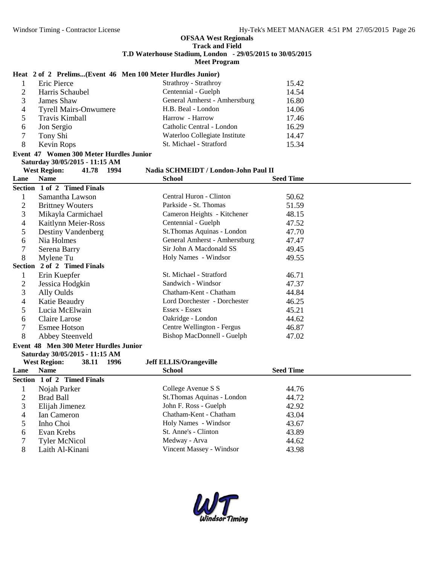# **Heat 2 of 2 Prelims...(Event 46 Men 100 Meter Hurdles Junior)**

|   | Eric Pierce                  | Strathroy - Strathroy         | 15.42 |  |
|---|------------------------------|-------------------------------|-------|--|
|   | Harris Schaubel              | Centennial - Guelph           | 14.54 |  |
|   | James Shaw                   | General Amherst - Amherstburg | 16.80 |  |
| 4 | <b>Tyrell Mairs-Onwumere</b> | H.B. Beal - London            | 14.06 |  |
|   | Travis Kimball               | Harrow - Harrow               | 17.46 |  |
| 6 | Jon Sergio                   | Catholic Central - London     | 16.29 |  |
|   | Tony Shi                     | Waterloo Collegiate Institute | 14.47 |  |
| 8 | Kevin Rops                   | St. Michael - Stratford       | 15.34 |  |
|   |                              |                               |       |  |

# **Event 47 Women 300 Meter Hurdles Junior Saturday 30/05/2015 - 11:15 AM**

**Nadia SCHMEIDT / London-John Paul II** 

| Lane | <b>Name</b>                                                             | School                        | <b>Seed Time</b> |
|------|-------------------------------------------------------------------------|-------------------------------|------------------|
|      | Section 1 of 2 Timed Finals                                             |                               |                  |
|      | Samantha Lawson                                                         | Central Huron - Clinton       | 50.62            |
| 2    | <b>Brittney Wouters</b>                                                 | Parkside - St. Thomas         | 51.59            |
| 3    | Mikayla Carmichael                                                      | Cameron Heights - Kitchener   | 48.15            |
| 4    | Kaitlynn Meier-Ross                                                     | Centennial - Guelph           | 47.52            |
| 5    | Destiny Vandenberg                                                      | St. Thomas Aquinas - London   | 47.70            |
| 6    | Nia Holmes                                                              | General Amherst - Amherstburg | 47.47            |
|      | Serena Barry                                                            | Sir John A Macdonald SS       | 49.45            |
| 8    | Mylene Tu                                                               | Holy Names - Windsor          | 49.55            |
|      | Section 2 of 2 Timed Finals                                             |                               |                  |
|      | Erin Kuepfer                                                            | St. Michael - Stratford       | 46.71            |
| 2    | Jessica Hodgkin                                                         | Sandwich - Windsor            | 47.37            |
| 3    | Ally Oulds                                                              | Chatham-Kent - Chatham        | 44.84            |
| 4    | Katie Beaudry                                                           | Lord Dorchester - Dorchester  | 46.25            |
| 5    | Lucia McElwain                                                          | Essex - Essex                 | 45.21            |
| 6    | Claire Larose                                                           | Oakridge - London             | 44.62            |
| 7    | <b>Esmee Hotson</b>                                                     | Centre Wellington - Fergus    | 46.87            |
| 8    | Abbey Steenveld                                                         | Bishop MacDonnell - Guelph    | 47.02            |
|      | Event 48 Men 300 Meter Hurdles Junior<br>Saturday 30/05/2015 - 11:15 AM |                               |                  |
|      | <b>West Region:</b><br>38.11<br>1996                                    | <b>Jeff ELLIS/Orangeville</b> |                  |

| Lane | <b>Name</b>                 | <b>School</b>               | <b>Seed Time</b> |
|------|-----------------------------|-----------------------------|------------------|
|      | Section 1 of 2 Timed Finals |                             |                  |
|      | Nojah Parker                | College Avenue S S          | 44.76            |
|      | Brad Ball                   | St. Thomas Aquinas - London | 44.72            |
| 3    | Elijah Jimenez              | John F. Ross - Guelph       | 42.92            |
| 4    | Ian Cameron                 | Chatham-Kent - Chatham      | 43.04            |
|      | Inho Choi                   | Holy Names - Windsor        | 43.67            |
| 6    | Evan Krebs                  | St. Anne's - Clinton        | 43.89            |
|      | <b>Tyler McNicol</b>        | Medway - Arva               | 44.62            |
| 8    | Laith Al-Kinani             | Vincent Massey - Windsor    | 43.98            |
|      |                             |                             |                  |

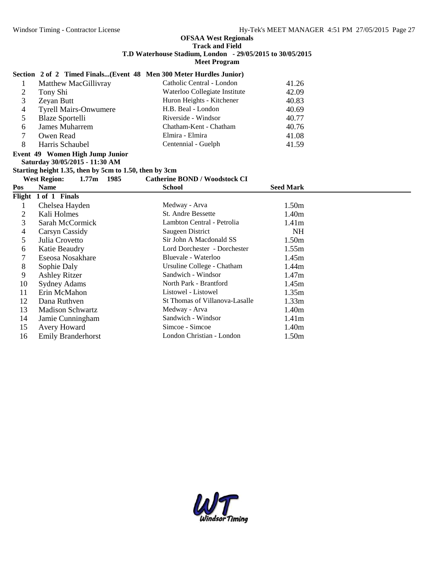# **Section 2 of 2 Timed Finals...(Event 48 Men 300 Meter Hurdles Junior)**

|   | Matthew MacGillivray         | Catholic Central - London     | 41.26 |  |
|---|------------------------------|-------------------------------|-------|--|
|   | Tony Shi                     | Waterloo Collegiate Institute | 42.09 |  |
|   | Zeyan Butt                   | Huron Heights - Kitchener     | 40.83 |  |
|   | <b>Tyrell Mairs-Onwumere</b> | H.B. Beal - London            | 40.69 |  |
|   | <b>Blaze Sportelli</b>       | Riverside - Windsor           | 40.77 |  |
| h | James Muharrem               | Chatham-Kent - Chatham        | 40.76 |  |
|   | Owen Read                    | Elmira - Elmira               | 41.08 |  |
|   | Harris Schaubel              | Centennial - Guelph           | 41.59 |  |

#### **Event 49 Women High Jump Junior Saturday 30/05/2015 - 11:30 AM**

**Starting height 1.35, then by 5cm to 1.50, then by 3cm**

| 1985<br>1.77m<br><b>West Region:</b> |                           | <b>Catherine BOND / Woodstock CI</b> |                   |
|--------------------------------------|---------------------------|--------------------------------------|-------------------|
| Pos                                  | Name                      | <b>School</b>                        | <b>Seed Mark</b>  |
|                                      | Flight 1 of 1 Finals      |                                      |                   |
|                                      | Chelsea Hayden            | Medway - Arva                        | 1.50m             |
| 2                                    | Kali Holmes               | <b>St. Andre Bessette</b>            | 1.40m             |
| 3                                    | Sarah McCormick           | Lambton Central - Petrolia           | 1.41 <sub>m</sub> |
| 4                                    | Carsyn Cassidy            | Saugeen District                     | <b>NH</b>         |
| 5                                    | Julia Crovetto            | Sir John A Macdonald SS              | 1.50m             |
| 6                                    | Katie Beaudry             | Lord Dorchester - Dorchester         | 1.55m             |
|                                      | Eseosa Nosakhare          | Bluevale - Waterloo                  | 1.45m             |
| 8                                    | Sophie Daly               | Ursuline College - Chatham           | 1.44m             |
| 9                                    | <b>Ashley Ritzer</b>      | Sandwich - Windsor                   | 1.47m             |
| 10                                   | <b>Sydney Adams</b>       | North Park - Brantford               | 1.45m             |
| 11                                   | Erin McMahon              | Listowel - Listowel                  | 1.35m             |
| 12                                   | Dana Ruthven              | St Thomas of Villanova-Lasalle       | 1.33m             |
| 13                                   | <b>Madison Schwartz</b>   | Medway - Arva                        | 1.40m             |
| 14                                   | Jamie Cunningham          | Sandwich - Windsor                   | 1.41 <sub>m</sub> |
| 15                                   | Avery Howard              | Simcoe - Simcoe                      | 1.40m             |
| 16                                   | <b>Emily Branderhorst</b> | London Christian - London            | 1.50m             |

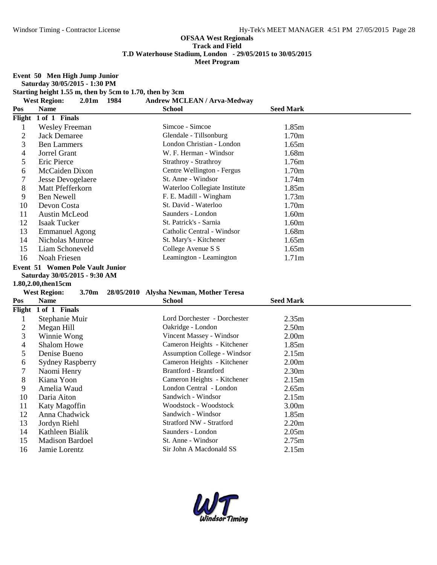**Event 50 Men High Jump Junior**

**Saturday 30/05/2015 - 1:30 PM**

**Starting height 1.55 m, then by 5cm to 1.70, then by 3cm**

**West Region: 2.01m 1984 Andrew MCLEAN / Arva-Medway**

| Pos | <b>Name</b>                             | <b>School</b>                 | <b>Seed Mark</b>  |
|-----|-----------------------------------------|-------------------------------|-------------------|
|     | Flight 1 of 1 Finals                    |                               |                   |
|     | <b>Wesley Freeman</b>                   | Simcoe - Simcoe               | 1.85m             |
| 2   | Jack Demaree                            | Glendale - Tillsonburg        | 1.70m             |
| 3   | <b>Ben Lammers</b>                      | London Christian - London     | 1.65m             |
| 4   | Jorrel Grant                            | W. F. Herman - Windsor        | 1.68m             |
| 5   | Eric Pierce                             | Strathroy - Strathroy         | 1.76m             |
| 6   | McCaiden Dixon                          | Centre Wellington - Fergus    | 1.70m             |
|     | <b>Jesse Devogelaere</b>                | St. Anne - Windsor            | 1.74m             |
| 8   | Matt Pfefferkorn                        | Waterloo Collegiate Institute | 1.85m             |
| 9   | Ben Newell                              | F. E. Madill - Wingham        | 1.73m             |
| 10  | Devon Costa                             | St. David - Waterloo          | 1.70m             |
| 11  | Austin McLeod                           | Saunders - London             | 1.60m             |
| 12  | Isaak Tucker                            | St. Patrick's - Sarnia        | 1.60m             |
| 13  | <b>Emmanuel Agong</b>                   | Catholic Central - Windsor    | 1.68m             |
| 14  | Nicholas Munroe                         | St. Mary's - Kitchener        | 1.65m             |
| 15  | Liam Schoneveld                         | College Avenue S S            | 1.65m             |
| 16  | Noah Friesen                            | Leamington - Leamington       | 1.71 <sub>m</sub> |
|     | <b>Event 51 Women Pole Vault Junior</b> |                               |                   |

# **Saturday 30/05/2015 - 9:30 AM**

## **1.80,2.00,then15cm**

|         | 1.00,2.00,them.ocm                       |                                         |                   |  |
|---------|------------------------------------------|-----------------------------------------|-------------------|--|
|         | <b>West Region:</b><br>3.70 <sub>m</sub> | 28/05/2010 Alysha Newman, Mother Teresa |                   |  |
| Pos     | <b>Name</b>                              | <b>School</b>                           | <b>Seed Mark</b>  |  |
|         | Flight 1 of 1 Finals                     |                                         |                   |  |
| $\perp$ | Stephanie Muir                           | Lord Dorchester - Dorchester            | 2.35m             |  |
| 2       | Megan Hill                               | Oakridge - London                       | 2.50 <sub>m</sub> |  |
| 3       | Winnie Wong                              | Vincent Massey - Windsor                | 2.00 <sub>m</sub> |  |
| 4       | <b>Shalom Howe</b>                       | Cameron Heights - Kitchener             | 1.85m             |  |
| 5       | Denise Bueno                             | <b>Assumption College - Windsor</b>     | 2.15m             |  |
| 6       | <b>Sydney Raspberry</b>                  | Cameron Heights - Kitchener             | 2.00 <sub>m</sub> |  |
|         | Naomi Henry                              | <b>Brantford - Brantford</b>            | 2.30 <sub>m</sub> |  |
| 8       | Kiana Yoon                               | Cameron Heights - Kitchener             | 2.15m             |  |
| 9       | Amelia Waud                              | London Central - London                 | 2.65m             |  |
| 10      | Daria Aiton                              | Sandwich - Windsor                      | 2.15m             |  |
| 11      | Katy Magoffin                            | Woodstock - Woodstock                   | 3.00 <sub>m</sub> |  |
| 12      | Anna Chadwick                            | Sandwich - Windsor                      | 1.85m             |  |
| 13      | Jordyn Riehl                             | Stratford NW - Stratford                | 2.20 <sub>m</sub> |  |
| 14      | Kathleen Bialik                          | Saunders - London                       | 2.05 <sub>m</sub> |  |
| 15      | <b>Madison Bardoel</b>                   | St. Anne - Windsor                      | 2.75m             |  |
| 16      | Jamie Lorentz                            | Sir John A Macdonald SS                 | 2.15m             |  |
|         |                                          |                                         |                   |  |
|         |                                          |                                         |                   |  |
|         |                                          |                                         |                   |  |

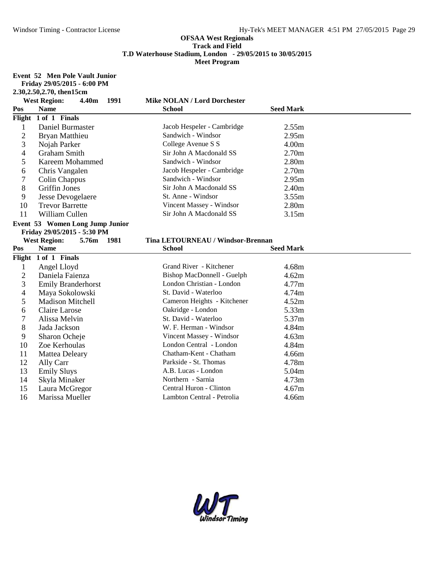**Event 52 Men Pole Vault Junior**

**Friday 29/05/2015 - 6:00 PM**

|                          | 2.30, 2.50, 2.70, then 15cm          |                                     |                   |  |
|--------------------------|--------------------------------------|-------------------------------------|-------------------|--|
|                          | <b>West Region:</b><br>4.40m<br>1991 | <b>Mike NOLAN / Lord Dorchester</b> |                   |  |
| Pos                      | <b>Name</b>                          | <b>School</b>                       | <b>Seed Mark</b>  |  |
|                          | Flight 1 of 1 Finals                 |                                     |                   |  |
| $\mathbf{1}$             | Daniel Burmaster                     | Jacob Hespeler - Cambridge          | 2.55m             |  |
| $\overline{2}$           | Bryan Matthieu                       | Sandwich - Windsor                  | 2.95m             |  |
| 3                        | Nojah Parker                         | College Avenue S S                  | 4.00 <sub>m</sub> |  |
| $\overline{\mathcal{L}}$ | <b>Graham Smith</b>                  | Sir John A Macdonald SS             | 2.70 <sub>m</sub> |  |
| 5                        | Kareem Mohammed                      | Sandwich - Windsor                  | 2.80 <sub>m</sub> |  |
| 6                        | Chris Vangalen                       | Jacob Hespeler - Cambridge          | 2.70 <sub>m</sub> |  |
| 7                        | Colin Chappus                        | Sandwich - Windsor                  | 2.95m             |  |
| 8                        | <b>Griffin Jones</b>                 | Sir John A Macdonald SS             | 2.40 <sub>m</sub> |  |
| 9                        | Jesse Devogelaere                    | St. Anne - Windsor                  | 3.55m             |  |
| 10                       | <b>Trevor Barrette</b>               | Vincent Massey - Windsor            | 2.80m             |  |
| 11                       | William Cullen                       | Sir John A Macdonald SS             | 3.15m             |  |
|                          | Event 53 Women Long Jump Junior      |                                     |                   |  |
|                          | Friday 29/05/2015 - 5:30 PM          |                                     |                   |  |
|                          | <b>West Region:</b><br>5.76m<br>1981 | Tina LETOURNEAU / Windsor-Brennan   |                   |  |
| Pos                      | <b>Name</b>                          | <b>School</b>                       | <b>Seed Mark</b>  |  |
|                          | Flight 1 of 1 Finals                 |                                     |                   |  |
| 1                        | Angel Lloyd                          | Grand River - Kitchener             | 4.68m             |  |
| $\overline{2}$           | Daniela Faienza                      | Bishop MacDonnell - Guelph          | 4.62m             |  |
| 3                        | <b>Emily Branderhorst</b>            | London Christian - London           |                   |  |
| 4                        |                                      |                                     | 4.77m             |  |
|                          | Maya Sokolowski                      | St. David - Waterloo                | 4.74m             |  |
| 5                        | <b>Madison Mitchell</b>              | Cameron Heights - Kitchener         | 4.52m             |  |
| 6                        | Claire Larose                        | Oakridge - London                   | 5.33m             |  |
| 7                        | Alissa Melvin                        | St. David - Waterloo                | 5.37m             |  |
| 8                        | Jada Jackson                         | W. F. Herman - Windsor              | 4.84m             |  |
| 9                        | Sharon Ocheje                        | Vincent Massey - Windsor            | 4.63m             |  |
| 10                       | Zoe Kerhoulas                        | London Central - London             | 4.84m             |  |
| 11                       | Mattea Deleary                       | Chatham-Kent - Chatham              | 4.66m             |  |
| 12                       | Ally Carr                            | Parkside - St. Thomas               | 4.78m             |  |
| 13                       | <b>Emily Sluys</b>                   | A.B. Lucas - London                 | 5.04m             |  |
| 14                       | Skyla Minaker                        | Northern - Sarnia                   | 4.73m             |  |
| 15                       | Laura McGregor                       | Central Huron - Clinton             | 4.67m             |  |

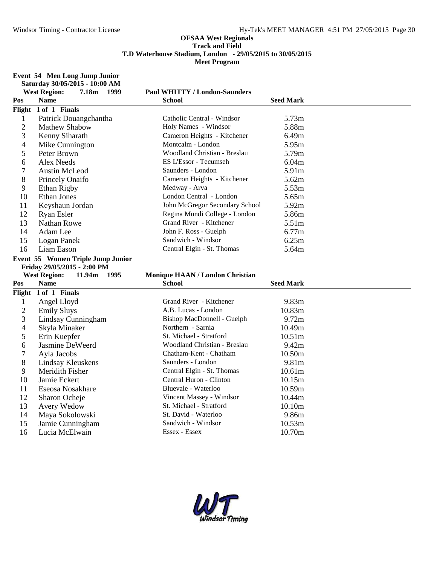**Event 54 Men Long Jump Junior Saturday 30/05/2015 - 10:00 AM**

|                | <b>West Region:</b><br>7.18m<br>1999    | <b>Paul WHITTY / London-Saunders</b> |                  |
|----------------|-----------------------------------------|--------------------------------------|------------------|
| Pos            | <b>Name</b>                             | School                               | <b>Seed Mark</b> |
| Flight         | 1 of 1 Finals                           |                                      |                  |
| $\mathbf{1}$   | Patrick Douangchantha                   | Catholic Central - Windsor           | 5.73m            |
| $\overline{2}$ | <b>Mathew Shabow</b>                    | Holy Names - Windsor                 | 5.88m            |
| 3              | Kenny Siharath                          | Cameron Heights - Kitchener          | 6.49m            |
| 4              | Mike Cunnington                         | Montcalm - London                    | 5.95m            |
| 5              | Peter Brown                             | Woodland Christian - Breslau         | 5.79m            |
| 6              | <b>Alex Needs</b>                       | ES L'Essor - Tecumseh                | 6.04m            |
| 7              | <b>Austin McLeod</b>                    | Saunders - London                    | 5.91m            |
| 8              | Princely Onaifo                         | Cameron Heights - Kitchener          | 5.62m            |
| 9              | Ethan Rigby                             | Medway - Arva                        | 5.53m            |
| 10             | <b>Ethan Jones</b>                      | London Central - London              | 5.65m            |
| 11             | Keyshaun Jordan                         | John McGregor Secondary School       | 5.92m            |
| 12             | <b>Ryan Esler</b>                       | Regina Mundi College - London        | 5.86m            |
| 13             | Nathan Rowe                             | Grand River - Kitchener              | 5.51m            |
| 14             | Adam Lee                                | John F. Ross - Guelph                | 6.77m            |
| 15             | Logan Panek                             | Sandwich - Windsor                   | 6.25m            |
| 16             | Liam Eason                              | Central Elgin - St. Thomas           | 5.64m            |
|                | Event 55 Women Triple Jump Junior       |                                      |                  |
|                |                                         |                                      |                  |
|                | Friday 29/05/2015 - 2:00 PM             |                                      |                  |
|                | <b>West Region:</b><br>11.94m<br>- 1995 | Monique HAAN / London Christian      |                  |
| Pos            | <b>Name</b>                             | School                               | <b>Seed Mark</b> |
|                | Flight 1 of 1 Finals                    |                                      |                  |
| $\mathbf{1}$   | Angel Lloyd                             | Grand River - Kitchener              | 9.83m            |
| $\overline{c}$ | <b>Emily Sluys</b>                      | A.B. Lucas - London                  | 10.83m           |
| 3              | Lindsay Cunningham                      | Bishop MacDonnell - Guelph           | 9.72m            |
| 4              | Skyla Minaker                           | Northern - Sarnia                    | 10.49m           |
| 5              | Erin Kuepfer                            | St. Michael - Stratford              | 10.51m           |
| 6              | Jasmine DeWeerd                         | Woodland Christian - Breslau         | 9.42m            |
| 7              | Ayla Jacobs                             | Chatham-Kent - Chatham               | 10.50m           |
| 8              | Lindsay Kleuskens                       | Saunders - London                    | 9.81m            |
| 9              | Meridith Fisher                         | Central Elgin - St. Thomas           | 10.61m           |
| 10             | Jamie Eckert                            | Central Huron - Clinton              | 10.15m           |
| 11             | Eseosa Nosakhare                        | Bluevale - Waterloo                  | 10.59m           |
| 12             | Sharon Ocheje                           | Vincent Massey - Windsor             | 10.44m           |
| 13             | Avery Wedow                             | St. Michael - Stratford              | 10.10m           |
| 14             | Maya Sokolowski                         | St. David - Waterloo                 | 9.86m            |
| 15<br>16       | Jamie Cunningham<br>Lucia McElwain      | Sandwich - Windsor                   | 10.53m<br>10.70m |

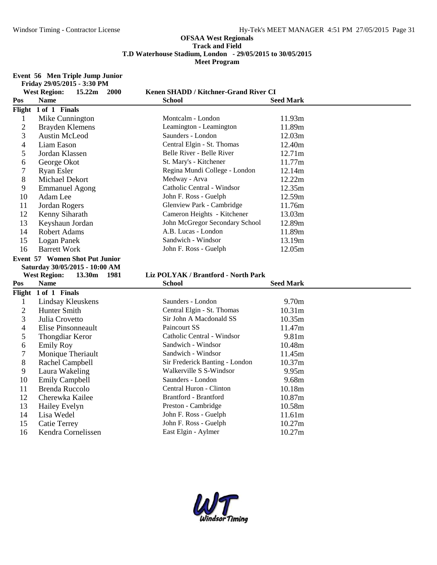**Event 56 Men Triple Jump Junior**

|                | Friday 29/05/2015 - 3:30 PM               |                                              |                    |
|----------------|-------------------------------------------|----------------------------------------------|--------------------|
|                | <b>West Region:</b><br>15.22m<br>2000     | Kenen SHADD / Kitchner-Grand River CI        |                    |
| Pos            | <b>Name</b>                               | School                                       | <b>Seed Mark</b>   |
|                | Flight 1 of 1 Finals                      |                                              |                    |
| $\mathbf{1}$   | Mike Cunnington                           | Montcalm - London                            | 11.93m             |
| $\overline{2}$ | Brayden Klemens                           | Leamington - Leamington                      | 11.89m             |
| 3              | Austin McLeod                             | Saunders - London                            | 12.03m             |
| 4              | Liam Eason                                | Central Elgin - St. Thomas                   | 12.40m             |
| 5              | Jordan Klassen                            | Belle River - Belle River                    | 12.71m             |
| 6              | George Okot                               | St. Mary's - Kitchener                       | 11.77m             |
| 7              | <b>Ryan Esler</b>                         | Regina Mundi College - London                | 12.14m             |
| 8              | Michael Dekort                            | Medway - Arva                                | 12.22m             |
| 9              | <b>Emmanuel Agong</b>                     | Catholic Central - Windsor                   | 12.35m             |
| 10             | Adam Lee                                  | John F. Ross - Guelph                        | 12.59m             |
| 11             | Jordan Rogers                             | Glenview Park - Cambridge                    | 11.76m             |
| 12             | Kenny Siharath                            | Cameron Heights - Kitchener                  | 13.03m             |
| 13             | Keyshaun Jordan                           | John McGregor Secondary School               | 12.89m             |
| 14             | Robert Adams                              | A.B. Lucas - London                          | 11.89m             |
| 15             | Logan Panek                               | Sandwich - Windsor                           | 13.19m             |
| 16             | <b>Barrett Work</b>                       | John F. Ross - Guelph                        | 12.05m             |
|                | Event 57 Women Shot Put Junior            |                                              |                    |
|                |                                           |                                              |                    |
|                | Saturday 30/05/2015 - 10:00 AM            |                                              |                    |
|                | <b>West Region:</b><br>13.30m 1981        | Liz POLYAK / Brantford - North Park          |                    |
| Pos            | <b>Name</b>                               | <b>School</b>                                | <b>Seed Mark</b>   |
|                | Flight 1 of 1 Finals                      |                                              |                    |
| $\mathbf{1}$   | Lindsay Kleuskens                         | Saunders - London                            | 9.70m              |
| $\overline{2}$ | Hunter Smith                              | Central Elgin - St. Thomas                   | 10.31 <sub>m</sub> |
| 3              | Julia Crovetto                            | Sir John A Macdonald SS                      | 10.35m             |
| 4              | <b>Elise Pinsonneault</b>                 | Paincourt SS                                 | 11.47m             |
| 5              | <b>Thongdiar Keror</b>                    | Catholic Central - Windsor                   | 9.81m              |
| 6              | <b>Emily Roy</b>                          | Sandwich - Windsor                           | 10.48m             |
| 7              | Monique Theriault                         | Sandwich - Windsor                           | 11.45m             |
| 8              | Rachel Campbell                           | Sir Frederick Banting - London               | 10.37m             |
| 9              | Laura Wakeling                            | Walkerville S S-Windsor                      | 9.95m              |
| 10             | <b>Emily Campbell</b>                     | Saunders - London                            | 9.68m              |
| 11             | <b>Brenda Ruccolo</b>                     | Central Huron - Clinton                      | 10.18m             |
| 12             | Cherewka Kailee                           | Brantford - Brantford                        | 10.87m             |
| 13             | Hailey Evelyn                             | Preston - Cambridge                          | 10.58m             |
| 14             | Lisa Wedel                                | John F. Ross - Guelph                        | 11.61m             |
| 15<br>16       | <b>Catie Terrey</b><br>Kendra Cornelissen | John F. Ross - Guelph<br>East Elgin - Aylmer | 10.27m<br>10.27m   |

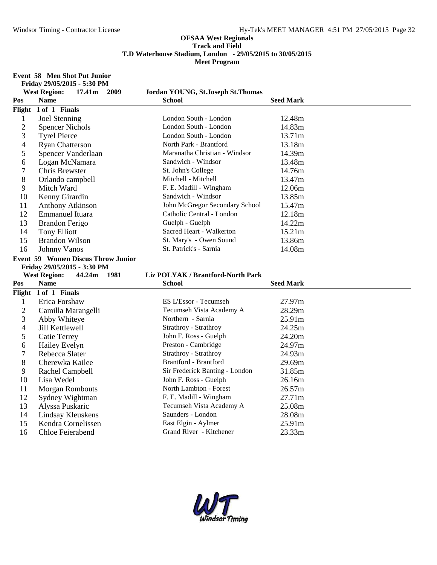**Event 58 Men Shot Put Junior Friday 29/05/2015 - 5:30 PM**

|                | <b>West Region:</b><br>17.41m 2009        | Jordan YOUNG, St.Joseph St.Thomas              |                  |
|----------------|-------------------------------------------|------------------------------------------------|------------------|
| Pos            | <b>Name</b>                               | <b>School</b>                                  | <b>Seed Mark</b> |
|                | Flight 1 of 1 Finals                      |                                                |                  |
| $\mathbf{1}$   | Joel Stenning                             | London South - London                          | 12.48m           |
| $\overline{2}$ | <b>Spencer Nichols</b>                    | London South - London                          | 14.83m           |
| 3              | <b>Tyrel Pierce</b>                       | London South - London                          | 13.71m           |
| 4              | <b>Ryan Chatterson</b>                    | North Park - Brantford                         | 13.18m           |
| 5              | Spencer Vanderlaan                        | Maranatha Christian - Windsor                  | 14.39m           |
| 6              | Logan McNamara                            | Sandwich - Windsor                             | 13.48m           |
| 7              | Chris Brewster                            | St. John's College                             | 14.76m           |
| 8              | Orlando campbell                          | Mitchell - Mitchell                            | 13.47m           |
| 9              | Mitch Ward                                | F. E. Madill - Wingham                         | 12.06m           |
| 10             | Kenny Girardin                            | Sandwich - Windsor                             | 13.85m           |
| 11             | Anthony Atkinson                          | John McGregor Secondary School                 | 15.47m           |
| 12             | <b>Emmanuel Ituara</b>                    | Catholic Central - London                      | 12.18m           |
| 13             | <b>Brandon Ferigo</b>                     | Guelph - Guelph                                | 14.22m           |
| 14             | <b>Tony Elliott</b>                       | Sacred Heart - Walkerton                       | 15.21m           |
| 15             | <b>Brandon Wilson</b>                     | St. Mary's - Owen Sound                        | 13.86m           |
| 16             | <b>Johnny Vanos</b>                       | St. Patrick's - Sarnia                         | 14.08m           |
|                | <b>Event 59 Women Discus Throw Junior</b> |                                                |                  |
|                |                                           |                                                |                  |
|                | Friday 29/05/2015 - 3:30 PM               |                                                |                  |
|                | <b>West Region:</b><br>44.24m<br>- 1981   | Liz POLYAK / Brantford-North Park              |                  |
| Pos            | <b>Name</b>                               | <b>School</b>                                  | <b>Seed Mark</b> |
|                | Flight 1 of 1 Finals                      |                                                |                  |
| $\mathbf{1}$   | Erica Forshaw                             | ES L'Essor - Tecumseh                          | 27.97m           |
| $\overline{2}$ | Camilla Marangelli                        | Tecumseh Vista Academy A                       | 28.29m           |
| 3              | Abby Whiteye                              | Northern - Sarnia                              | 25.91m           |
| 4              | Jill Kettlewell                           | Strathroy - Strathroy                          | 24.25m           |
| 5              | <b>Catie Terrey</b>                       | John F. Ross - Guelph                          | 24.20m           |
| 6              | Hailey Evelyn                             | Preston - Cambridge                            | 24.97m           |
| 7              | Rebecca Slater                            | Strathroy - Strathroy                          | 24.93m           |
| 8              | Cherewka Kailee                           | <b>Brantford - Brantford</b>                   | 29.69m           |
| 9              | Rachel Campbell                           | Sir Frederick Banting - London                 | 31.85m           |
| 10             | Lisa Wedel                                | John F. Ross - Guelph                          | 26.16m           |
| 11             | <b>Morgan Rombouts</b>                    | North Lambton - Forest                         | 26.57m           |
| 12             | Sydney Wightman                           | F. E. Madill - Wingham                         | 27.71m           |
| 13             | Alyssa Puskaric                           | Tecumseh Vista Academy A                       | 25.08m           |
| 14             | Lindsay Kleuskens                         | Saunders - London                              | 28.08m           |
| 15<br>16       | Kendra Cornelissen<br>Chloe Feierabend    | East Elgin - Aylmer<br>Grand River - Kitchener | 25.91m<br>23.33m |

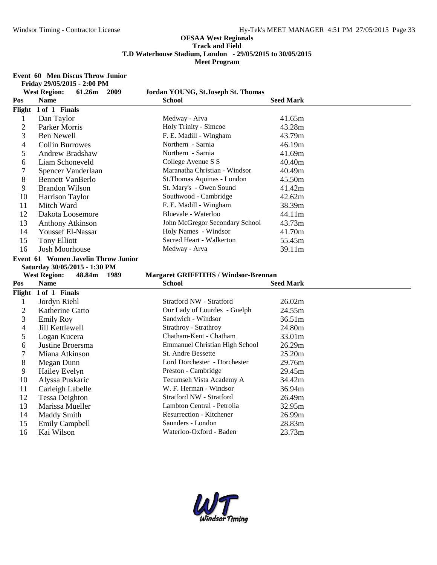#### **Event 60 Men Discus Throw Junior**

**Friday 29/05/2015 - 2:00 PM**

|                          | <b>West Region:</b><br>61.26m<br>2009   | Jordan YOUNG, St.Joseph St. Thomas          |                  |
|--------------------------|-----------------------------------------|---------------------------------------------|------------------|
| Pos                      | <b>Name</b>                             | <b>School</b>                               | <b>Seed Mark</b> |
|                          | Flight 1 of 1 Finals                    |                                             |                  |
| $\mathbf{1}$             | Dan Taylor                              | Medway - Arva                               | 41.65m           |
| $\overline{2}$           | Parker Morris                           | Holy Trinity - Simcoe                       | 43.28m           |
| 3                        | <b>Ben Newell</b>                       | F. E. Madill - Wingham                      | 43.79m           |
| 4                        | <b>Collin Burrowes</b>                  | Northern - Sarnia                           | 46.19m           |
| 5                        | Andrew Bradshaw                         | Northern - Sarnia                           | 41.69m           |
| 6                        | Liam Schoneveld                         | College Avenue S S                          | 40.40m           |
| 7                        | Spencer Vanderlaan                      | Maranatha Christian - Windsor               | 40.49m           |
| 8                        | <b>Bennett VanBerlo</b>                 | St.Thomas Aquinas - London                  | 45.50m           |
| 9                        | <b>Brandon Wilson</b>                   | St. Mary's - Owen Sound                     | 41.42m           |
| 10                       | Harrison Taylor                         | Southwood - Cambridge                       | 42.62m           |
| 11                       | Mitch Ward                              | F. E. Madill - Wingham                      | 38.39m           |
| 12                       | Dakota Loosemore                        | Bluevale - Waterloo                         | 44.11m           |
| 13                       | <b>Anthony Atkinson</b>                 | John McGregor Secondary School              | 43.73m           |
| 14                       | Youssef El-Nassar                       | Holy Names - Windsor                        | 41.70m           |
| 15                       | <b>Tony Elliott</b>                     | Sacred Heart - Walkerton                    | 55.45m           |
| 16                       | <b>Josh Moorhouse</b>                   | Medway - Arva                               | 39.11m           |
|                          | Event 61 Women Javelin Throw Junior     |                                             |                  |
|                          | Saturday 30/05/2015 - 1:30 PM           |                                             |                  |
|                          |                                         |                                             |                  |
|                          | <b>West Region:</b><br>48.84m<br>- 1989 | <b>Margaret GRIFFITHS / Windsor-Brennan</b> |                  |
| Pos                      | <b>Name</b>                             | <b>School</b>                               | <b>Seed Mark</b> |
|                          | Flight 1 of 1 Finals                    |                                             |                  |
| $\mathbf{1}$             | Jordyn Riehl                            | Stratford NW - Stratford                    | 26.02m           |
| $\overline{c}$           | Katherine Gatto                         | Our Lady of Lourdes - Guelph                | 24.55m           |
| 3                        | <b>Emily Roy</b>                        | Sandwich - Windsor                          | 36.51m           |
| $\overline{\mathcal{A}}$ | Jill Kettlewell                         | Strathroy - Strathroy                       | 24.80m           |
| 5                        | Logan Kucera                            | Chatham-Kent - Chatham                      | 33.01m           |
| 6                        | Justine Broersma                        | <b>Emmanuel Christian High School</b>       | 26.29m           |
| 7                        | Miana Atkinson                          | <b>St. Andre Bessette</b>                   | 25.20m           |
| 8                        | Megan Dunn                              | Lord Dorchester - Dorchester                | 29.76m           |
| 9                        | Hailey Evelyn                           | Preston - Cambridge                         | 29.45m           |
| 10                       | Alyssa Puskaric                         | Tecumseh Vista Academy A                    | 34.42m           |
| 11                       | Carleigh Labelle                        | W. F. Herman - Windsor                      | 36.94m           |
| 12                       | <b>Tessa Deighton</b>                   | Stratford NW - Stratford                    | 26.49m           |
| 13                       | Marissa Mueller                         | Lambton Central - Petrolia                  | 32.95m           |
| 14                       | <b>Maddy Smith</b>                      | <b>Resurrection - Kitchener</b>             | 26.99m           |
| 15<br>16                 | <b>Emily Campbell</b>                   | Saunders - London                           | 28.83m<br>23.73m |

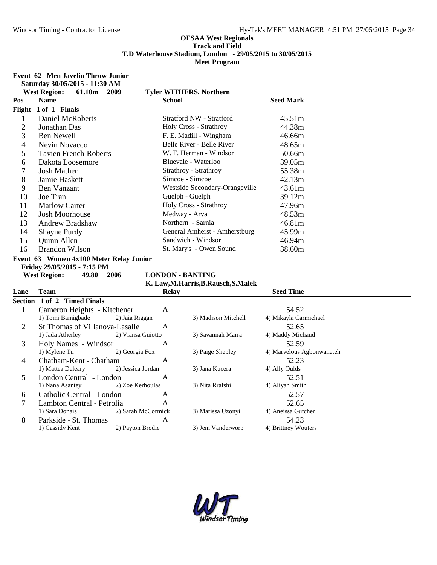#### **Event 62 Men Javelin Throw Junior**

**Saturday 30/05/2015 - 11:30 AM**

|                | <b>West Region:</b><br>61.10m<br>2009   |                    | <b>Tyler WITHERS, Northern</b>         |                           |
|----------------|-----------------------------------------|--------------------|----------------------------------------|---------------------------|
| Pos            | <b>Name</b>                             | <b>School</b>      |                                        | <b>Seed Mark</b>          |
|                | Flight 1 of 1 Finals                    |                    |                                        |                           |
| $\mathbf{1}$   | <b>Daniel McRoberts</b>                 |                    | <b>Stratford NW - Stratford</b>        | 45.51m                    |
| $\overline{2}$ | Jonathan Das                            |                    | Holy Cross - Strathroy                 | 44.38m                    |
| 3              | <b>Ben Newell</b>                       |                    | F. E. Madill - Wingham                 | 46.66m                    |
| $\overline{4}$ | Nevin Novacco                           |                    | Belle River - Belle River              | 48.65m                    |
| 5              | <b>Tavien French-Roberts</b>            |                    | W. F. Herman - Windsor                 | 50.66m                    |
| 6              | Dakota Loosemore                        |                    | Bluevale - Waterloo                    | 39.05m                    |
| $\overline{7}$ | <b>Josh Mather</b>                      |                    | Strathroy - Strathroy                  | 55.38m                    |
| 8              | Jamie Haskett                           |                    | Simcoe - Simcoe                        | 42.13m                    |
| 9              | <b>Ben Vanzant</b>                      |                    | Westside Secondary-Orangeville         | 43.61m                    |
| 10             | Joe Tran                                |                    | Guelph - Guelph                        | 39.12m                    |
| 11             | <b>Marlow Carter</b>                    |                    | Holy Cross - Strathroy                 | 47.96m                    |
| 12             | <b>Josh Moorhouse</b>                   |                    | Medway - Arva                          | 48.53m                    |
| 13             | <b>Andrew Bradshaw</b>                  |                    | Northern - Sarnia                      | 46.81m                    |
| 14             | Shayne Purdy                            |                    | General Amherst - Amherstburg          | 45.99m                    |
| 15             | Quinn Allen                             |                    | Sandwich - Windsor                     | 46.94m                    |
| 16             | <b>Brandon Wilson</b>                   |                    | St. Mary's - Owen Sound                | 38.60m                    |
|                | Event 63 Women 4x100 Meter Relay Junior |                    |                                        |                           |
|                | Friday 29/05/2015 - 7:15 PM             |                    |                                        |                           |
|                | <b>West Region:</b><br>49.80<br>2006    |                    | <b>LONDON - BANTING</b>                |                           |
|                |                                         |                    | K. Law, M. Harris, B. Rausch, S. Malek |                           |
| Lane           | Team                                    | <b>Relay</b>       |                                        | <b>Seed Time</b>          |
|                | Section 1 of 2 Timed Finals             |                    |                                        |                           |
| $\mathbf{1}$   | Cameron Heights - Kitchener             | A                  |                                        | 54.52                     |
|                | 1) Tomi Bamigbade                       | 2) Jaia Riggan     | 3) Madison Mitchell                    | 4) Mikayla Carmichael     |
| $\overline{2}$ | St Thomas of Villanova-Lasalle          | A                  |                                        | 52.65                     |
|                | 1) Jada Atherley                        | 2) Viansa Guiotto  | 3) Savannah Marra                      | 4) Maddy Michaud          |
| 3              | Holy Names - Windsor                    | A                  |                                        | 52.59                     |
|                | 1) Mylene Tu                            | 2) Georgia Fox     | 3) Paige Shepley                       | 4) Marvelous Agbonwaneteh |
| 4              | Chatham-Kent - Chatham                  | A                  |                                        | 52.23                     |
|                | 1) Mattea Deleary                       | 2) Jessica Jordan  | 3) Jana Kucera                         | 4) Ally Oulds             |
| 5              | London Central - London                 | A                  |                                        | 52.51                     |
|                | 1) Nana Asantey                         | 2) Zoe Kerhoulas   | 3) Nita Rrafshi                        | 4) Aliyah Smith           |
| 6              | Catholic Central - London               | A                  |                                        | 52.57                     |
| 7              | Lambton Central - Petrolia              | A                  |                                        | 52.65                     |
|                | 1) Sara Donais                          | 2) Sarah McCormick | 3) Marissa Uzonyi                      | 4) Aneissa Gutcher        |
| 8              | Parkside - St. Thomas                   | A                  |                                        | 54.23                     |
|                | 1) Cassidy Kent                         | 2) Payton Brodie   | 3) Jem Vanderworp                      | 4) Brittney Wouters       |

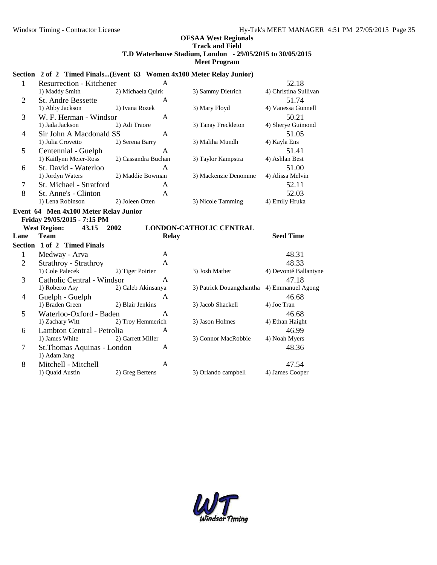#### **Section 2 of 2 Timed Finals...(Event 63 Women 4x100 Meter Relay Junior)**

|   | Resurrection - Kitchener  | A                   |                      | 52.18                 |
|---|---------------------------|---------------------|----------------------|-----------------------|
|   | 1) Maddy Smith            | 2) Michaela Quirk   | 3) Sammy Dietrich    | 4) Christina Sullivan |
| 2 | <b>St. Andre Bessette</b> | A                   |                      | 51.74                 |
|   | 1) Abby Jackson           | 2) Ivana Rozek      | 3) Mary Floyd        | 4) Vanessa Gunnell    |
| 3 | W. F. Herman - Windsor    | A                   |                      | 50.21                 |
|   | 1) Jada Jackson           | 2) Adi Traore       | 3) Tanay Freckleton  | 4) Sherye Guimond     |
| 4 | Sir John A Macdonald SS   | A                   |                      | 51.05                 |
|   | 1) Julia Crovetto         | 2) Serena Barry     | 3) Maliha Mundh      | 4) Kayla Ens          |
| 5 | Centennial - Guelph       | A                   |                      | 51.41                 |
|   | 1) Kaitlynn Meier-Ross    | 2) Cassandra Buchan | 3) Taylor Kampstra   | 4) Ashlan Best        |
| 6 | St. David - Waterloo      | A                   |                      | 51.00                 |
|   | 1) Jordyn Waters          | 2) Maddie Bowman    | 3) Mackenzie Denomme | 4) Alissa Melvin      |
| 7 | St. Michael - Stratford   | A                   |                      | 52.11                 |
| 8 | St. Anne's - Clinton      | A                   |                      | 52.03                 |
|   | 1) Lena Robinson          | 2) Joleen Otten     | 3) Nicole Tamming    | 4) Emily Hruka        |

#### **Event 64 Men 4x100 Meter Relay Junior Friday 29/05/2015 - 7:15 PM**

| <b>West Region:</b> | 43.15 | 2002 | <b>LONDON-CATHOLIC CENTRAL</b> |
|---------------------|-------|------|--------------------------------|

| Lane | $\cdots$<br><b>Team</b>     |                    | <b>Relay</b>                               | <b>Seed Time</b>      |  |
|------|-----------------------------|--------------------|--------------------------------------------|-----------------------|--|
|      | Section 1 of 2 Timed Finals |                    |                                            |                       |  |
|      | Medway - Arva               | A                  |                                            | 48.31                 |  |
| 2    | Strathroy - Strathroy       | A                  |                                            | 48.33                 |  |
|      | 1) Cole Palecek             | 2) Tiger Poirier   | 3) Josh Mather                             | 4) Devonté Ballantyne |  |
| 3    | Catholic Central - Windsor  | A                  |                                            | 47.18                 |  |
|      | 1) Roberto Asy              | 2) Caleb Akinsanya | 3) Patrick Douangchantha 4) Emmanuel Agong |                       |  |
| 4    | Guelph - Guelph             | A                  |                                            | 46.68                 |  |
|      | 1) Braden Green             | 2) Blair Jenkins   | 3) Jacob Shackell                          | 4) Joe Tran           |  |
| 5    | Waterloo-Oxford - Baden     | A                  |                                            | 46.68                 |  |
|      | 1) Zachary Witt             | 2) Troy Hemmerich  | 3) Jason Holmes                            | 4) Ethan Haight       |  |
| 6    | Lambton Central - Petrolia  | A                  |                                            | 46.99                 |  |
|      | 1) James White              | 2) Garrett Miller  | 3) Connor MacRobbie                        | 4) Noah Myers         |  |
| 7    | St. Thomas Aquinas - London | A                  |                                            | 48.36                 |  |
|      | 1) Adam Jang                |                    |                                            |                       |  |
| 8    | Mitchell - Mitchell         | A                  |                                            | 47.54                 |  |
|      | 1) Ouaid Austin             | 2) Greg Bertens    | 3) Orlando campbell                        | 4) James Cooper       |  |

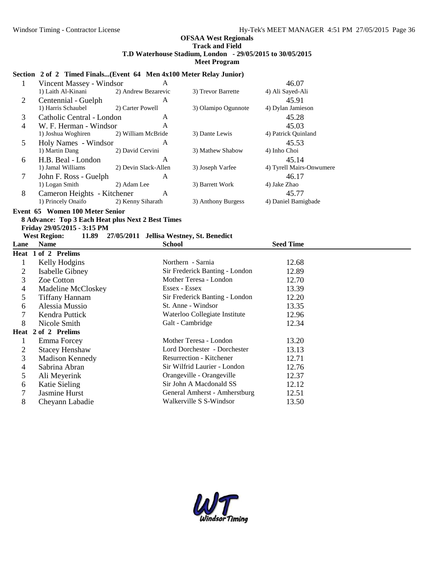### **Section 2 of 2 Timed Finals...(Event 64 Men 4x100 Meter Relay Junior)**

|   | Vincent Massey - Windsor    | A                    |                     | 46.07                    |
|---|-----------------------------|----------------------|---------------------|--------------------------|
|   | 1) Laith Al-Kinani          | 2) Andrew Bezarevic  | 3) Trevor Barrette  | 4) Ali Sayed-Ali         |
| 2 | Centennial - Guelph         | A                    |                     | 45.91                    |
|   | 1) Harris Schaubel          | 2) Carter Powell     | 3) Olamipo Ogunnote | 4) Dylan Jamieson        |
| 3 | Catholic Central - London   | A                    |                     | 45.28                    |
| 4 | W. F. Herman - Windsor      | A                    |                     | 45.03                    |
|   | 1) Joshua Woghiren          | 2) William McBride   | 3) Dante Lewis      | 4) Patrick Quinland      |
| 5 | Holy Names - Windsor        | A                    |                     | 45.53                    |
|   | 1) Martin Dang              | 2) David Cervini     | 3) Mathew Shabow    | 4) Inho Choi             |
| 6 | H.B. Beal - London          | A                    |                     | 45.14                    |
|   | 1) Jamal Williams           | 2) Devin Slack-Allen | 3) Joseph Varfee    | 4) Tyrell Mairs-Onwumere |
| 7 | John F. Ross - Guelph       | A                    |                     | 46.17                    |
|   | 1) Logan Smith              | 2) Adam Lee          | 3) Barrett Work     | 4) Jake Zhao             |
| 8 | Cameron Heights - Kitchener | A                    |                     | 45.77                    |
|   | 1) Princely Onaifo          | 2) Kenny Siharath    | 3) Anthony Burgess  | 4) Daniel Bamigbade      |

### **Event 65 Women 100 Meter Senior**

# **8 Advance: Top 3 Each Heat plus Next 2 Best Times Friday 29/05/2015 - 3:15 PM**

#### 11.89 **27/05/2011 Jellisa Westney, St. Benedict**<br>School **Lane Name School School Seed Time**

|    | Heat 1 of 2 Prelims    |                                 |       |
|----|------------------------|---------------------------------|-------|
|    | Kelly Hodgins          | Northern - Sarnia               | 12.68 |
| 2  | Isabelle Gibney        | Sir Frederick Banting - London  | 12.89 |
| 3  | Zoe Cotton             | Mother Teresa - London          | 12.70 |
| 4  | Madeline McCloskey     | Essex - Essex                   | 13.39 |
| 5. | <b>Tiffany Hannam</b>  | Sir Frederick Banting - London  | 12.20 |
| 6  | Alessia Mussio         | St. Anne - Windsor              | 13.35 |
|    | Kendra Puttick         | Waterloo Collegiate Institute   | 12.96 |
| 8  | Nicole Smith           | Galt - Cambridge                | 12.34 |
|    | Heat 2 of 2 Prelims    |                                 |       |
|    | Emma Forcey            | Mother Teresa - London          | 13.20 |
| 2  | <b>Stacey Henshaw</b>  | Lord Dorchester - Dorchester    | 13.13 |
| 3  | <b>Madison Kennedy</b> | <b>Resurrection - Kitchener</b> | 12.71 |
| 4  | Sabrina Abran          | Sir Wilfrid Laurier - London    | 12.76 |
| 5  | Ali Meyerink           | Orangeville - Orangeville       | 12.37 |
| 6  | Katie Sieling          | Sir John A Macdonald SS         | 12.12 |
|    | Jasmine Hurst          | General Amherst - Amherstburg   | 12.51 |
| 8  | Cheyann Labadie        | Walkerville S S-Windsor         | 13.50 |

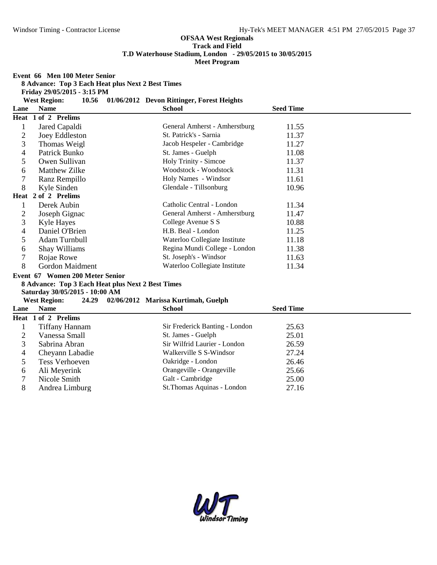# **OFSAA West Regionals Track and Field**

**T.D Waterhouse Stadium, London - 29/05/2015 to 30/05/2015**

**Meet Program**

**Event 66 Men 100 Meter Senior**

**Friday 29/05/2015 - 3:15 PM**

| <b>West Region:</b> |  | 10.56 01/06/2012 Devon Rittinger, Forest Heights |                 |
|---------------------|--|--------------------------------------------------|-----------------|
| ane<br><b>Name</b>  |  | School                                           | <b>Seed Tim</b> |

| Lane           | <b>Name</b>                                       | School                              | Seed Time        |
|----------------|---------------------------------------------------|-------------------------------------|------------------|
|                | Heat 1 of 2 Prelims                               |                                     |                  |
| $\mathbf{1}$   | Jared Capaldi                                     | General Amherst - Amherstburg       | 11.55            |
| $\overline{c}$ | Joey Eddleston                                    | St. Patrick's - Sarnia              | 11.37            |
| 3              | Thomas Weigl                                      | Jacob Hespeler - Cambridge          | 11.27            |
| 4              | Patrick Bunko                                     | St. James - Guelph                  | 11.08            |
| 5              | Owen Sullivan                                     | Holy Trinity - Simcoe               | 11.37            |
| 6              | <b>Matthew Zilke</b>                              | Woodstock - Woodstock               | 11.31            |
| 7              | Ranz Rempillo                                     | Holy Names - Windsor                | 11.61            |
| 8              | Kyle Sinden                                       | Glendale - Tillsonburg              | 10.96            |
|                | Heat 2 of 2 Prelims                               |                                     |                  |
| $\mathbf{1}$   | Derek Aubin                                       | Catholic Central - London           | 11.34            |
| $\overline{c}$ | Joseph Gignac                                     | General Amherst - Amherstburg       | 11.47            |
| 3              | Kyle Hayes                                        | College Avenue S S                  | 10.88            |
| 4              | Daniel O'Brien                                    | H.B. Beal - London                  | 11.25            |
| 5              | Adam Turnbull                                     | Waterloo Collegiate Institute       | 11.18            |
| 6              | Shay Williams                                     | Regina Mundi College - London       | 11.38            |
| 7              | Rojae Rowe                                        | St. Joseph's - Windsor              | 11.63            |
| 8              | Gordon Maidment                                   | Waterloo Collegiate Institute       | 11.34            |
|                | Event 67 Women 200 Meter Senior                   |                                     |                  |
|                | 8 Advance: Top 3 Each Heat plus Next 2 Best Times |                                     |                  |
|                | Saturday 30/05/2015 - 10:00 AM                    |                                     |                  |
|                | 24.29<br><b>West Region:</b>                      | 02/06/2012 Marissa Kurtimah, Guelph |                  |
| Lane           | <b>Name</b>                                       | <b>School</b>                       | <b>Seed Time</b> |
|                | Heat 1 of 2 Prelims                               |                                     |                  |
| $\mathbf{1}$   | <b>Tiffany Hannam</b>                             | Sir Frederick Banting - London      | 25.63            |
| $\overline{c}$ | Vanessa Small                                     | St. James - Guelph                  | 25.01            |
| 3              | Sabrina Abran                                     | Sir Wilfrid Laurier - London        | 26.59            |
| 4              | Cheyann Labadie                                   | Walkerville S S-Windsor             | 27.24            |
| 5              | <b>Tess Verhoeven</b>                             | Oakridge - London                   | 26.46            |
| 6              | Ali Meyerink                                      | Orangeville - Orangeville           | 25.66            |
| 7              | Nicole Smith                                      | Galt - Cambridge                    | 25.00            |
| 8              | Andrea Limburg                                    | St.Thomas Aquinas - London          | 27.16            |

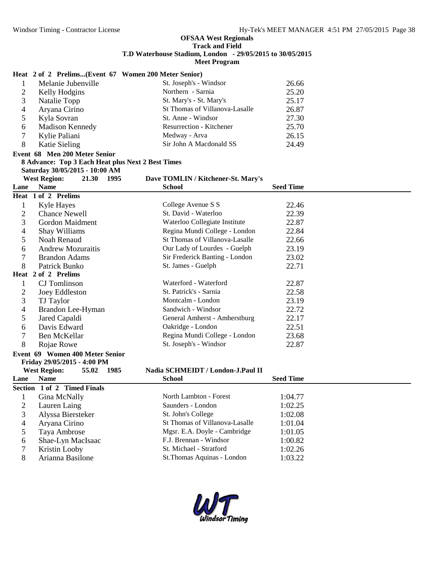|                | Heat 2 of 2 Prelims(Event 67 Women 200 Meter Senior) |                                    |                  |
|----------------|------------------------------------------------------|------------------------------------|------------------|
| 1              | Melanie Jubenville                                   | St. Joseph's - Windsor             | 26.66            |
| $\overline{c}$ | Kelly Hodgins                                        | Northern - Sarnia                  | 25.20            |
| 3              | Natalie Topp                                         | St. Mary's - St. Mary's            | 25.17            |
| 4              | Aryana Cirino                                        | St Thomas of Villanova-Lasalle     | 26.87            |
| 5              | Kyla Sovran                                          | St. Anne - Windsor                 | 27.30            |
| 6              | Madison Kennedy                                      | Resurrection - Kitchener           | 25.70            |
| 7              | Kylie Paliani                                        | Medway - Arva                      | 26.15            |
| 8              | <b>Katie Sieling</b>                                 | Sir John A Macdonald SS            | 24.49            |
|                | Event 68 Men 200 Meter Senior                        |                                    |                  |
|                | 8 Advance: Top 3 Each Heat plus Next 2 Best Times    |                                    |                  |
|                | Saturday 30/05/2015 - 10:00 AM                       |                                    |                  |
|                | <b>West Region:</b><br>21.30 1995                    | Dave TOMLIN / Kitchener-St. Mary's |                  |
| Lane           | <b>Name</b>                                          | <b>School</b>                      | <b>Seed Time</b> |
|                | Heat 1 of 2 Prelims                                  |                                    |                  |
| 1              | Kyle Hayes                                           | College Avenue S S                 | 22.46            |
| $\overline{c}$ | <b>Chance Newell</b>                                 | St. David - Waterloo               | 22.39            |
| 3              | Gordon Maidment                                      | Waterloo Collegiate Institute      | 22.87            |
| 4              | Shay Williams                                        | Regina Mundi College - London      | 22.84            |
| 5              | Noah Renaud                                          | St Thomas of Villanova-Lasalle     | 22.66            |
| 6              | <b>Andrew Mozuraitis</b>                             | Our Lady of Lourdes - Guelph       | 23.19            |
| $\overline{7}$ | <b>Brandon Adams</b>                                 | Sir Frederick Banting - London     | 23.02            |
| 8              | Patrick Bunko                                        | St. James - Guelph                 | 22.71            |
|                | Heat 2 of 2 Prelims                                  |                                    |                  |
| 1              | CJ Tomlinson                                         | Waterford - Waterford              | 22.87            |
| 2              | Joey Eddleston                                       | St. Patrick's - Sarnia             | 22.58            |
| 3              | TJ Taylor                                            | Montcalm - London                  | 23.19            |
| 4              | Brandon Lee-Hyman                                    | Sandwich - Windsor                 | 22.72            |
| 5              | Jared Capaldi                                        | General Amherst - Amherstburg      | 22.17            |
| 6              | Davis Edward                                         | Oakridge - London                  | 22.51            |
| 7              | Ben McKellar                                         | Regina Mundi College - London      | 23.68            |
| 8              | Rojae Rowe                                           | St. Joseph's - Windsor             | 22.87            |
|                | Event 69 Women 400 Meter Senior                      |                                    |                  |
|                | Friday 29/05/2015 - 4:00 PM                          |                                    |                  |
|                | <b>West Region:</b><br>55.02<br>1985                 | Nadia SCHMEIDT / London-J.Paul II  |                  |
| Lane           | <b>Name</b>                                          | <b>School</b>                      | <b>Seed Time</b> |
|                | Section 1 of 2 Timed Finals                          |                                    |                  |
| 1              | Gina McNally                                         | North Lambton - Forest             | 1:04.77          |
| $\overline{2}$ | Lauren Laing                                         | Saunders - London                  | 1:02.25          |
| 3              | Alyssa Biersteker                                    | St. John's College                 | 1:02.08          |
| 4              | Aryana Cirino                                        | St Thomas of Villanova-Lasalle     | 1:01.04          |
| 5              | Taya Ambrose                                         | Mgsr. E.A. Doyle - Cambridge       | 1:01.05          |
| 6              | Shae-Lyn MacIsaac                                    | F.J. Brennan - Windsor             | 1:00.82          |
| 7              | Kristin Looby                                        | St. Michael - Stratford            | 1:02.26          |
| $8\,$          | Arianna Basilone                                     | St.Thomas Aquinas - London         | 1:03.22          |

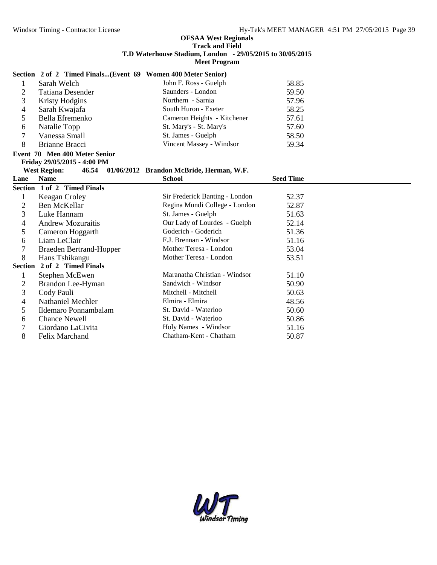|   | Section 2 of 2 Timed Finals(Event 69 Women 400 Meter Senior) |                                                |       |
|---|--------------------------------------------------------------|------------------------------------------------|-------|
|   | Sarah Welch                                                  | John F. Ross - Guelph                          | 58.85 |
| 2 | Tatiana Desender                                             | Saunders - London                              | 59.50 |
| 3 | Kristy Hodgins                                               | Northern - Sarnia                              | 57.96 |
| 4 | Sarah Kwajafa                                                | South Huron - Exeter                           | 58.25 |
| 5 | Bella Efremenko                                              | Cameron Heights - Kitchener                    | 57.61 |
| 6 | Natalie Topp                                                 | St. Mary's - St. Mary's                        | 57.60 |
| 7 | Vanessa Small                                                | St. James - Guelph                             | 58.50 |
| 8 | Brianne Bracci                                               | Vincent Massey - Windsor                       | 59.34 |
|   | Event 70 Men 400 Meter Senior                                |                                                |       |
|   | Friday 29/05/2015 - 4:00 PM                                  |                                                |       |
|   | <b>West Region:</b>                                          | 46.54 01/06/2012 Brandon McBride, Herman, W.F. |       |

| Lane | Name                        | <b>School</b>                  | <b>Seed Time</b> |
|------|-----------------------------|--------------------------------|------------------|
|      | Section 1 of 2 Timed Finals |                                |                  |
|      | Keagan Croley               | Sir Frederick Banting - London | 52.37            |
| 2    | Ben McKellar                | Regina Mundi College - London  | 52.87            |
| 3    | Luke Hannam                 | St. James - Guelph             | 51.63            |
| 4    | <b>Andrew Mozuraitis</b>    | Our Lady of Lourdes - Guelph   | 52.14            |
| 5.   | Cameron Hoggarth            | Goderich - Goderich            | 51.36            |
| 6    | Liam LeClair                | F.J. Brennan - Windsor         | 51.16            |
|      | Braeden Bertrand-Hopper     | Mother Teresa - London         | 53.04            |
| 8    | Hans Tshikangu              | Mother Teresa - London         | 53.51            |
|      | Section 2 of 2 Timed Finals |                                |                  |
|      | Stephen McEwen              | Maranatha Christian - Windsor  | 51.10            |
| 2    | Brandon Lee-Hyman           | Sandwich - Windsor             | 50.90            |
| 3    | Cody Pauli                  | Mitchell - Mitchell            | 50.63            |
| 4    | Nathaniel Mechler           | Elmira - Elmira                | 48.56            |
| 5    | Ildemaro Ponnambalam        | St. David - Waterloo           | 50.60            |
| 6    | <b>Chance Newell</b>        | St. David - Waterloo           | 50.86            |
|      | Giordano LaCivita           | Holy Names - Windsor           | 51.16            |
| 8    | Felix Marchand              | Chatham-Kent - Chatham         | 50.87            |

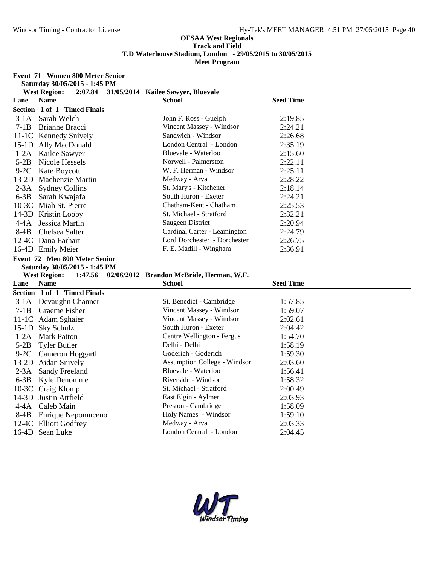|        | Event 71 Women 800 Meter Senior<br>Saturday 30/05/2015 - 1:45 PM |                                          |                  |  |
|--------|------------------------------------------------------------------|------------------------------------------|------------------|--|
|        | <b>West Region:</b><br>2:07.84                                   | 31/05/2014 Kailee Sawyer, Bluevale       |                  |  |
| Lane   | <b>Name</b>                                                      | <b>School</b>                            | <b>Seed Time</b> |  |
|        | Section 1 of 1 Timed Finals                                      |                                          |                  |  |
|        | 3-1A Sarah Welch                                                 | John F. Ross - Guelph                    | 2:19.85          |  |
| $7-1B$ | <b>Brianne Bracci</b>                                            | Vincent Massey - Windsor                 | 2:24.21          |  |
|        | 11-1C Kennedy Snively                                            | Sandwich - Windsor                       | 2:26.68          |  |
|        | 15-1D Ally MacDonald                                             | London Central - London                  | 2:35.19          |  |
|        | 1-2A Kailee Sawyer                                               | Bluevale - Waterloo                      | 2:15.60          |  |
| $5-2B$ | Nicole Hessels                                                   | Norwell - Palmerston                     | 2:22.11          |  |
|        | 9-2C Kate Boycott                                                | W. F. Herman - Windsor                   | 2:25.11          |  |
|        | 13-2D Machenzie Martin                                           | Medway - Arva                            | 2:28.22          |  |
|        | 2-3A Sydney Collins                                              | St. Mary's - Kitchener                   | 2:18.14          |  |
| $6-3B$ | Sarah Kwajafa                                                    | South Huron - Exeter                     | 2:24.21          |  |
|        | 10-3C Miah St. Pierre                                            | Chatham-Kent - Chatham                   | 2:25.53          |  |
|        | 14-3D Kristin Looby                                              | St. Michael - Stratford                  | 2:32.21          |  |
| $4-4A$ | Jessica Martin                                                   | Saugeen District                         | 2:20.94          |  |
| $8-4B$ | Chelsea Salter                                                   | Cardinal Carter - Leamington             | 2:24.79          |  |
|        | 12-4C Dana Earhart                                               | Lord Dorchester - Dorchester             | 2:26.75          |  |
|        | 16-4D Emily Meier                                                | F. E. Madill - Wingham                   | 2:36.91          |  |
|        | Event 72 Men 800 Meter Senior                                    |                                          |                  |  |
|        | Saturday 30/05/2015 - 1:45 PM                                    |                                          |                  |  |
|        | <b>West Region:</b><br>1:47.56                                   | 02/06/2012 Brandon McBride, Herman, W.F. |                  |  |
| Lane   | <b>Name</b>                                                      | <b>School</b>                            | <b>Seed Time</b> |  |
|        | Section 1 of 1 Timed Finals                                      |                                          |                  |  |
|        | 3-1A Devaughn Channer                                            | St. Benedict - Cambridge                 | 1:57.85          |  |
| $7-1B$ | Graeme Fisher                                                    | Vincent Massey - Windsor                 | 1:59.07          |  |
|        | 11-1C Adam Sghaier                                               | Vincent Massey - Windsor                 | 2:02.61          |  |
|        | 15-1D Sky Schulz                                                 | South Huron - Exeter                     | 2:04.42          |  |
|        | 1-2A Mark Patton                                                 | Centre Wellington - Fergus               | 1:54.70          |  |
| $5-2B$ | <b>Tyler Butler</b>                                              | Delhi - Delhi                            | 1:58.19          |  |
|        | 9-2C Cameron Hoggarth                                            | Goderich - Goderich                      | 1:59.30          |  |
|        | 13-2D Aidan Snively                                              | <b>Assumption College - Windsor</b>      | 2:03.60          |  |
|        | 2-3A Sandy Freeland                                              | Bluevale - Waterloo                      | 1:56.41          |  |
|        | 6-3B Kyle Denomme                                                | Riverside - Windsor                      | 1:58.32          |  |
|        | 10-3C Craig Klomp                                                | St. Michael - Stratford                  | 2:00.49          |  |
|        | 14-3D Justin Attfield                                            | East Elgin - Aylmer                      | 2:03.93          |  |
| 4-4A   | Caleb Main                                                       | Preston - Cambridge                      | 1:58.09          |  |
|        | 8-4B Enrique Nepomuceno                                          | Holy Names - Windsor                     | 1:59.10          |  |
|        | 12-4C Elliott Godfrey                                            | Medway - Arva                            | 2:03.33          |  |
|        | 16-4D Sean Luke                                                  | London Central - London                  | 2:04.45          |  |

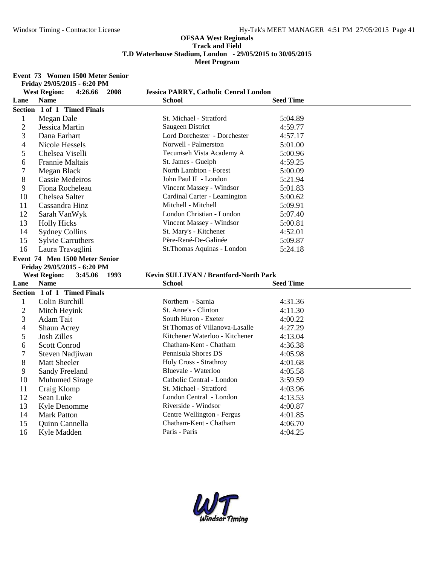#### **Event 73 Women 1500 Meter Senior**

|                | 2008<br><b>West Region:</b><br>4:26.66 | <b>Jessica PARRY, Catholic Cenral London</b> |                    |
|----------------|----------------------------------------|----------------------------------------------|--------------------|
| Lane           | <b>Name</b>                            | <b>School</b>                                | <b>Seed Time</b>   |
|                | Section 1 of 1 Timed Finals            |                                              |                    |
| $\mathbf{1}$   | Megan Dale                             | St. Michael - Stratford                      | 5:04.89            |
| $\overline{2}$ | Jessica Martin                         | Saugeen District                             | 4:59.77            |
| 3              | Dana Earhart                           | Lord Dorchester - Dorchester                 | 4:57.17            |
| 4              | Nicole Hessels                         | Norwell - Palmerston                         | 5:01.00            |
| 5              | Chelsea Viselli                        | Tecumseh Vista Academy A                     | 5:00.96            |
| 6              | <b>Frannie Maltais</b>                 | St. James - Guelph                           | 4:59.25            |
| 7              | Megan Black                            | North Lambton - Forest                       | 5:00.09            |
| 8              | <b>Cassie Medeiros</b>                 | John Paul II - London                        | 5:21.94            |
| 9              | Fiona Rocheleau                        | Vincent Massey - Windsor                     | 5:01.83            |
| 10             | Chelsea Salter                         | Cardinal Carter - Leamington                 | 5:00.62            |
| 11             | Cassandra Hinz                         | Mitchell - Mitchell                          | 5:09.91            |
| 12             | Sarah VanWyk                           | London Christian - London                    | 5:07.40            |
| 13             | <b>Holly Hicks</b>                     | Vincent Massey - Windsor                     | 5:00.81            |
| 14             | <b>Sydney Collins</b>                  | St. Mary's - Kitchener                       | 4:52.01            |
| 15             | <b>Sylvie Carruthers</b>               | Père-René-De-Galinée                         | 5:09.87            |
| 16             | Laura Travaglini                       | St.Thomas Aquinas - London                   | 5:24.18            |
|                | Event 74 Men 1500 Meter Senior         |                                              |                    |
|                |                                        |                                              |                    |
|                | Friday 29/05/2015 - 6:20 PM            |                                              |                    |
|                | <b>West Region:</b><br>3:45.06 1993    | Kevin SULLIVAN / Brantford-North Park        |                    |
| Lane           | <b>Name</b>                            | <b>School</b>                                | <b>Seed Time</b>   |
|                | Section 1 of 1 Timed Finals            |                                              |                    |
| $\mathbf{1}$   | Colin Burchill                         | Northern - Sarnia                            | 4:31.36            |
| $\overline{c}$ | Mitch Heyink                           | St. Anne's - Clinton                         | 4:11.30            |
| 3              | Adam Tait                              | South Huron - Exeter                         | 4:00.22            |
| 4              | Shaun Acrey                            | St Thomas of Villanova-Lasalle               | 4:27.29            |
| 5              | <b>Josh Zilles</b>                     | Kitchener Waterloo - Kitchener               | 4:13.04            |
| 6              | <b>Scott Conrod</b>                    | Chatham-Kent - Chatham                       | 4:36.38            |
| 7              | Steven Nadjiwan                        | Pennisula Shores DS                          | 4:05.98            |
| 8              | <b>Matt Sheeler</b>                    | Holy Cross - Strathroy                       | 4:01.68            |
| 9              | Sandy Freeland                         | Bluevale - Waterloo                          | 4:05.58            |
| 10             | <b>Muhumed Sirage</b>                  | Catholic Central - London                    | 3:59.59            |
| 11             | Craig Klomp                            | St. Michael - Stratford                      | 4:03.96            |
| 12             | Sean Luke                              | London Central - London                      | 4:13.53            |
| 13             | Kyle Denomme                           | Riverside - Windsor                          | 4:00.87            |
| 14             | <b>Mark Patton</b>                     | Centre Wellington - Fergus                   | 4:01.85            |
| 15<br>16       | Quinn Cannella<br>Kyle Madden          | Chatham-Kent - Chatham<br>Paris - Paris      | 4:06.70<br>4:04.25 |

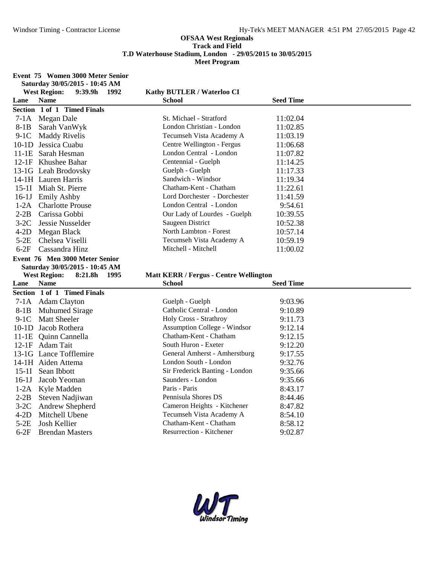**Event 75 Women 3000 Meter Senior**

|                  | Saturday 30/05/2015 - 10:45 AM           |                                                           |                    |  |
|------------------|------------------------------------------|-----------------------------------------------------------|--------------------|--|
|                  | <b>West Region:</b><br>9:39.9h<br>1992   | Kathy BUTLER / Waterloo CI                                |                    |  |
| Lane             | <b>Name</b>                              | <b>School</b>                                             | <b>Seed Time</b>   |  |
|                  | Section 1 of 1 Timed Finals              |                                                           |                    |  |
|                  | 7-1A Megan Dale                          | St. Michael - Stratford                                   | 11:02.04           |  |
| $8-1B$           | Sarah VanWyk                             | London Christian - London                                 | 11:02.85           |  |
| $9-1C$           | <b>Maddy Rivelis</b>                     | Tecumseh Vista Academy A                                  | 11:03.19           |  |
|                  | 10-1D Jessica Cuabu                      | Centre Wellington - Fergus                                | 11:06.68           |  |
|                  | 11-1E Sarah Hesman                       | London Central - London                                   | 11:07.82           |  |
|                  | 12-1F Khushee Bahar                      | Centennial - Guelph                                       | 11:14.25           |  |
|                  | 13-1G Leah Brodovsky                     | Guelph - Guelph                                           | 11:17.33           |  |
|                  | 14-1H Lauren Harris                      | Sandwich - Windsor                                        | 11:19.34           |  |
|                  | 15-1I Miah St. Pierre                    | Chatham-Kent - Chatham                                    | 11:22.61           |  |
|                  | 16-1J Emily Ashby                        | Lord Dorchester - Dorchester                              | 11:41.59           |  |
| $1-2A$           | <b>Charlotte Prouse</b>                  | London Central - London                                   | 9:54.61            |  |
| $2-2B$           | Carissa Gobbi                            | Our Lady of Lourdes - Guelph                              | 10:39.55           |  |
| $3-2C$           | Jessie Nusselder                         | Saugeen District                                          | 10:52.38           |  |
| $4-2D$           | Megan Black                              | North Lambton - Forest                                    | 10:57.14           |  |
| $5-2E$           | Chelsea Viselli                          | Tecumseh Vista Academy A                                  | 10:59.19           |  |
| $6-2F$           | Cassandra Hinz                           | Mitchell - Mitchell                                       | 11:00.02           |  |
|                  | Event 76 Men 3000 Meter Senior           |                                                           |                    |  |
|                  | Saturday 30/05/2015 - 10:45 AM           |                                                           |                    |  |
|                  |                                          |                                                           |                    |  |
|                  | 8:21.8h<br><b>West Region:</b><br>- 1995 | <b>Matt KERR / Fergus - Centre Wellington</b>             |                    |  |
| Lane             | <b>Name</b>                              | <b>School</b>                                             | <b>Seed Time</b>   |  |
|                  | Section 1 of 1 Timed Finals              |                                                           |                    |  |
|                  | 7-1A Adam Clayton                        | Guelph - Guelph                                           | 9:03.96            |  |
| $8-1B$           | <b>Muhumed Sirage</b>                    | Catholic Central - London                                 | 9:10.89            |  |
| $9-1C$           | <b>Matt Sheeler</b>                      | Holy Cross - Strathroy                                    | 9:11.73            |  |
|                  | 10-1D Jacob Rothera                      | <b>Assumption College - Windsor</b>                       | 9:12.14            |  |
|                  | 11-1E Quinn Cannella                     | Chatham-Kent - Chatham                                    | 9:12.15            |  |
|                  | 12-1F Adam Tait                          | South Huron - Exeter                                      | 9:12.20            |  |
|                  | 13-1G Lance Tofflemire                   | General Amherst - Amherstburg                             | 9:17.55            |  |
|                  | 14-1H Aiden Attema                       | London South - London                                     | 9:32.76            |  |
|                  | 15-1I Sean Ibbott                        | Sir Frederick Banting - London                            | 9:35.66            |  |
| $16-1J$          | Jacob Yeoman                             | Saunders - London                                         | 9:35.66            |  |
|                  | 1-2A Kyle Madden                         | Paris - Paris                                             | 8:43.17            |  |
| $2-2B$           | Steven Nadjiwan                          | Pennisula Shores DS                                       | 8:44.46            |  |
| $3-2C$           | Andrew Shepherd                          | Cameron Heights - Kitchener                               | 8:47.82            |  |
| $4-2D$           | Mitchell Ubene                           | Tecumseh Vista Academy A                                  | 8:54.10            |  |
| $5-2E$<br>$6-2F$ | Josh Kellier<br><b>Brendan Masters</b>   | Chatham-Kent - Chatham<br><b>Resurrection - Kitchener</b> | 8:58.12<br>9:02.87 |  |

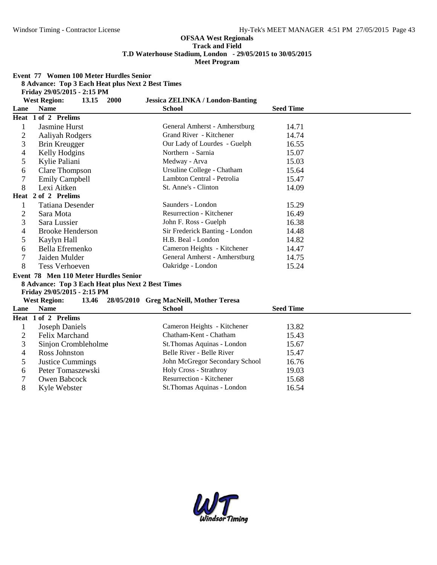**Event 77 Women 100 Meter Hurdles Senior**

**8 Advance: Top 3 Each Heat plus Next 2 Best Times**

**Friday 29/05/2015 - 2:15 PM**

|                | <b>West Region:</b><br>2000<br>13.15              | <b>Jessica ZELINKA / London-Banting</b>       |                  |
|----------------|---------------------------------------------------|-----------------------------------------------|------------------|
| Lane           | <b>Name</b>                                       | <b>School</b>                                 | <b>Seed Time</b> |
| Heat           | 1 of 2 Prelims                                    |                                               |                  |
| 1              | Jasmine Hurst                                     | General Amherst - Amherstburg                 | 14.71            |
| $\overline{c}$ | Aaliyah Rodgers                                   | Grand River - Kitchener                       | 14.74            |
| 3              | Brin Kreugger                                     | Our Lady of Lourdes - Guelph                  | 16.55            |
| 4              | Kelly Hodgins                                     | Northern - Sarnia                             | 15.07            |
| 5              | Kylie Paliani                                     | Medway - Arva                                 | 15.03            |
| 6              | <b>Clare Thompson</b>                             | Ursuline College - Chatham                    | 15.64            |
| 7              | <b>Emily Campbell</b>                             | Lambton Central - Petrolia                    | 15.47            |
| 8              | Lexi Aitken                                       | St. Anne's - Clinton                          | 14.09            |
| Heat           | 2 of 2 Prelims                                    |                                               |                  |
| 1              | <b>Tatiana Desender</b>                           | Saunders - London                             | 15.29            |
| $\overline{c}$ | Sara Mota                                         | <b>Resurrection - Kitchener</b>               | 16.49            |
| 3              | Sara Lussier                                      | John F. Ross - Guelph                         | 16.38            |
| 4              | <b>Brooke Henderson</b>                           | Sir Frederick Banting - London                | 14.48            |
| 5              | Kaylyn Hall                                       | H.B. Beal - London                            | 14.82            |
| 6              | Bella Efremenko                                   | Cameron Heights - Kitchener                   | 14.47            |
| 7              | Jaiden Mulder                                     | General Amherst - Amherstburg                 | 14.75            |
| 8              | <b>Tess Verhoeven</b>                             | Oakridge - London                             | 15.24            |
|                | Event 78 Men 110 Meter Hurdles Senior             |                                               |                  |
|                | 8 Advance: Top 3 Each Heat plus Next 2 Best Times |                                               |                  |
|                | Friday 29/05/2015 - 2:15 PM                       |                                               |                  |
|                | <b>West Region:</b>                               | 13.46 28/05/2010 Greg MacNeill, Mother Teresa |                  |
| Lane           | <b>Name</b>                                       | <b>School</b>                                 | <b>Seed Time</b> |
|                | Heat 1 of 2 Prelims                               |                                               |                  |
| 1              | <b>Joseph Daniels</b>                             | Cameron Heights - Kitchener                   | 13.82            |
| $\overline{2}$ | Felix Marchand                                    | Chatham-Kent - Chatham                        | 15.43            |
| 3              | Sinjon Crombleholme                               | St.Thomas Aquinas - London                    | 15.67            |
| 4              | Ross Johnston                                     | Belle River - Belle River                     | 15.47            |
| 5              | <b>Justice Cummings</b>                           | John McGregor Secondary School                | 16.76            |
| 6              | Peter Tomaszewski                                 | Holy Cross - Strathroy                        | 19.03            |
| 7              | Owen Babcock                                      | <b>Resurrection - Kitchener</b>               | 15.68            |
| 8              | Kyle Webster                                      | St.Thomas Aquinas - London                    | 16.54            |

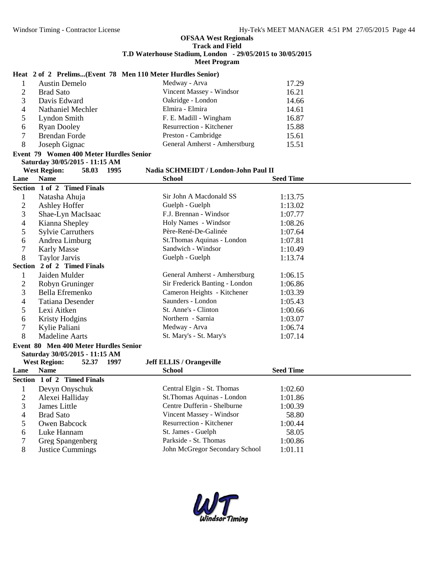# **Heat 2 of 2 Prelims...(Event 78 Men 110 Meter Hurdles Senior)**

|   | <b>Austin Demelo</b> | Medway - Arva                   | 17.29 |
|---|----------------------|---------------------------------|-------|
|   | <b>Brad Sato</b>     | Vincent Massey - Windsor        | 16.21 |
| 3 | Davis Edward         | Oakridge - London               | 14.66 |
| 4 | Nathaniel Mechler    | Elmira - Elmira                 | 14.61 |
|   | Lyndon Smith         | F. E. Madill - Wingham          | 16.87 |
| 6 | <b>Ryan Dooley</b>   | <b>Resurrection - Kitchener</b> | 15.88 |
|   | <b>Brendan Forde</b> | Preston - Cambridge             | 15.61 |
| 8 | Joseph Gignac        | General Amherst - Amherstburg   | 15.51 |

# **Event 79 Women 400 Meter Hurdles Senior Saturday 30/05/2015 - 11:15 AM**

## **West Region: 58.03 1995 Nadia SCHMEIDT / London-John Paul II**

| Lane             | <b>Name</b>                           | <b>School</b>                   | <b>Seed Time</b> |
|------------------|---------------------------------------|---------------------------------|------------------|
|                  | Section 1 of 2 Timed Finals           |                                 |                  |
| $\mathbf{1}$     | Natasha Ahuja                         | Sir John A Macdonald SS         | 1:13.75          |
| $\overline{c}$   | Ashley Hoffer                         | Guelph - Guelph                 | 1:13.02          |
| 3                | Shae-Lyn MacIsaac                     | F.J. Brennan - Windsor          | 1:07.77          |
| 4                | Kianna Shepley                        | Holy Names - Windsor            | 1:08.26          |
| 5                | <b>Sylvie Carruthers</b>              | Père-René-De-Galinée            | 1:07.64          |
| 6                | Andrea Limburg                        | St.Thomas Aquinas - London      | 1:07.81          |
| $\overline{7}$   | <b>Karly Masse</b>                    | Sandwich - Windsor              | 1:10.49          |
| 8                | <b>Taylor Jarvis</b>                  | Guelph - Guelph                 | 1:13.74          |
|                  | Section 2 of 2 Timed Finals           |                                 |                  |
| $\mathbf{1}$     | Jaiden Mulder                         | General Amherst - Amherstburg   | 1:06.15          |
| $\overline{2}$   | Robyn Gruninger                       | Sir Frederick Banting - London  | 1:06.86          |
| 3                | Bella Efremenko                       | Cameron Heights - Kitchener     | 1:03.39          |
| 4                | <b>Tatiana Desender</b>               | Saunders - London               | 1:05.43          |
| 5                | Lexi Aitken                           | St. Anne's - Clinton            | 1:00.66          |
| 6                | <b>Kristy Hodgins</b>                 | Northern - Sarnia               | 1:03.07          |
| $\boldsymbol{7}$ | Kylie Paliani                         | Medway - Arva                   | 1:06.74          |
| 8                | <b>Madeline Aarts</b>                 | St. Mary's - St. Mary's         | 1:07.14          |
|                  | Event 80 Men 400 Meter Hurdles Senior |                                 |                  |
|                  | Saturday 30/05/2015 - 11:15 AM        |                                 |                  |
|                  | <b>West Region:</b><br>52.37<br>1997  | <b>Jeff ELLIS / Orangeville</b> |                  |
| Lane             | <b>Name</b>                           | <b>School</b>                   | <b>Seed Time</b> |
|                  | Section 1 of 2 Timed Finals           |                                 |                  |
| $\mathbf{1}$     | Devyn Onyschuk                        | Central Elgin - St. Thomas      | 1:02.60          |
| $\overline{2}$   | Alexei Halliday                       | St.Thomas Aquinas - London      | 1:01.86          |
| 3                | James Little                          | Centre Dufferin - Shelburne     | 1:00.39          |
| 4                | <b>Brad Sato</b>                      | Vincent Massey - Windsor        | 58.80            |
| 5                | Owen Babcock                          | <b>Resurrection - Kitchener</b> | 1:00.44          |
| 6                | Luke Hannam                           | St. James - Guelph              | 58.05            |
| 7                | Greg Spangenberg                      | Parkside - St. Thomas           | 1:00.86          |
| 8                | <b>Justice Cummings</b>               | John McGregor Secondary School  | 1:01.11          |

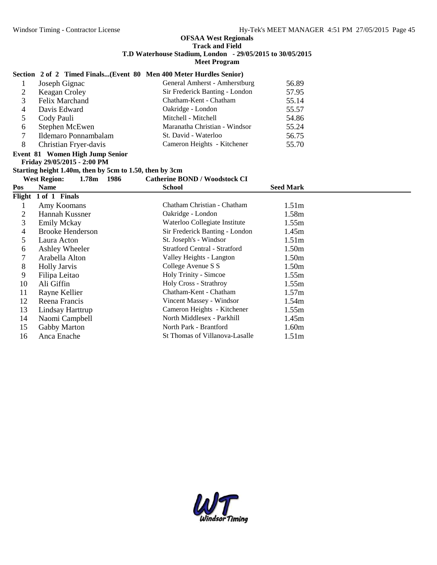### **Section 2 of 2 Timed Finals...(Event 80 Men 400 Meter Hurdles Senior)**

|   | Joseph Gignac         | General Amherst - Amherstburg  | 56.89 |  |
|---|-----------------------|--------------------------------|-------|--|
|   | Keagan Croley         | Sir Frederick Banting - London | 57.95 |  |
|   | Felix Marchand        | Chatham-Kent - Chatham         | 55.14 |  |
|   | Davis Edward          | Oakridge - London              | 55.57 |  |
|   | Cody Pauli            | Mitchell - Mitchell            | 54.86 |  |
| b | Stephen McEwen        | Maranatha Christian - Windsor  | 55.24 |  |
|   | Ildemaro Ponnambalam  | St. David - Waterloo           | 56.75 |  |
| 8 | Christian Fryer-davis | Cameron Heights - Kitchener    | 55.70 |  |

#### **Event 81 Women High Jump Senior Friday 29/05/2015 - 2:00 PM**

**Starting height 1.40m, then by 5cm to 1.50, then by 3cm**

|     | 1986<br><b>West Region:</b><br>1.78m | <b>Catherine BOND / Woodstock CI</b> |                   |  |
|-----|--------------------------------------|--------------------------------------|-------------------|--|
| Pos | <b>Name</b>                          | <b>School</b>                        | <b>Seed Mark</b>  |  |
|     | Flight 1 of 1 Finals                 |                                      |                   |  |
|     | Amy Koomans                          | Chatham Christian - Chatham          | 1.51 <sub>m</sub> |  |
| 2   | Hannah Kussner                       | Oakridge - London                    | 1.58m             |  |
| 3   | <b>Emily Mckay</b>                   | Waterloo Collegiate Institute        | 1.55m             |  |
| 4   | <b>Brooke Henderson</b>              | Sir Frederick Banting - London       | 1.45m             |  |
| 5   | Laura Acton                          | St. Joseph's - Windsor               | 1.51 <sub>m</sub> |  |
| 6   | Ashley Wheeler                       | <b>Stratford Central - Stratford</b> | 1.50m             |  |
|     | Arabella Alton                       | Valley Heights - Langton             | 1.50m             |  |
| 8   | <b>Holly Jarvis</b>                  | College Avenue S S                   | 1.50m             |  |
| 9   | Filipa Leitao                        | Holy Trinity - Simcoe                | 1.55m             |  |
| 10  | Ali Giffin                           | Holy Cross - Strathroy               | 1.55m             |  |
| 11  | Rayne Kellier                        | Chatham-Kent - Chatham               | 1.57m             |  |
| 12  | Reena Francis                        | Vincent Massey - Windsor             | 1.54m             |  |
| 13  | Lindsay Harttrup                     | Cameron Heights - Kitchener          | 1.55m             |  |
| 14  | Naomi Campbell                       | North Middlesex - Parkhill           | 1.45m             |  |
| 15  | <b>Gabby Marton</b>                  | North Park - Brantford               | 1.60m             |  |
| 16  | Anca Enache                          | St Thomas of Villanova-Lasalle       | 1.51 <sub>m</sub> |  |

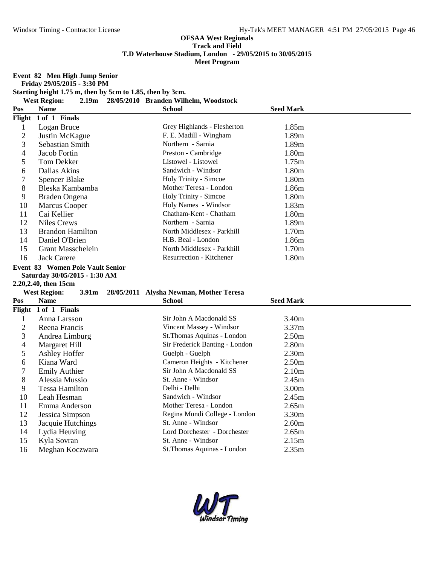**Event 82 Men High Jump Senior**

**Friday 29/05/2015 - 3:30 PM Starting height 1.75 m, then by 5cm to 1.85, then by 3cm.**

**West Region: 2.19m 28/05/2010 Branden Wilhelm, Woodstock**

| Pos                      | <b>Name</b>                              | <b>School</b>                           | <b>Seed Mark</b>  |
|--------------------------|------------------------------------------|-----------------------------------------|-------------------|
|                          | Flight 1 of 1 Finals                     |                                         |                   |
| $\mathbf{1}$             | Logan Bruce                              | Grey Highlands - Flesherton             | 1.85m             |
| $\overline{2}$           | Justin McKague                           | F. E. Madill - Wingham                  | 1.89m             |
| 3                        | Sebastian Smith                          | Northern - Sarnia                       | 1.89m             |
| 4                        | Jacob Fortin                             | Preston - Cambridge                     | 1.80m             |
| 5                        | Tom Dekker                               | Listowel - Listowel                     | 1.75m             |
| 6                        | Dallas Akins                             | Sandwich - Windsor                      | 1.80m             |
| 7                        | <b>Spencer Blake</b>                     | Holy Trinity - Simcoe                   | 1.80m             |
| 8                        | Bleska Kambamba                          | Mother Teresa - London                  | 1.86m             |
| 9                        | Braden Ongena                            | Holy Trinity - Simcoe                   | 1.80m             |
| 10                       | <b>Marcus Cooper</b>                     | Holy Names - Windsor                    | 1.83m             |
| 11                       | Cai Kellier                              | Chatham-Kent - Chatham                  | 1.80m             |
| 12                       | <b>Niles Crews</b>                       | Northern - Sarnia                       | 1.89m             |
| 13                       | <b>Brandon Hamilton</b>                  | North Middlesex - Parkhill              | 1.70m             |
| 14                       | Daniel O'Brien                           | H.B. Beal - London                      | 1.86m             |
| 15                       | <b>Grant Masschelein</b>                 | North Middlesex - Parkhill              | 1.70m             |
| 16                       | <b>Jack Carere</b>                       | Resurrection - Kitchener                | 1.80m             |
|                          | Event 83 Women Pole Vault Senior         |                                         |                   |
|                          | Saturday 30/05/2015 - 1:30 AM            |                                         |                   |
|                          |                                          |                                         |                   |
|                          | 2.20,2.40, then 15cm                     |                                         |                   |
|                          | <b>West Region:</b><br>3.91 <sub>m</sub> | 28/05/2011 Alysha Newman, Mother Teresa |                   |
| Pos                      | <b>Name</b>                              | School                                  | <b>Seed Mark</b>  |
|                          | Flight 1 of 1 Finals                     |                                         |                   |
| $\mathbf{1}$             | Anna Larsson                             | Sir John A Macdonald SS                 | 3.40m             |
| $\overline{c}$           | Reena Francis                            | Vincent Massey - Windsor                | 3.37m             |
| 3                        | Andrea Limburg                           | St.Thomas Aquinas - London              | 2.50 <sub>m</sub> |
| $\overline{\mathcal{A}}$ | Margaret Hill                            | Sir Frederick Banting - London          | 2.80m             |
| 5                        | <b>Ashley Hoffer</b>                     | Guelph - Guelph                         | 2.30 <sub>m</sub> |
| 6                        | Kiana Ward                               | Cameron Heights - Kitchener             | 2.50 <sub>m</sub> |
| 7                        | <b>Emily Authier</b>                     | Sir John A Macdonald SS                 | 2.10 <sub>m</sub> |
| 8                        | Alessia Mussio                           | St. Anne - Windsor                      | 2.45m             |
| 9                        | <b>Tessa Hamilton</b>                    | Delhi - Delhi                           | 3.00m             |
| 10                       | Leah Hesman                              | Sandwich - Windsor                      | 2.45m             |
| 11                       | Emma Anderson                            | Mother Teresa - London                  | 2.65m             |
| 12                       | Jessica Simpson                          | Regina Mundi College - London           | 3.30m             |
| 13                       | Jacquie Hutchings                        | St. Anne - Windsor                      | 2.60m             |
| 14                       | Lydia Heuving                            | Lord Dorchester - Dorchester            | 2.65m             |
| 15                       | Kyla Sovran                              | St. Anne - Windsor                      | 2.15m             |

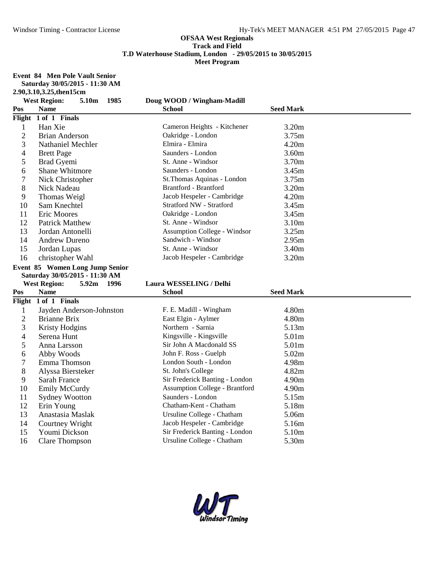**Event 84 Men Pole Vault Senior**

**Saturday 30/05/2015 - 11:30 AM**

**2.90,3.10,3.25,then15cm**

|                | <b>West Region:</b><br>5.10m<br>- 1985 | Doug WOOD / Wingham-Madill                                   |                  |
|----------------|----------------------------------------|--------------------------------------------------------------|------------------|
| Pos            | <b>Name</b>                            | <b>School</b>                                                | <b>Seed Mark</b> |
|                | Flight 1 of 1 Finals                   |                                                              |                  |
| 1              | Han Xie                                | Cameron Heights - Kitchener                                  | 3.20m            |
| $\overline{2}$ | <b>Brian Anderson</b>                  | Oakridge - London                                            | 3.75m            |
| 3              | <b>Nathaniel Mechler</b>               | Elmira - Elmira                                              | 4.20m            |
| 4              | <b>Brett Page</b>                      | Saunders - London                                            | 3.60m            |
| 5              | Brad Gyemi                             | St. Anne - Windsor                                           | 3.70m            |
| 6              | Shane Whitmore                         | Saunders - London                                            | 3.45m            |
| 7              | Nick Christopher                       | St.Thomas Aquinas - London                                   | 3.75m            |
| 8              | Nick Nadeau                            | Brantford - Brantford                                        | 3.20m            |
| 9              | Thomas Weigl                           | Jacob Hespeler - Cambridge                                   | 4.20m            |
| 10             | Sam Knechtel                           | Stratford NW - Stratford                                     | 3.45m            |
| 11             | Eric Moores                            | Oakridge - London                                            | 3.45m            |
| 12             | <b>Patrick Matthew</b>                 | St. Anne - Windsor                                           | 3.10m            |
| 13             | Jordan Antonelli                       | <b>Assumption College - Windsor</b>                          | 3.25m            |
| 14             | <b>Andrew Dureno</b>                   | Sandwich - Windsor                                           | 2.95m            |
| 15             | Jordan Lupas                           | St. Anne - Windsor                                           | 3.40m            |
| 16             | christopher Wahl                       | Jacob Hespeler - Cambridge                                   | 3.20m            |
|                | Event 85 Women Long Jump Senior        |                                                              |                  |
|                |                                        |                                                              |                  |
|                | Saturday 30/05/2015 - 11:30 AM         |                                                              |                  |
|                | <b>West Region:</b><br>5.92m 1996      | Laura WESSELING / Delhi                                      |                  |
| Pos            | <b>Name</b>                            | <b>School</b>                                                | <b>Seed Mark</b> |
| Flight         | 1 of 1 Finals                          |                                                              |                  |
| $\mathbf{1}$   | Jayden Anderson-Johnston               | F. E. Madill - Wingham                                       | 4.80m            |
| $\overline{c}$ | <b>Brianne Brix</b>                    | East Elgin - Aylmer                                          | 4.80m            |
| 3              | <b>Kristy Hodgins</b>                  | Northern - Sarnia                                            | 5.13m            |
| 4              | Serena Hunt                            | Kingsville - Kingsville                                      | 5.01m            |
| 5              | Anna Larsson                           | Sir John A Macdonald SS                                      | 5.01m            |
| 6              | Abby Woods                             | John F. Ross - Guelph                                        | 5.02m            |
| 7              | Emma Thomson                           | London South - London                                        | 4.98m            |
| 8              | Alyssa Biersteker                      | St. John's College                                           | 4.82m            |
| 9              | Sarah France                           | Sir Frederick Banting - London                               | 4.90m            |
| 10             | <b>Emily McCurdy</b>                   | <b>Assumption College - Brantford</b>                        | 4.90m            |
| 11             | <b>Sydney Wootton</b>                  | Saunders - London                                            | 5.15m            |
| 12             | Erin Young                             | Chatham-Kent - Chatham                                       | 5.18m            |
| 13             | Anastasia Maslak                       | Ursuline College - Chatham                                   | 5.06m            |
| 14             | Courtney Wright                        | Jacob Hespeler - Cambridge                                   | 5.16m            |
| 15<br>16       | Youmi Dickson<br><b>Clare Thompson</b> | Sir Frederick Banting - London<br>Ursuline College - Chatham | 5.10m<br>5.30m   |

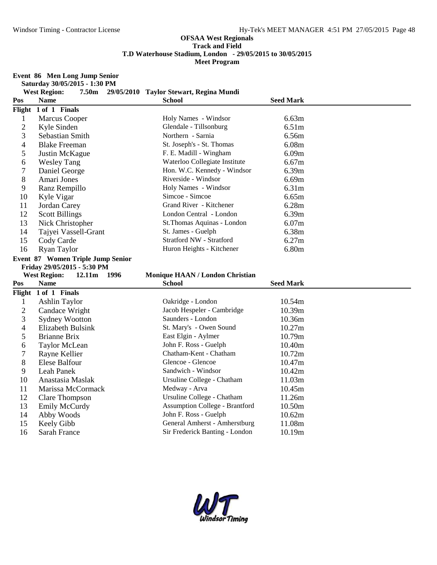**Event 86 Men Long Jump Senior**

**Saturday 30/05/2015 - 1:30 PM**

|                | <b>West Region:</b><br>7.50m       | 29/05/2010 Taylor Stewart, Regina Mundi                         |                  |  |
|----------------|------------------------------------|-----------------------------------------------------------------|------------------|--|
| Pos            | <b>Name</b>                        | <b>School</b>                                                   | <b>Seed Mark</b> |  |
|                | Flight 1 of 1 Finals               |                                                                 |                  |  |
| 1              | <b>Marcus Cooper</b>               | Holy Names - Windsor                                            | 6.63m            |  |
| $\overline{c}$ | Kyle Sinden                        | Glendale - Tillsonburg                                          | 6.51m            |  |
| 3              | Sebastian Smith                    | Northern - Sarnia                                               | 6.56m            |  |
| 4              | <b>Blake Freeman</b>               | St. Joseph's - St. Thomas                                       | 6.08m            |  |
| 5              | Justin McKague                     | F. E. Madill - Wingham                                          | 6.09m            |  |
| 6              | <b>Wesley Tang</b>                 | Waterloo Collegiate Institute                                   | 6.67m            |  |
| 7              | Daniel George                      | Hon. W.C. Kennedy - Windsor                                     | 6.39m            |  |
| 8              | Amari Jones                        | Riverside - Windsor                                             | 6.69m            |  |
| 9              | Ranz Rempillo                      | Holy Names - Windsor                                            | 6.31m            |  |
| 10             | Kyle Vigar                         | Simcoe - Simcoe                                                 | 6.65m            |  |
| 11             | Jordan Carey                       | Grand River - Kitchener                                         | 6.28m            |  |
| 12             | <b>Scott Billings</b>              | London Central - London                                         | 6.39m            |  |
| 13             | Nick Christopher                   | St. Thomas Aquinas - London                                     | 6.07m            |  |
| 14             | Tajyei Vassell-Grant               | St. James - Guelph                                              | 6.38m            |  |
| 15             | Cody Carde                         | Stratford NW - Stratford                                        | 6.27m            |  |
| 16             | <b>Ryan Taylor</b>                 | Huron Heights - Kitchener                                       | 6.80m            |  |
|                | Event 87 Women Triple Jump Senior  |                                                                 |                  |  |
|                |                                    |                                                                 |                  |  |
|                | Friday 29/05/2015 - 5:30 PM        |                                                                 |                  |  |
|                | <b>West Region:</b><br>12.11m 1996 | Monique HAAN / London Christian                                 |                  |  |
| Pos            | <b>Name</b>                        | <b>School</b>                                                   | <b>Seed Mark</b> |  |
|                | Flight 1 of 1 Finals               |                                                                 |                  |  |
| $\mathbf{1}$   | <b>Ashlin Taylor</b>               | Oakridge - London                                               | 10.54m           |  |
| $\overline{c}$ | Candace Wright                     | Jacob Hespeler - Cambridge                                      | 10.39m           |  |
| 3              | <b>Sydney Wootton</b>              | Saunders - London                                               | 10.36m           |  |
| 4              | Elizabeth Bulsink                  | St. Mary's - Owen Sound                                         | 10.27m           |  |
| 5              | <b>Brianne Brix</b>                | East Elgin - Aylmer                                             | 10.79m           |  |
| 6              | <b>Taylor McLean</b>               | John F. Ross - Guelph                                           | 10.40m           |  |
| 7              | Rayne Kellier                      | Chatham-Kent - Chatham                                          | 10.72m           |  |
| 8              | Elese Balfour                      | Glencoe - Glencoe                                               | 10.47m           |  |
| 9              | Leah Panek                         | Sandwich - Windsor                                              | 10.42m           |  |
| 10             | Anastasia Maslak                   | Ursuline College - Chatham                                      | 11.03m           |  |
| 11             | Marissa McCormack                  | Medway - Arva                                                   | 10.45m           |  |
| 12             | <b>Clare Thompson</b>              | Ursuline College - Chatham                                      | 11.26m           |  |
| 13             | Emily McCurdy                      | <b>Assumption College - Brantford</b>                           | 10.50m           |  |
| 14             | Abby Woods                         | John F. Ross - Guelph                                           | 10.62m           |  |
| 15<br>16       | Keely Gibb<br><b>Sarah France</b>  | General Amherst - Amherstburg<br>Sir Frederick Banting - London | 11.08m<br>10.19m |  |

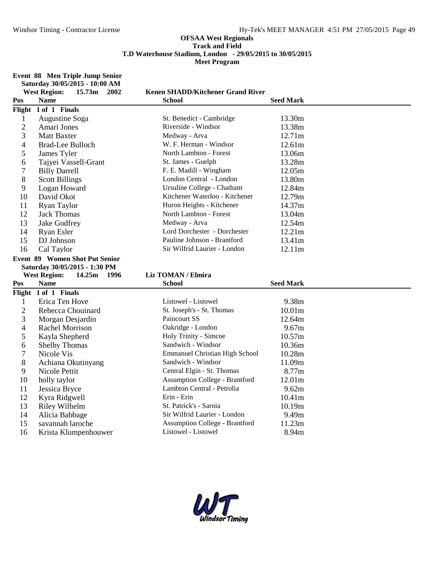**Event 88 Men Triple Jump Senior**

|                | Saturday 30/05/2015 - 10:00 AM           |                                                              |                    |
|----------------|------------------------------------------|--------------------------------------------------------------|--------------------|
|                | <b>West Region:</b><br>15.73m<br>2002    | <b>Kenen SHADD/Kitchener Grand River</b>                     |                    |
| Pos            | <b>Name</b>                              | <b>School</b>                                                | <b>Seed Mark</b>   |
|                | Flight 1 of 1 Finals                     |                                                              |                    |
| 1              | Augustine Soga                           | St. Benedict - Cambridge                                     | 13.30m             |
| $\overline{2}$ | Amari Jones                              | Riverside - Windsor                                          | 13.38m             |
| 3              | <b>Matt Baxter</b>                       | Medway - Arva                                                | 12.71m             |
| 4              | <b>Brad-Lee Bulloch</b>                  | W. F. Herman - Windsor                                       | 12.61m             |
| 5              | James Tyler                              | North Lambton - Forest                                       | 13.06m             |
| 6              | Tajyei Vassell-Grant                     | St. James - Guelph                                           | 13.28m             |
| 7              | <b>Billy Darrell</b>                     | F. E. Madill - Wingham                                       | 12.05m             |
| 8              | <b>Scott Billings</b>                    | London Central - London                                      | 13.80m             |
| 9              | Logan Howard                             | Ursuline College - Chatham                                   | 12.84m             |
| 10             | David Okot                               | Kitchener Waterloo - Kitchener                               | 12.79m             |
| 11             | <b>Ryan Taylor</b>                       | Huron Heights - Kitchener                                    | 14.37m             |
| 12             | <b>Jack Thomas</b>                       | North Lambton - Forest                                       | 13.04m             |
| 13             | Jake Godfrey                             | Medway - Arva                                                | 12.54m             |
| 14             | <b>Ryan Esler</b>                        | Lord Dorchester - Dorchester                                 | 12.21m             |
| 15             | DJ Johnson                               | Pauline Johnson - Brantford                                  | 13.41m             |
| 16             | Cal Taylor                               | Sir Wilfrid Laurier - London                                 | 12.11m             |
|                | <b>Event 89 Women Shot Put Senior</b>    |                                                              |                    |
|                |                                          |                                                              |                    |
|                | Saturday 30/05/2015 - 1:30 PM            |                                                              |                    |
|                | <b>West Region:</b><br>14.25m 1996       | Liz TOMAN / Elmira                                           |                    |
| Pos            | <b>Name</b>                              | School                                                       | <b>Seed Mark</b>   |
|                | Flight 1 of 1 Finals                     |                                                              |                    |
| 1              | Erica Ten Hove                           | Listowel - Listowel                                          | 9.38m              |
| $\mathbf{2}$   | Rebecca Chouinard                        | St. Joseph's - St. Thomas                                    | 10.01 <sub>m</sub> |
| 3              | Morgan Desjardin                         | Paincourt SS                                                 | 12.64m             |
| 4              | <b>Rachel Morrison</b>                   | Oakridge - London                                            | 9.67m              |
| 5              | Kayla Shepherd                           | Holy Trinity - Simcoe                                        | 10.57m             |
| 6              | <b>Shelby Thomas</b>                     | Sandwich - Windsor                                           | 10.36m             |
| 7              | Nicole Vis                               | <b>Emmanuel Christian High School</b>                        | 10.28m             |
| 8              | Achiana Okutinyang                       | Sandwich - Windsor                                           | 11.09m             |
| 9              | Nicole Pettit                            | Central Elgin - St. Thomas                                   | 8.77m              |
| 10             | holly taylor                             | <b>Assumption College - Brantford</b>                        | 12.01m             |
| 11             | Jessica Bryce                            | Lambton Central - Petrolia                                   | 9.62m              |
| 12             | Kyra Ridgwell                            | Erin - Erin                                                  | 10.41m             |
| 13             | Riley Wilhelm                            | St. Patrick's - Sarnia                                       | 10.19m             |
| 14             | Alicia Babbage                           | Sir Wilfrid Laurier - London                                 | 9.49m              |
| 15<br>16       | savannah laroche<br>Krista Klumpenhouwer | <b>Assumption College - Brantford</b><br>Listowel - Listowel | 11.23m<br>8.94m    |

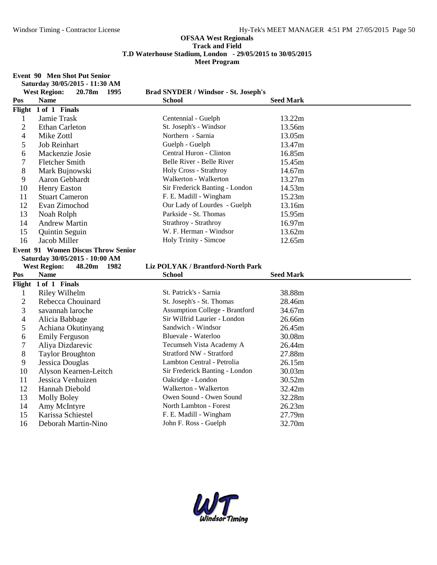**Event 90 Men Shot Put Senior**

|                | Saturday 30/05/2015 - 11:30 AM            |                                                 |                  |
|----------------|-------------------------------------------|-------------------------------------------------|------------------|
|                | <b>West Region:</b><br>20.78m 1995        | <b>Brad SNYDER / Windsor - St. Joseph's</b>     |                  |
| Pos            | <b>Name</b>                               | <b>School</b>                                   | <b>Seed Mark</b> |
|                | Flight 1 of 1 Finals                      |                                                 |                  |
| $\mathbf{1}$   | Jamie Trask                               | Centennial - Guelph                             | 13.22m           |
| 2              | <b>Ethan Carleton</b>                     | St. Joseph's - Windsor                          | 13.56m           |
| $\overline{4}$ | Mike Zottl                                | Northern - Sarnia                               | 13.05m           |
| 5              | <b>Job Reinhart</b>                       | Guelph - Guelph                                 | 13.47m           |
| 6              | Mackenzie Josie                           | Central Huron - Clinton                         | 16.85m           |
| 7              | <b>Fletcher Smith</b>                     | Belle River - Belle River                       | 15.45m           |
| 8              | Mark Bujnowski                            | Holy Cross - Strathroy                          | 14.67m           |
| 9              | Aaron Gebhardt                            | Walkerton - Walkerton                           | 13.27m           |
| 10             | <b>Henry Easton</b>                       | Sir Frederick Banting - London                  | 14.53m           |
| 11             | <b>Stuart Cameron</b>                     | F. E. Madill - Wingham                          | 15.23m           |
| 12             | Evan Zimochod                             | Our Lady of Lourdes - Guelph                    | 13.16m           |
| 13             | Noah Rolph                                | Parkside - St. Thomas                           | 15.95m           |
| 14             | <b>Andrew Martin</b>                      | Strathroy - Strathroy                           | 16.97m           |
| 15             | Quintin Seguin                            | W. F. Herman - Windsor                          | 13.62m           |
| 16             | Jacob Miller                              | Holy Trinity - Simcoe                           | 12.65m           |
|                | <b>Event 91 Women Discus Throw Senior</b> |                                                 |                  |
|                |                                           |                                                 |                  |
|                | Saturday 30/05/2015 - 10:00 AM            |                                                 |                  |
|                | <b>West Region:</b><br>48.20m 1982        | Liz POLYAK / Brantford-North Park               |                  |
| Pos            | <b>Name</b>                               | <b>School</b>                                   | <b>Seed Mark</b> |
|                | Flight 1 of 1 Finals                      |                                                 |                  |
| $\mathbf{1}$   | <b>Riley Wilhelm</b>                      | St. Patrick's - Sarnia                          | 38.88m           |
| $\sqrt{2}$     | Rebecca Chouinard                         | St. Joseph's - St. Thomas                       | 28.46m           |
| 3              | savannah laroche                          | <b>Assumption College - Brantford</b>           | 34.67m           |
| 4              | Alicia Babbage                            | Sir Wilfrid Laurier - London                    | 26.66m           |
| 5              | Achiana Okutinyang                        | Sandwich - Windsor                              | 26.45m           |
| 6              | Emily Ferguson                            | Bluevale - Waterloo                             | 30.08m           |
| 7              | Aliya Dizdarevic                          | Tecumseh Vista Academy A                        | 26.44m           |
| 8              | <b>Taylor Broughton</b>                   | Stratford NW - Stratford                        | 27.88m           |
| 9              | <b>Jessica Douglas</b>                    | Lambton Central - Petrolia                      | 26.15m           |
| 10             | Alyson Kearnen-Leitch                     | Sir Frederick Banting - London                  | 30.03m           |
| 11             | Jessica Venhuizen                         | Oakridge - London                               | 30.52m           |
| 12             | Hannah Diebold                            | Walkerton - Walkerton                           | 32.42m           |
| 13             | <b>Molly Boley</b>                        | Owen Sound - Owen Sound                         | 32.28m           |
| 14             | Amy McIntyre                              | North Lambton - Forest                          | 26.23m           |
| 15<br>16       | Karissa Schiestel<br>Deborah Martin-Nino  | F. E. Madill - Wingham<br>John F. Ross - Guelph | 27.79m<br>32.70m |

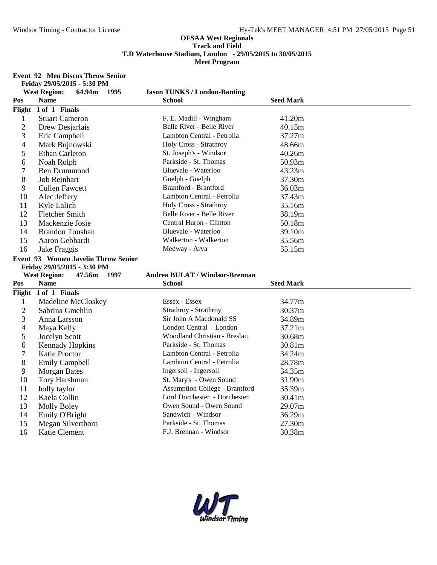**Event 92 Men Discus Throw Senior**

| Friday 29/05/2015 - 5:30 PM |
|-----------------------------|
|-----------------------------|

|                          | <b>West Region:</b><br>64.94m<br>- 1995   | <b>Jason TUNKS / London-Banting</b>             |                  |
|--------------------------|-------------------------------------------|-------------------------------------------------|------------------|
| Pos                      | <b>Name</b>                               | <b>School</b>                                   | <b>Seed Mark</b> |
|                          | Flight 1 of 1 Finals                      |                                                 |                  |
| $\mathbf{1}$             | <b>Stuart Cameron</b>                     | F. E. Madill - Wingham                          | 41.20m           |
| $\mathbf{2}$             | Drew Desjarlais                           | Belle River - Belle River                       | 40.15m           |
| 3                        | Eric Campbell                             | Lambton Central - Petrolia                      | 37.27m           |
| $\overline{\mathcal{L}}$ | Mark Bujnowski                            | Holy Cross - Strathroy                          | 48.66m           |
| 5                        | <b>Ethan Carleton</b>                     | St. Joseph's - Windsor                          | 40.26m           |
| 6                        | Noah Rolph                                | Parkside - St. Thomas                           | 50.93m           |
| 7                        | <b>Ben Drummond</b>                       | Bluevale - Waterloo                             | 43.23m           |
| 8                        | <b>Job Reinhart</b>                       | Guelph - Guelph                                 | 37.30m           |
| 9                        | <b>Cullen Fawcett</b>                     | <b>Brantford - Brantford</b>                    | 36.03m           |
| 10                       | Alec Jeffery                              | Lambton Central - Petrolia                      | 37.43m           |
| 11                       | Kyle Lalich                               | Holy Cross - Strathroy                          | 35.16m           |
| 12                       | <b>Fletcher Smith</b>                     | Belle River - Belle River                       | 38.19m           |
| 13                       | Mackenzie Josie                           | Central Huron - Clinton                         | 50.18m           |
| 14                       | <b>Brandon Toushan</b>                    | Bluevale - Waterloo                             | 39.10m           |
| 15                       | Aaron Gebhardt                            | Walkerton - Walkerton                           | 35.56m           |
| 16                       | Jake Fraggis                              | Medway - Arva                                   | 35.15m           |
|                          | Event 93 Women Javelin Throw Senior       |                                                 |                  |
|                          |                                           |                                                 |                  |
|                          | Friday 29/05/2015 - 3:30 PM               |                                                 |                  |
|                          | <b>West Region:</b><br>47.56m<br>1997     | <b>Andrea BULAT / Windsor-Brennan</b>           |                  |
| Pos                      | <b>Name</b>                               | <b>School</b>                                   | <b>Seed Mark</b> |
|                          | Flight 1 of 1 Finals                      |                                                 |                  |
| $\mathbf{1}$             | Madeline McCloskey                        | Essex - Essex                                   | 34.77m           |
| $\overline{2}$           | Sabrina Gmehlin                           | Strathroy - Strathroy                           | 30.37m           |
| 3                        | Anna Larsson                              | Sir John A Macdonald SS                         | 34.89m           |
| $\overline{4}$           | Maya Kelly                                | London Central - London                         | 37.21m           |
| 5                        | Jocelyn Scott                             | Woodland Christian - Breslau                    | 30.68m           |
| 6                        | <b>Kennady Hopkins</b>                    | Parkside - St. Thomas                           | 30.81m           |
| 7                        | Katie Proctor                             | Lambton Central - Petrolia                      | 34.24m           |
| 8                        | <b>Emily Campbell</b>                     | Lambton Central - Petrolia                      | 28.78m           |
| 9                        | <b>Morgan Bates</b>                       | Ingersoll - Ingersoll                           | 34.35m           |
| 10                       | Tory Harshman                             | St. Mary's - Owen Sound                         | 31.90m           |
| 11                       | holly taylor                              | <b>Assumption College - Brantford</b>           | 35.39m           |
| 12                       | Kaela Collin                              | Lord Dorchester - Dorchester                    | 30.41m           |
| 13                       | <b>Molly Boley</b>                        | Owen Sound - Owen Sound                         | 29.07m           |
| 14                       | Emily O'Bright                            | Sandwich - Windsor                              | 36.29m           |
| 15<br>16                 | Megan Silverthorn<br><b>Katie Clement</b> | Parkside - St. Thomas<br>F.J. Brennan - Windsor | 27.30m<br>30.38m |

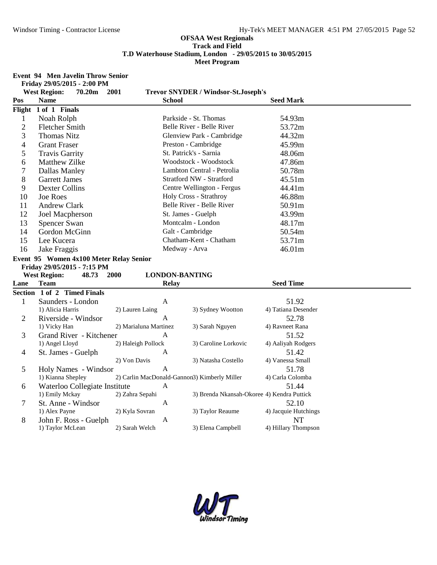**Event 94 Men Javelin Throw Senior Friday 29/05/2015 - 2:00 PM**

|                | <b>West Region:</b><br>70.20m           | 2001                    | <b>Trevor SNYDER / Windsor-St.Joseph's</b>   |                           |
|----------------|-----------------------------------------|-------------------------|----------------------------------------------|---------------------------|
| Pos            | <b>Name</b>                             |                         | <b>School</b>                                | <b>Seed Mark</b>          |
| Flight         | 1 of 1 Finals                           |                         |                                              |                           |
| $\mathbf{1}$   | Noah Rolph                              |                         | Parkside - St. Thomas                        | 54.93m                    |
| $\overline{2}$ | <b>Fletcher Smith</b>                   |                         | Belle River - Belle River                    | 53.72m                    |
| 3              | <b>Thomas Nitz</b>                      |                         | Glenview Park - Cambridge                    | 44.32m                    |
| $\overline{4}$ | <b>Grant Fraser</b>                     |                         | Preston - Cambridge                          | 45.99m                    |
| 5              | <b>Travis Garrity</b>                   |                         | St. Patrick's - Sarnia                       | 48.06m                    |
| 6              | <b>Matthew Zilke</b>                    |                         | Woodstock - Woodstock                        | 47.86m                    |
| $\tau$         | Dallas Manley                           |                         | Lambton Central - Petrolia                   | 50.78m                    |
| 8              | <b>Garrett James</b>                    |                         | Stratford NW - Stratford                     | 45.51m                    |
| 9              | <b>Dexter Collins</b>                   |                         | Centre Wellington - Fergus                   | 44.41m                    |
| 10             | <b>Joe Roes</b>                         |                         | Holy Cross - Strathroy                       | 46.88m                    |
| 11             | <b>Andrew Clark</b>                     |                         | Belle River - Belle River                    | 50.91m                    |
| 12             | <b>Joel Macpherson</b>                  |                         | St. James - Guelph                           | 43.99m                    |
| 13             | Spencer Swan                            |                         | Montcalm - London                            | 48.17m                    |
| 14             | Gordon McGinn                           |                         | Galt - Cambridge                             | 50.54m                    |
| 15             | Lee Kucera                              |                         | Chatham-Kent - Chatham                       | 53.71m                    |
| 16             | Jake Fraggis                            |                         | Medway - Arva                                | 46.01m                    |
|                | Event 95 Women 4x100 Meter Relay Senior |                         |                                              |                           |
|                | Friday 29/05/2015 - 7:15 PM             |                         |                                              |                           |
|                | <b>West Region:</b><br>48.73            | <b>2000</b>             | <b>LONDON-BANTING</b>                        |                           |
| Lane           | Team                                    |                         | <b>Relay</b>                                 | <b>Seed Time</b>          |
|                | Section 1 of 2 Timed Finals             |                         |                                              |                           |
| $\mathbf{1}$   | Saunders - London                       | A                       |                                              | 51.92                     |
|                | 1) Alicia Harris                        | 2) Lauren Laing         | 3) Sydney Wootton                            | 4) Tatiana Desender       |
| $\overline{2}$ | Riverside - Windsor                     | A                       |                                              | 52.78                     |
|                | 1) Vicky Han                            | 2) Marialuna Martinez   | 3) Sarah Nguyen                              | 4) Ravneet Rana           |
| 3              | Grand River - Kitchener                 | A                       |                                              | 51.52                     |
|                | 1) Angel Lloyd                          | 2) Haleigh Pollock<br>A | 3) Caroline Lorkovic                         | 4) Aaliyah Rodgers        |
| 4              | St. James - Guelph                      | 2) Von Davis            | 3) Natasha Costello                          | 51.42<br>4) Vanessa Small |
| 5              | Holy Names - Windsor                    | A                       |                                              | 51.78                     |
|                | 1) Kianna Shepley                       |                         | 2) Carlin MacDonald-Gannon3) Kimberly Miller | 4) Carla Colomba          |
| 6              | Waterloo Collegiate Institute           | $\mathbf{A}$            |                                              | 51.44                     |
|                | 1) Emily Mckay                          | 2) Zahra Sepahi         | 3) Brenda Nkansah-Okoree 4) Kendra Puttick   |                           |
| 7              | St. Anne - Windsor                      | A                       |                                              | 52.10                     |
|                | 1) Alex Payne                           | 2) Kyla Sovran          | 3) Taylor Reaume                             | 4) Jacquie Hutchings      |
| 8              | John F. Ross - Guelph                   | A                       |                                              | <b>NT</b>                 |
|                | 1) Taylor McLean                        | 2) Sarah Welch          | 3) Elena Campbell                            | 4) Hillary Thompson       |
|                |                                         |                         |                                              |                           |

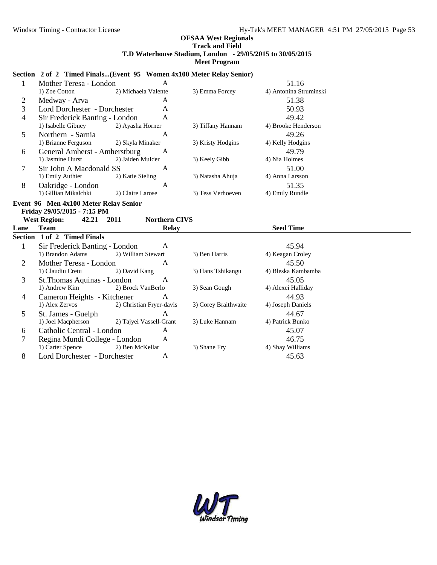#### **Section 2 of 2 Timed Finals...(Event 95 Women 4x100 Meter Relay Senior)**

| $\mathbf{1}$   | Mother Teresa - London                | $\mathsf{A}$         |                   | 51.16                  |  |
|----------------|---------------------------------------|----------------------|-------------------|------------------------|--|
|                | 1) Zoe Cotton 2) Michaela Valente     |                      | 3) Emma Forcey    | 4) Antonina Struminski |  |
| $\overline{2}$ | Medway - Arva                         | A                    |                   | 51.38                  |  |
| $\overline{3}$ | Lord Dorchester - Dorchester          | A                    |                   | 50.93                  |  |
| $\overline{4}$ | Sir Frederick Banting - London        | A                    |                   | 49.42                  |  |
|                | 1) Isabelle Gibney 2) Ayasha Horner   |                      | 3) Tiffany Hannam | 4) Brooke Henderson    |  |
| 5              | Northern - Sarnia                     | $\mathsf{A}$         |                   | 49.26                  |  |
|                | 1) Brianne Ferguson 2) Skyla Minaker  |                      | 3) Kristy Hodgins | 4) Kelly Hodgins       |  |
| 6              | General Amherst - Amherstburg         | A                    |                   | 49.79                  |  |
|                | 1) Jasmine Hurst                      | 2) Jaiden Mulder     | 3) Keely Gibb     | 4) Nia Holmes          |  |
| $\overline{7}$ | Sir John A Macdonald SS               | $\mathsf{A}$         |                   | 51.00                  |  |
|                | 1) Emily Authier 2) Katie Sieling     |                      | 3) Natasha Ahuja  | 4) Anna Larsson        |  |
| 8              | Oakridge - London                     | A                    |                   | 51.35                  |  |
|                | 1) Gillian Mikalchki 2) Claire Larose |                      | 3) Tess Verhoeven | 4) Emily Rundle        |  |
|                | Event 96 Men 4x100 Meter Relay Senior |                      |                   |                        |  |
|                | Friday 29/05/2015 - 7:15 PM           |                      |                   |                        |  |
|                | <b>West Region:</b><br>42.21 2011     | <b>Northern CIVS</b> |                   |                        |  |
| Lane           | <b>Team</b>                           | <b>Relay</b>         |                   | <b>Seed Time</b>       |  |
|                | Section 1 of 2 Timed Finals           |                      |                   |                        |  |
| $\mathbf{1}$   | Sir Frederick Banting - London        | A                    |                   | 45.94                  |  |
|                | 1) Brandon Adams 2) William Stewart   |                      | 3) Ben Harris     | 4) Keagan Croley       |  |
| 2              | Mother Teresa - London                | A                    |                   | 45.50                  |  |
|                | 1) Claudiu Cretu 2) David Kang        |                      | 3) Hans Tshikangu | 4) Bleska Kambamba     |  |
| 3              | St. Thomas Aquinas - London           | A                    |                   | 45.05                  |  |
|                | 1) Andrew Kim 2) Brock VanBerlo       |                      | 3) Sean Gough     | 4) Alexei Halliday     |  |
| $\overline{4}$ | Cameron Heights - Kitchener           | A                    |                   | 44.93                  |  |

| 4            | Cameron Heights - Kitchener   |                          | А |                      | 44.93             |
|--------------|-------------------------------|--------------------------|---|----------------------|-------------------|
|              | 1) Alex Zervos                | 2) Christian Fryer-davis |   | 3) Corey Braithwaite | 4) Joseph Daniels |
|              | St. James - Guelph            |                          | A |                      | 44.67             |
|              | 1) Joel Macpherson            | 2) Tajyei Vassell-Grant  |   | 3) Luke Hannam       | 4) Patrick Bunko  |
| <sub>6</sub> | Catholic Central - London     |                          | A |                      | 45.07             |
|              | Regina Mundi College - London |                          | A |                      | 46.75             |
|              | 1) Carter Spence              | 2) Ben McKellar          |   | 3) Shane Fry         | 4) Shay Williams  |
|              | Lord Dorchester - Dorchester  |                          |   |                      | 45.63             |

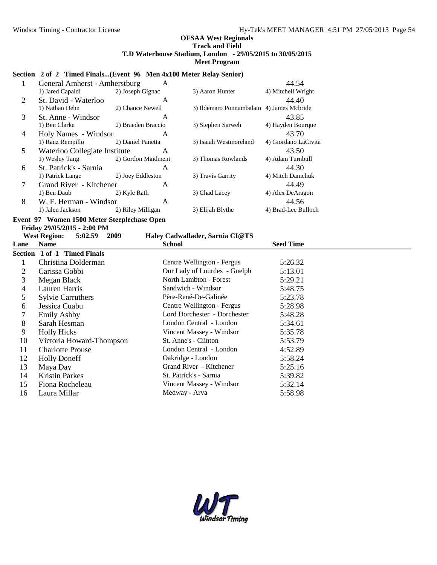### **Section 2 of 2 Timed Finals...(Event 96 Men 4x100 Meter Relay Senior)**

|   | General Amherst - Amherstburg | A                  |                                          | 44.54                |
|---|-------------------------------|--------------------|------------------------------------------|----------------------|
|   | 1) Jared Capaldi              | 2) Joseph Gignac   | 3) Aaron Hunter                          | 4) Mitchell Wright   |
| 2 | St. David - Waterloo          | A                  |                                          | 44.40                |
|   | 1) Nathan Hehn                | 2) Chance Newell   | 3) Ildemaro Ponnambalam 4) James Mcbride |                      |
| 3 | St. Anne - Windsor            | A                  |                                          | 43.85                |
|   | 1) Ben Clarke                 | 2) Braeden Braccio | 3) Stephen Sarweh                        | 4) Hayden Bourque    |
| 4 | Holy Names - Windsor          | A                  |                                          | 43.70                |
|   | 1) Ranz Rempillo              | 2) Daniel Panetta  | 3) Isaiah Westmoreland                   | 4) Giordano LaCivita |
| 5 | Waterloo Collegiate Institute | A                  |                                          | 43.50                |
|   | 1) Wesley Tang                | 2) Gordon Maidment | 3) Thomas Rowlands                       | 4) Adam Turnbull     |
| 6 | St. Patrick's - Sarnia        | A                  |                                          | 44.30                |
|   | 1) Patrick Lange              | 2) Joey Eddleston  | 3) Travis Garrity                        | 4) Mitch Damchuk     |
| 7 | Grand River - Kitchener       | A                  |                                          | 44.49                |
|   | 1) Ben Daub                   | 2) Kyle Rath       | 3) Chad Lacey                            | 4) Alex DeAragon     |
| 8 | W. F. Herman - Windsor        | A                  |                                          | 44.56                |
|   | 1) Jalen Jackson              | 2) Riley Milligan  | 3) Elijah Blythe                         | 4) Brad-Lee Bulloch  |

# **Event 97 Women 1500 Meter Steeplechase Open Friday 29/05/2015 - 2:00 PM**

# **West Region: 5:02.59 2009 Haley Cadwallader, Sarnia CI@TS**

| Lane | <b>Name</b>                 | <b>School</b>                | <b>Seed Time</b> |
|------|-----------------------------|------------------------------|------------------|
|      | Section 1 of 1 Timed Finals |                              |                  |
|      | Christina Dolderman         | Centre Wellington - Fergus   | 5:26.32          |
| 2    | Carissa Gobbi               | Our Lady of Lourdes - Guelph | 5:13.01          |
| 3    | Megan Black                 | North Lambton - Forest       | 5:29.21          |
| 4    | Lauren Harris               | Sandwich - Windsor           | 5:48.75          |
| 5    | <b>Sylvie Carruthers</b>    | Père-René-De-Galinée         | 5:23.78          |
| 6    | Jessica Cuabu               | Centre Wellington - Fergus   | 5:28.98          |
| 7    | <b>Emily Ashby</b>          | Lord Dorchester - Dorchester | 5:48.28          |
| 8    | Sarah Hesman                | London Central - London      | 5:34.61          |
| 9    | <b>Holly Hicks</b>          | Vincent Massey - Windsor     | 5:35.78          |
| 10   | Victoria Howard-Thompson    | St. Anne's - Clinton         | 5:53.79          |
| 11   | <b>Charlotte Prouse</b>     | London Central - London      | 4:52.89          |
| 12   | <b>Holly Doneff</b>         | Oakridge - London            | 5:58.24          |
| 13   | Maya Day                    | Grand River - Kitchener      | 5:25.16          |
| 14   | <b>Kristin Parkes</b>       | St. Patrick's - Sarnia       | 5:39.82          |
| 15   | Fiona Rocheleau             | Vincent Massey - Windsor     | 5:32.14          |
| 16   | Laura Millar                | Medway - Arva                | 5:58.98          |

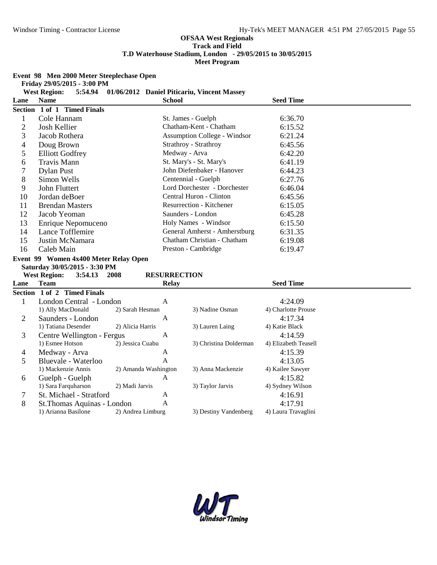**Event 98 Men 2000 Meter Steeplechase Open**

|  | Friday 29/05/2015 - 3:00 PM |  |  |
|--|-----------------------------|--|--|
|--|-----------------------------|--|--|

|                | <b>West Region:</b><br>5:54.94                     |                      | 01/06/2012 Daniel Piticariu, Vincent Massey |                                |  |
|----------------|----------------------------------------------------|----------------------|---------------------------------------------|--------------------------------|--|
| Lane           | <b>Name</b>                                        |                      | <b>School</b>                               | <b>Seed Time</b>               |  |
|                | Section 1 of 1 Timed Finals                        |                      |                                             |                                |  |
| $\mathbf{1}$   | Cole Hannam                                        |                      | St. James - Guelph                          | 6:36.70                        |  |
| $\overline{c}$ | Josh Kellier                                       |                      | Chatham-Kent - Chatham                      | 6:15.52                        |  |
| 3              | Jacob Rothera                                      |                      | <b>Assumption College - Windsor</b>         | 6:21.24                        |  |
| 4              | Doug Brown                                         |                      | Strathroy - Strathroy                       | 6:45.56                        |  |
| 5              | <b>Elliott Godfrey</b>                             |                      | Medway - Arva                               | 6:42.20                        |  |
| 6              | Travis Mann                                        |                      | St. Mary's - St. Mary's                     | 6:41.19                        |  |
| 7              | <b>Dylan Pust</b>                                  |                      | John Diefenbaker - Hanover                  | 6:44.23                        |  |
| 8              | Simon Wells                                        |                      | Centennial - Guelph                         | 6:27.76                        |  |
| 9              | John Fluttert                                      |                      | Lord Dorchester - Dorchester                | 6:46.04                        |  |
| 10             | Jordan deBoer                                      |                      | Central Huron - Clinton                     | 6:45.56                        |  |
| 11             | <b>Brendan Masters</b>                             |                      | Resurrection - Kitchener                    | 6:15.05                        |  |
| 12             | Jacob Yeoman                                       |                      | Saunders - London                           | 6:45.28                        |  |
| 13             | Enrique Nepomuceno                                 |                      | Holy Names - Windsor                        | 6:15.50                        |  |
| 14             | Lance Tofflemire                                   |                      | General Amherst - Amherstburg               | 6:31.35                        |  |
| 15             | Justin McNamara                                    |                      | Chatham Christian - Chatham                 | 6:19.08                        |  |
| 16             | Caleb Main                                         |                      | Preston - Cambridge                         | 6:19.47                        |  |
|                | Event 99 Women 4x400 Meter Relay Open              |                      |                                             |                                |  |
|                |                                                    |                      |                                             |                                |  |
|                | Saturday 30/05/2015 - 3:30 PM                      |                      |                                             |                                |  |
|                | <b>West Region:</b><br>3:54.13<br>2008             |                      | <b>RESURRECTION</b>                         |                                |  |
| Lane           | <b>Team</b>                                        |                      | <b>Relay</b>                                | <b>Seed Time</b>               |  |
|                | Section 1 of 2 Timed Finals                        |                      |                                             |                                |  |
| $\mathbf{1}$   | London Central - London                            |                      | A                                           | 4:24.09                        |  |
|                | 1) Ally MacDonald                                  | 2) Sarah Hesman      | 3) Nadine Osman                             | 4) Charlotte Prouse            |  |
| $\overline{2}$ | Saunders - London                                  |                      | A                                           | 4:17.34                        |  |
|                | 1) Tatiana Desender                                | 2) Alicia Harris     | 3) Lauren Laing                             | 4) Katie Black                 |  |
| 3              | Centre Wellington - Fergus                         |                      | A                                           | 4:14.59                        |  |
|                | 1) Esmee Hotson                                    | 2) Jessica Cuabu     | 3) Christina Dolderman                      | 4) Elizabeth Teasell           |  |
| 4              | Medway - Arva                                      |                      | A                                           | 4:15.39                        |  |
| 5              | Bluevale - Waterloo                                |                      | A                                           | 4:13.05                        |  |
|                | 1) Mackenzie Annis                                 | 2) Amanda Washington | 3) Anna Mackenzie                           | 4) Kailee Sawyer               |  |
| 6              | Guelph - Guelph                                    |                      | A                                           | 4:15.82                        |  |
|                | 1) Sara Farquharson                                | 2) Madi Jarvis       | 3) Taylor Jarvis                            | 4) Sydney Wilson               |  |
| 7              | St. Michael - Stratford                            |                      | A                                           | 4:16.91                        |  |
| 8              | St. Thomas Aquinas - London<br>1) Arianna Basilone | 2) Andrea Limburg    | A<br>3) Destiny Vandenberg                  | 4:17.91<br>4) Laura Travaglini |  |

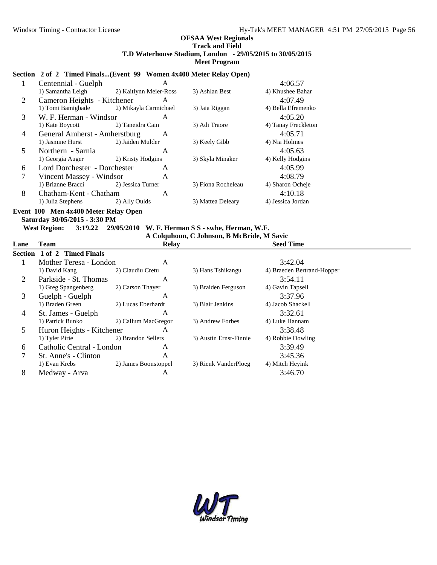#### **Section 2 of 2 Timed Finals...(Event 99 Women 4x400 Meter Relay Open)**

|   | Centennial - Guelph           | A                      |                    | 4:06.57             |
|---|-------------------------------|------------------------|--------------------|---------------------|
|   | 1) Samantha Leigh             | 2) Kaitlynn Meier-Ross | 3) Ashlan Best     | 4) Khushee Bahar    |
| 2 | Cameron Heights - Kitchener   | A                      |                    | 4:07.49             |
|   | 1) Tomi Bamigbade             | 2) Mikayla Carmichael  | 3) Jaia Riggan     | 4) Bella Efremenko  |
| 3 | W. F. Herman - Windsor        | A                      |                    | 4:05.20             |
|   | 1) Kate Boycott               | 2) Taneidra Cain       | 3) Adi Traore      | 4) Tanay Freckleton |
| 4 | General Amherst - Amherstburg | A                      |                    | 4:05.71             |
|   | 1) Jasmine Hurst              | 2) Jaiden Mulder       | 3) Keely Gibb      | 4) Nia Holmes       |
| 5 | Northern - Sarnia             | A                      |                    | 4:05.63             |
|   | 1) Georgia Auger              | 2) Kristy Hodgins      | 3) Skyla Minaker   | 4) Kelly Hodgins    |
| 6 | Lord Dorchester - Dorchester  | A                      |                    | 4:05.99             |
|   | Vincent Massey - Windsor      | A                      |                    | 4:08.79             |
|   | 1) Brianne Bracci             | 2) Jessica Turner      | 3) Fiona Rocheleau | 4) Sharon Ocheje    |
| 8 | Chatham-Kent - Chatham        | A                      |                    | 4:10.18             |
|   | 1) Julia Stephens             | 2) Ally Oulds          | 3) Mattea Deleary  | 4) Jessica Jordan   |

### **Event 100 Men 4x400 Meter Relay Open Saturday 30/05/2015 - 3:30 PM**

**West Region: 3:19.22 29/05/2010 W. F. Herman S S - swhe, Herman, W.F.**

**A Colquhoun, C Johnson, B McBride, M Savic**

| Team                        | <b>Relay</b>         |                                                                                  | <b>Seed Time</b>           |  |
|-----------------------------|----------------------|----------------------------------------------------------------------------------|----------------------------|--|
| Section 1 of 2 Timed Finals |                      |                                                                                  |                            |  |
|                             | A                    |                                                                                  | 3:42.04                    |  |
| 1) David Kang               | 2) Claudiu Cretu     | 3) Hans Tshikangu                                                                | 4) Braeden Bertrand-Hopper |  |
| Parkside - St. Thomas       | A                    |                                                                                  | 3:54.11                    |  |
| 1) Greg Spangenberg         | 2) Carson Thayer     | 3) Braiden Ferguson                                                              | 4) Gavin Tapsell           |  |
| Guelph - Guelph             | A                    |                                                                                  | 3:37.96                    |  |
| 1) Braden Green             | 2) Lucas Eberhardt   | 3) Blair Jenkins                                                                 | 4) Jacob Shackell          |  |
| St. James - Guelph          | A                    |                                                                                  | 3:32.61                    |  |
| 1) Patrick Bunko            | 2) Callum MacGregor  | 3) Andrew Forbes                                                                 | 4) Luke Hannam             |  |
|                             | A                    |                                                                                  | 3:38.48                    |  |
| 1) Tyler Pirie              | 2) Brandon Sellers   | 3) Austin Ernst-Finnie                                                           | 4) Robbie Dowling          |  |
|                             | A                    |                                                                                  | 3:39.49                    |  |
| St. Anne's - Clinton        | A                    |                                                                                  | 3:45.36                    |  |
| 1) Evan Krebs               | 2) James Boonstoppel | 3) Rienk VanderPloeg                                                             | 4) Mitch Heyink            |  |
| Medway - Arva               | A                    |                                                                                  | 3:46.70                    |  |
|                             |                      | Mother Teresa - London<br>Huron Heights - Kitchener<br>Catholic Central - London |                            |  |

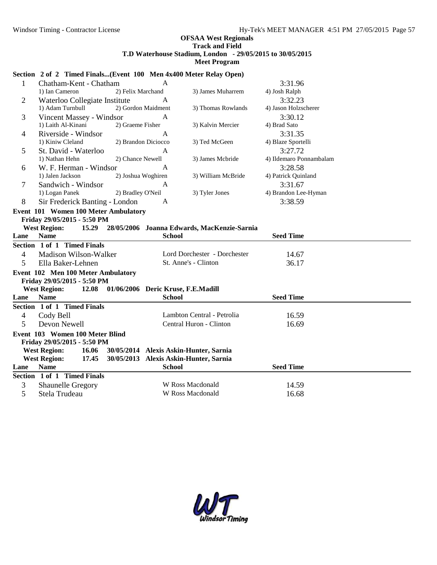#### **Section 2 of 2 Timed Finals...(Event 100 Men 4x400 Meter Relay Open)**

| $\mathbf{1}$   | Chatham-Kent - Chatham                                      |                     | A                                  |                                             | 3:31.96                 |  |
|----------------|-------------------------------------------------------------|---------------------|------------------------------------|---------------------------------------------|-------------------------|--|
|                | 1) Ian Cameron                                              | 2) Felix Marchand   |                                    | 3) James Muharrem                           | 4) Josh Ralph           |  |
| $\overline{2}$ | Waterloo Collegiate Institute                               |                     | A                                  |                                             | 3:32.23                 |  |
|                | 1) Adam Turnbull                                            |                     | 2) Gordon Maidment                 | 3) Thomas Rowlands                          | 4) Jason Holzscherer    |  |
| 3              | Vincent Massey - Windsor                                    |                     | A                                  |                                             | 3:30.12                 |  |
|                | 1) Laith Al-Kinani                                          | 2) Graeme Fisher    |                                    | 3) Kalvin Mercier                           | 4) Brad Sato            |  |
| $\overline{4}$ | Riverside - Windsor                                         |                     | A                                  |                                             | 3:31.35                 |  |
|                | 1) Kiniw Cleland                                            | 2) Brandon Diciocco |                                    | 3) Ted McGeen                               | 4) Blaze Sportelli      |  |
| 5              | St. David - Waterloo                                        |                     | A                                  |                                             | 3:27.72                 |  |
|                | 1) Nathan Hehn                                              | 2) Chance Newell    |                                    | 3) James Mcbride                            | 4) Ildemaro Ponnambalam |  |
| 6              | W. F. Herman - Windsor                                      |                     | A                                  |                                             | 3:28.58                 |  |
|                | 1) Jalen Jackson                                            | 2) Joshua Woghiren  |                                    | 3) William McBride                          | 4) Patrick Quinland     |  |
| 7              | Sandwich - Windsor                                          |                     | A                                  |                                             | 3:31.67                 |  |
|                | 1) Logan Panek                                              | 2) Bradley O'Neil   |                                    | 3) Tyler Jones                              | 4) Brandon Lee-Hyman    |  |
| 8              | Sir Frederick Banting - London                              |                     | A                                  |                                             | 3:38.59                 |  |
|                | Event 101 Women 100 Meter Ambulatory                        |                     |                                    |                                             |                         |  |
|                | Friday 29/05/2015 - 5:50 PM                                 |                     |                                    |                                             |                         |  |
|                | <b>West Region:</b><br>15.29                                |                     |                                    | 28/05/2006 Joanna Edwards, MacKenzie-Sarnia |                         |  |
| Lane           | <b>Name</b>                                                 |                     | <b>School</b>                      |                                             | <b>Seed Time</b>        |  |
|                | Section 1 of 1 Timed Finals                                 |                     |                                    |                                             |                         |  |
| $\overline{4}$ | Madison Wilson-Walker                                       |                     |                                    | Lord Dorchester - Dorchester                | 14.67                   |  |
| 5              | Ella Baker-Lehnen                                           |                     |                                    | St. Anne's - Clinton                        | 36.17                   |  |
|                | Event 102 Men 100 Meter Ambulatory                          |                     |                                    |                                             |                         |  |
|                | Friday 29/05/2015 - 5:50 PM                                 |                     |                                    |                                             |                         |  |
|                |                                                             |                     |                                    |                                             |                         |  |
|                | <b>West Region:</b><br>12.08                                |                     | 01/06/2006 Deric Kruse, F.E.Madill |                                             |                         |  |
| Lane           | <b>Name</b>                                                 |                     | <b>School</b>                      |                                             | <b>Seed Time</b>        |  |
|                | Section 1 of 1 Timed Finals                                 |                     |                                    |                                             |                         |  |
| $\overline{4}$ | Cody Bell                                                   |                     |                                    | Lambton Central - Petrolia                  | 16.59                   |  |
| 5              | Devon Newell                                                |                     |                                    | Central Huron - Clinton                     | 16.69                   |  |
|                |                                                             |                     |                                    |                                             |                         |  |
|                | Event 103 Women 100 Meter Blind                             |                     |                                    |                                             |                         |  |
|                | Friday 29/05/2015 - 5:50 PM<br><b>West Region:</b><br>16.06 |                     |                                    | 30/05/2014 Alexis Askin-Hunter, Sarnia      |                         |  |
|                | <b>West Region:</b><br>17.45                                |                     |                                    | 30/05/2013 Alexis Askin-Hunter, Sarnia      |                         |  |
| Lane           | <b>Name</b>                                                 |                     | <b>School</b>                      |                                             | <b>Seed Time</b>        |  |
|                | Section 1 of 1 Timed Finals                                 |                     |                                    |                                             |                         |  |
| 3              | Shaunelle Gregory                                           |                     |                                    | W Ross Macdonald                            | 14.59                   |  |

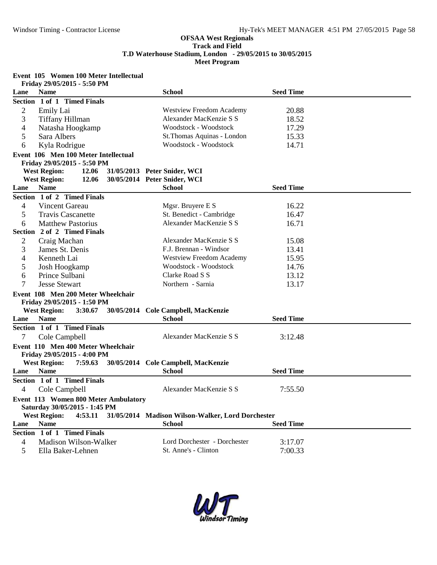# **Event 105 Women 100 Meter Intellectual**

|                          | Friday 29/05/2015 - 5:50 PM          |                                                   |                  |  |
|--------------------------|--------------------------------------|---------------------------------------------------|------------------|--|
| Lane                     | <b>Name</b>                          | <b>School</b>                                     | <b>Seed Time</b> |  |
|                          | Section 1 of 1 Timed Finals          |                                                   |                  |  |
| 2                        | Emily Lai                            | <b>Westview Freedom Academy</b>                   | 20.88            |  |
| 3                        | Tiffany Hillman                      | Alexander MacKenzie S S                           | 18.52            |  |
| 4                        | Natasha Hoogkamp                     | Woodstock - Woodstock                             | 17.29            |  |
| 5                        | Sara Albers                          | St. Thomas Aquinas - London                       | 15.33            |  |
| 6                        | Kyla Rodrigue                        | Woodstock - Woodstock                             | 14.71            |  |
|                          | Event 106 Men 100 Meter Intellectual |                                                   |                  |  |
|                          | Friday 29/05/2015 - 5:50 PM          |                                                   |                  |  |
|                          | <b>West Region:</b><br>12.06         | 31/05/2013 Peter Snider, WCI                      |                  |  |
|                          | <b>West Region:</b><br>12.06         | 30/05/2014 Peter Snider, WCI                      |                  |  |
| Lane                     | <b>Name</b>                          | <b>School</b>                                     | <b>Seed Time</b> |  |
|                          | Section 1 of 2 Timed Finals          |                                                   |                  |  |
| $\overline{\mathcal{A}}$ | Vincent Gareau                       | Mgsr. Bruyere E S                                 | 16.22            |  |
| 5                        | <b>Travis Cascanette</b>             | St. Benedict - Cambridge                          | 16.47            |  |
| 6                        | <b>Matthew Pastorius</b>             | Alexander MacKenzie S S                           | 16.71            |  |
|                          | Section 2 of 2 Timed Finals          |                                                   |                  |  |
| 2                        | Craig Machan                         | Alexander MacKenzie S S                           | 15.08            |  |
| 3                        | James St. Denis                      | F.J. Brennan - Windsor                            | 13.41            |  |
| 4                        | Kenneth Lai                          | <b>Westview Freedom Academy</b>                   | 15.95            |  |
| 5                        | Josh Hoogkamp                        | Woodstock - Woodstock                             | 14.76            |  |
| 6                        | Prince Sulbani                       | Clarke Road S S                                   | 13.12            |  |
| 7                        | <b>Jesse Stewart</b>                 | Northern - Sarnia                                 | 13.17            |  |
|                          | Event 108 Men 200 Meter Wheelchair   |                                                   |                  |  |
|                          | Friday 29/05/2015 - 1:50 PM          |                                                   |                  |  |
|                          | <b>West Region:</b><br>3:30.67       | 30/05/2014 Cole Campbell, MacKenzie               |                  |  |
| Lane                     | <b>Name</b>                          | <b>School</b>                                     | <b>Seed Time</b> |  |
|                          | Section 1 of 1 Timed Finals          |                                                   |                  |  |
| 7                        | Cole Campbell                        | Alexander MacKenzie S S                           | 3:12.48          |  |
|                          | Event 110 Men 400 Meter Wheelchair   |                                                   |                  |  |
|                          | Friday 29/05/2015 - 4:00 PM          |                                                   |                  |  |
|                          | <b>West Region:</b><br>7:59.63       | 30/05/2014 Cole Campbell, MacKenzie               |                  |  |
| Lane                     | <b>Name</b>                          | <b>School</b>                                     | <b>Seed Time</b> |  |
|                          | Section 1 of 1 Timed Finals          |                                                   |                  |  |
| $\overline{4}$           | Cole Campbell                        | Alexander MacKenzie S S                           | 7:55.50          |  |
|                          | Event 113 Women 800 Meter Ambulatory |                                                   |                  |  |
|                          | Saturday 30/05/2015 - 1:45 PM        |                                                   |                  |  |
|                          | <b>West Region:</b><br>4:53.11       | 31/05/2014 Madison Wilson-Walker, Lord Dorchester |                  |  |
| Lane                     | <b>Name</b>                          | <b>School</b>                                     | <b>Seed Time</b> |  |
|                          | Section 1 of 1 Timed Finals          |                                                   |                  |  |
| 4                        | Madison Wilson-Walker                | Lord Dorchester - Dorchester                      | 3:17.07          |  |
| 5                        | Ella Baker-Lehnen                    | St. Anne's - Clinton                              | 7:00.33          |  |